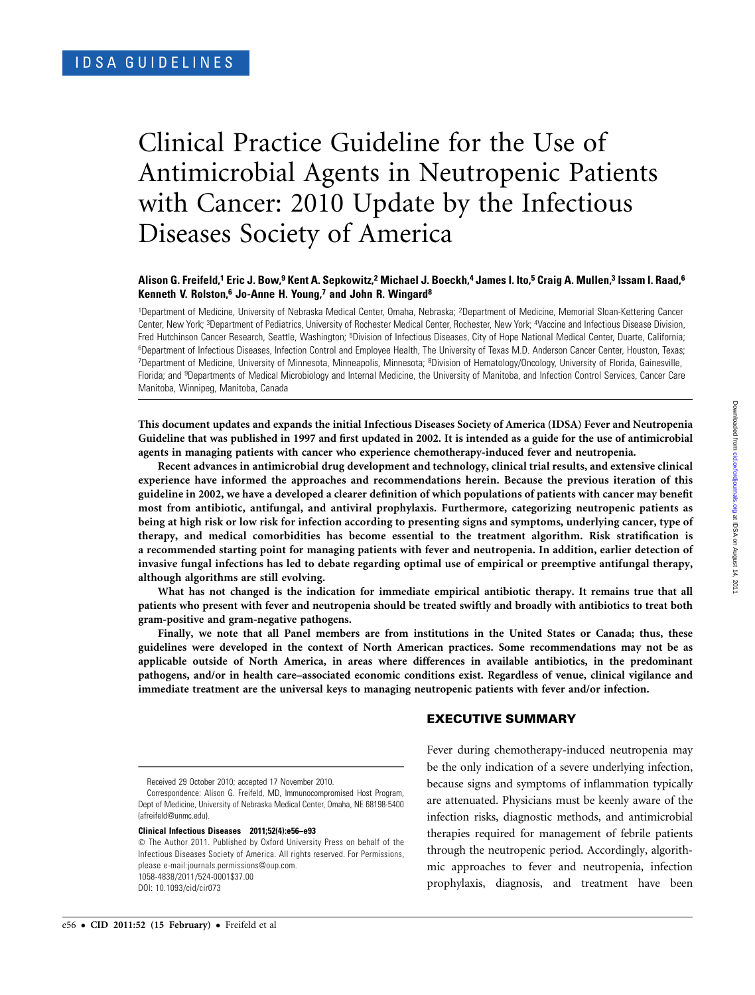# Clinical Practice Guideline for the Use of Antimicrobial Agents in Neutropenic Patients with Cancer: 2010 Update by the Infectious Diseases Society of America

#### Alison G. Freifeld,<sup>1</sup> Eric J. Bow,<sup>9</sup> Kent A. Sepkowitz,<sup>2</sup> Michael J. Boeckh,<sup>4</sup> James I. Ito,<sup>5</sup> Craig A. Mullen,<sup>3</sup> Issam I. Raad,<sup>6</sup> Kenneth V. Rolston,<sup>6</sup> Jo-Anne H. Young,<sup>7</sup> and John R. Wingard<sup>8</sup>

<sup>1</sup>Department of Medicine, University of Nebraska Medical Center, Omaha, Nebraska; <sup>2</sup>Department of Medicine, Memorial Sloan-Kettering Cancer Center, New York; <sup>3</sup>Department of Pediatrics, University of Rochester Medical Center, Rochester, New York; <sup>4</sup>Vaccine and Infectious Disease Division, Fred Hutchinson Cancer Research, Seattle, Washington; <sup>5</sup>Division of Infectious Diseases, City of Hope National Medical Center, Duarte, California; 6 Department of Infectious Diseases, Infection Control and Employee Health, The University of Texas M.D. Anderson Cancer Center, Houston, Texas; <sup>7</sup>Department of Medicine, University of Minnesota, Minneapolis, Minnesota; <sup>8</sup>Division of Hematology/Oncology, University of Florida, Gainesville, Florida; and <sup>9</sup>Departments of Medical Microbiology and Internal Medicine, the University of Manitoba, and Infection Control Services, Cancer Care Manitoba, Winnipeg, Manitoba, Canada

This document updates and expands the initial Infectious Diseases Society of America (IDSA) Fever and Neutropenia Guideline that was published in 1997 and first updated in 2002. It is intended as a guide for the use of antimicrobial agents in managing patients with cancer who experience chemotherapy-induced fever and neutropenia.

Recent advances in antimicrobial drug development and technology, clinical trial results, and extensive clinical experience have informed the approaches and recommendations herein. Because the previous iteration of this guideline in 2002, we have a developed a clearer definition of which populations of patients with cancer may benefit most from antibiotic, antifungal, and antiviral prophylaxis. Furthermore, categorizing neutropenic patients as being at high risk or low risk for infection according to presenting signs and symptoms, underlying cancer, type of therapy, and medical comorbidities has become essential to the treatment algorithm. Risk stratification is a recommended starting point for managing patients with fever and neutropenia. In addition, earlier detection of invasive fungal infections has led to debate regarding optimal use of empirical or preemptive antifungal therapy, although algorithms are still evolving.

What has not changed is the indication for immediate empirical antibiotic therapy. It remains true that all patients who present with fever and neutropenia should be treated swiftly and broadly with antibiotics to treat both gram-positive and gram-negative pathogens.

Finally, we note that all Panel members are from institutions in the United States or Canada; thus, these guidelines were developed in the context of North American practices. Some recommendations may not be as applicable outside of North America, in areas where differences in available antibiotics, in the predominant pathogens, and/or in health care–associated economic conditions exist. Regardless of venue, clinical vigilance and immediate treatment are the universal keys to managing neutropenic patients with fever and/or infection.

#### EXECUTIVE SUMMARY

Correspondence: Alison G. Freifeld, MD, Immunocompromised Host Program, Dept of Medicine, University of Nebraska Medical Center, Omaha, NE 68198-5400 (afreifeld@unmc.edu).

Clinical Infectious Diseases 2011;52(4):e56–e93

 The Author 2011. Published by Oxford University Press on behalf of the Infectious Diseases Society of America. All rights reserved. For Permissions, please e-mail:journals.permissions@oup.com. 1058-4838/2011/524-0001\$37.00 DOI: 10.1093/cid/cir073

Fever during chemotherapy-induced neutropenia may be the only indication of a severe underlying infection, because signs and symptoms of inflammation typically are attenuated. Physicians must be keenly aware of the infection risks, diagnostic methods, and antimicrobial therapies required for management of febrile patients through the neutropenic period. Accordingly, algorithmic approaches to fever and neutropenia, infection prophylaxis, diagnosis, and treatment have been

Received 29 October 2010; accepted 17 November 2010.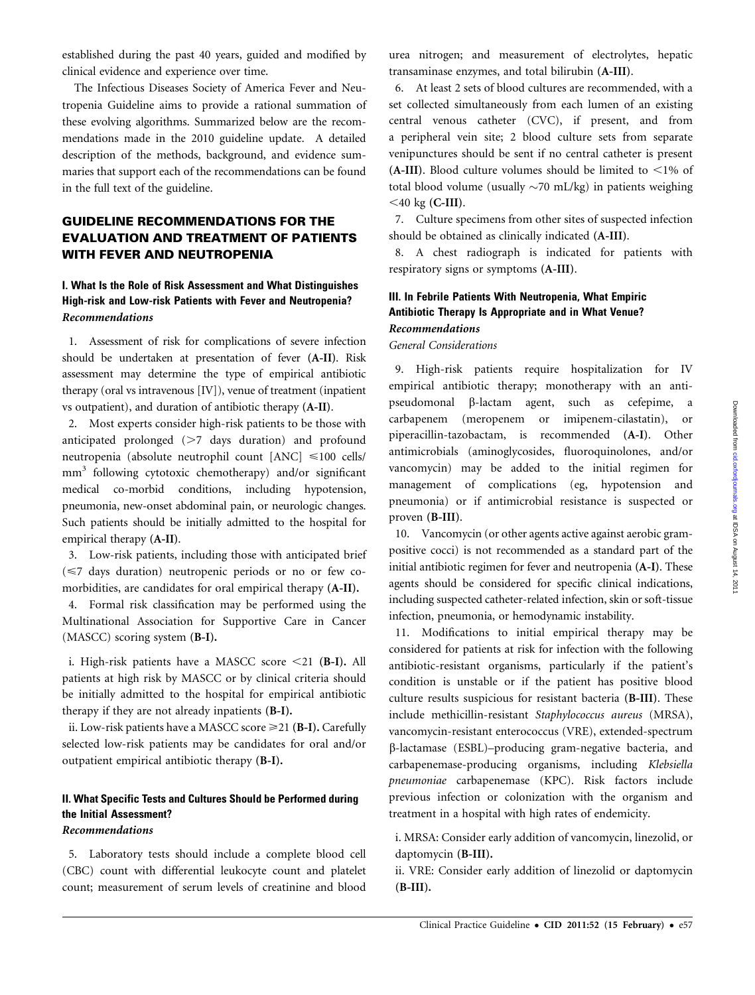The Infectious Diseases Society of America Fever and Neutropenia Guideline aims to provide a rational summation of these evolving algorithms. Summarized below are the recommendations made in the 2010 guideline update. A detailed description of the methods, background, and evidence summaries that support each of the recommendations can be found in the full text of the guideline.

# GUIDELINE RECOMMENDATIONS FOR THE EVALUATION AND TREATMENT OF PATIENTS WITH FEVER AND NEUTROPENIA

# I. What Is the Role of Risk Assessment and What Distinguishes High-risk and Low-risk Patients with Fever and Neutropenia? Recommendations

1. Assessment of risk for complications of severe infection should be undertaken at presentation of fever (A-II). Risk assessment may determine the type of empirical antibiotic therapy (oral vs intravenous [IV]), venue of treatment (inpatient vs outpatient), and duration of antibiotic therapy (A-II).

2. Most experts consider high-risk patients to be those with anticipated prolonged  $(>7$  days duration) and profound neutropenia (absolute neutrophil count [ANC] <100 cells/ mm<sup>3</sup> following cytotoxic chemotherapy) and/or significant medical co-morbid conditions, including hypotension, pneumonia, new-onset abdominal pain, or neurologic changes. Such patients should be initially admitted to the hospital for empirical therapy (A-II).

3. Low-risk patients, including those with anticipated brief  $(\leq 7$  days duration) neutropenic periods or no or few comorbidities, are candidates for oral empirical therapy (A-II).

4. Formal risk classification may be performed using the Multinational Association for Supportive Care in Cancer (MASCC) scoring system (B-I).

i. High-risk patients have a MASCC score  $\leq$  21 (B-I). All patients at high risk by MASCC or by clinical criteria should be initially admitted to the hospital for empirical antibiotic therapy if they are not already inpatients (B-I).

ii. Low-risk patients have a MASCC score  $\geq 21$  (B-I). Carefully selected low-risk patients may be candidates for oral and/or outpatient empirical antibiotic therapy (B-I).

# II. What Specific Tests and Cultures Should be Performed during the Initial Assessment?

# Recommendations

5. Laboratory tests should include a complete blood cell (CBC) count with differential leukocyte count and platelet count; measurement of serum levels of creatinine and blood urea nitrogen; and measurement of electrolytes, hepatic transaminase enzymes, and total bilirubin (A-III).

6. At least 2 sets of blood cultures are recommended, with a set collected simultaneously from each lumen of an existing central venous catheter (CVC), if present, and from a peripheral vein site; 2 blood culture sets from separate venipunctures should be sent if no central catheter is present (A-III). Blood culture volumes should be limited to  $\leq$ 1% of total blood volume (usually  $\sim$ 70 mL/kg) in patients weighing  $<$ 40 kg (C-III).

7. Culture specimens from other sites of suspected infection should be obtained as clinically indicated (A-III).

8. A chest radiograph is indicated for patients with respiratory signs or symptoms (A-III).

# III. In Febrile Patients With Neutropenia, What Empiric Antibiotic Therapy Is Appropriate and in What Venue? Recommendations

General Considerations

9. High-risk patients require hospitalization for IV empirical antibiotic therapy; monotherapy with an antipseudomonal b-lactam agent, such as cefepime, a carbapenem (meropenem or imipenem-cilastatin), or piperacillin-tazobactam, is recommended (A-I). Other antimicrobials (aminoglycosides, fluoroquinolones, and/or vancomycin) may be added to the initial regimen for management of complications (eg, hypotension and pneumonia) or if antimicrobial resistance is suspected or proven (B-III).

10. Vancomycin (or other agents active against aerobic grampositive cocci) is not recommended as a standard part of the initial antibiotic regimen for fever and neutropenia (A-I). These agents should be considered for specific clinical indications, including suspected catheter-related infection, skin or soft-tissue infection, pneumonia, or hemodynamic instability.

11. Modifications to initial empirical therapy may be considered for patients at risk for infection with the following antibiotic-resistant organisms, particularly if the patient's condition is unstable or if the patient has positive blood culture results suspicious for resistant bacteria (B-III). These include methicillin-resistant Staphylococcus aureus (MRSA), vancomycin-resistant enterococcus (VRE), extended-spectrum b-lactamase (ESBL)–producing gram-negative bacteria, and carbapenemase-producing organisms, including Klebsiella pneumoniae carbapenemase (KPC). Risk factors include previous infection or colonization with the organism and treatment in a hospital with high rates of endemicity.

i. MRSA: Consider early addition of vancomycin, linezolid, or daptomycin (B-III).

ii. VRE: Consider early addition of linezolid or daptomycin  $(B-III).$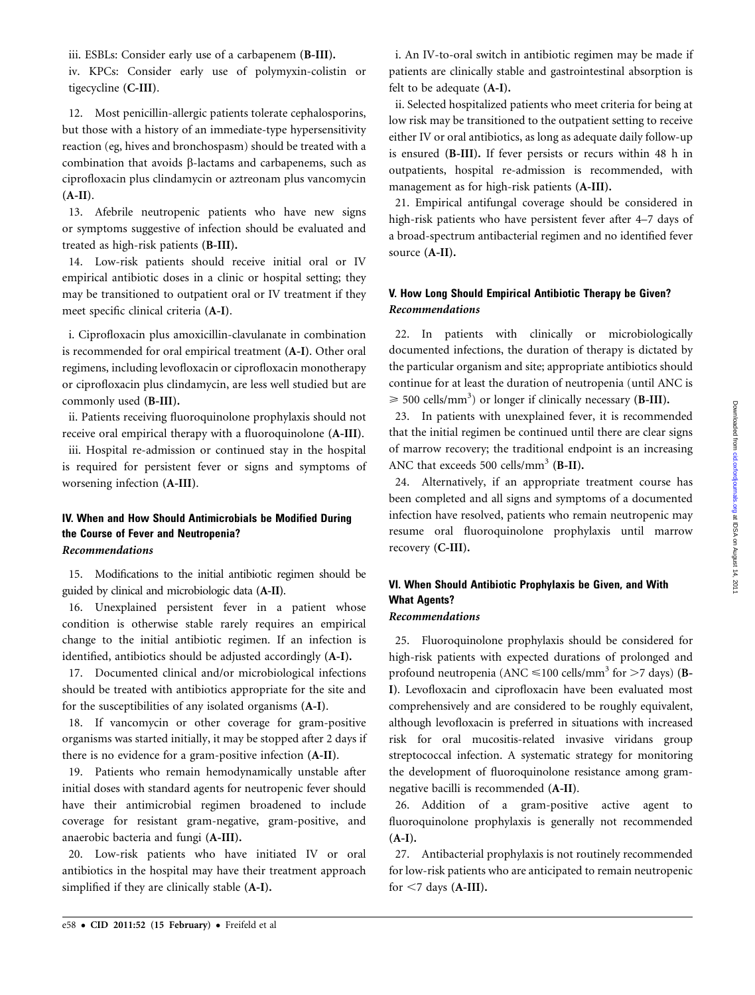iii. ESBLs: Consider early use of a carbapenem (B-III).

iv. KPCs: Consider early use of polymyxin-colistin or tigecycline (C-III).

12. Most penicillin-allergic patients tolerate cephalosporins, but those with a history of an immediate-type hypersensitivity reaction (eg, hives and bronchospasm) should be treated with a combination that avoids  $\beta$ -lactams and carbapenems, such as ciprofloxacin plus clindamycin or aztreonam plus vancomycin (A-II).

13. Afebrile neutropenic patients who have new signs or symptoms suggestive of infection should be evaluated and treated as high-risk patients (B-III).

14. Low-risk patients should receive initial oral or IV empirical antibiotic doses in a clinic or hospital setting; they may be transitioned to outpatient oral or IV treatment if they meet specific clinical criteria (A-I).

i. Ciprofloxacin plus amoxicillin-clavulanate in combination is recommended for oral empirical treatment (A-I). Other oral regimens, including levofloxacin or ciprofloxacin monotherapy or ciprofloxacin plus clindamycin, are less well studied but are commonly used (B-III).

ii. Patients receiving fluoroquinolone prophylaxis should not receive oral empirical therapy with a fluoroquinolone (A-III).

iii. Hospital re-admission or continued stay in the hospital is required for persistent fever or signs and symptoms of worsening infection (A-III).

# IV. When and How Should Antimicrobials be Modified During the Course of Fever and Neutropenia? Recommendations

15. Modifications to the initial antibiotic regimen should be guided by clinical and microbiologic data (A-II).

16. Unexplained persistent fever in a patient whose condition is otherwise stable rarely requires an empirical change to the initial antibiotic regimen. If an infection is identified, antibiotics should be adjusted accordingly (A-I).

17. Documented clinical and/or microbiological infections should be treated with antibiotics appropriate for the site and for the susceptibilities of any isolated organisms (A-I).

18. If vancomycin or other coverage for gram-positive organisms was started initially, it may be stopped after 2 days if there is no evidence for a gram-positive infection (A-II).

19. Patients who remain hemodynamically unstable after initial doses with standard agents for neutropenic fever should have their antimicrobial regimen broadened to include coverage for resistant gram-negative, gram-positive, and anaerobic bacteria and fungi (A-III).

20. Low-risk patients who have initiated IV or oral antibiotics in the hospital may have their treatment approach simplified if they are clinically stable (A-I).

i. An IV-to-oral switch in antibiotic regimen may be made if patients are clinically stable and gastrointestinal absorption is felt to be adequate (A-I).

ii. Selected hospitalized patients who meet criteria for being at low risk may be transitioned to the outpatient setting to receive either IV or oral antibiotics, as long as adequate daily follow-up is ensured (B-III). If fever persists or recurs within 48 h in outpatients, hospital re-admission is recommended, with management as for high-risk patients (A-III).

21. Empirical antifungal coverage should be considered in high-risk patients who have persistent fever after 4–7 days of a broad-spectrum antibacterial regimen and no identified fever source (A-II).

# V. How Long Should Empirical Antibiotic Therapy be Given? Recommendations

22. In patients with clinically or microbiologically documented infections, the duration of therapy is dictated by the particular organism and site; appropriate antibiotics should continue for at least the duration of neutropenia (until ANC is  $\geq$  500 cells/mm<sup>3</sup>) or longer if clinically necessary (B-III).

23. In patients with unexplained fever, it is recommended that the initial regimen be continued until there are clear signs of marrow recovery; the traditional endpoint is an increasing ANC that exceeds 500 cells/mm<sup>3</sup> (B-II).

24. Alternatively, if an appropriate treatment course has been completed and all signs and symptoms of a documented infection have resolved, patients who remain neutropenic may resume oral fluoroquinolone prophylaxis until marrow recovery (C-III).

# VI. When Should Antibiotic Prophylaxis be Given, and With What Agents?

#### Recommendations

25. Fluoroquinolone prophylaxis should be considered for high-risk patients with expected durations of prolonged and profound neutropenia (ANC  $\leq 100$  cells/mm<sup>3</sup> for  $>7$  days) (B-I). Levofloxacin and ciprofloxacin have been evaluated most comprehensively and are considered to be roughly equivalent, although levofloxacin is preferred in situations with increased risk for oral mucositis-related invasive viridans group streptococcal infection. A systematic strategy for monitoring the development of fluoroquinolone resistance among gramnegative bacilli is recommended (A-II).

26. Addition of a gram-positive active agent to fluoroquinolone prophylaxis is generally not recommended (A-I).

27. Antibacterial prophylaxis is not routinely recommended for low-risk patients who are anticipated to remain neutropenic for  $<$ 7 days (A-III).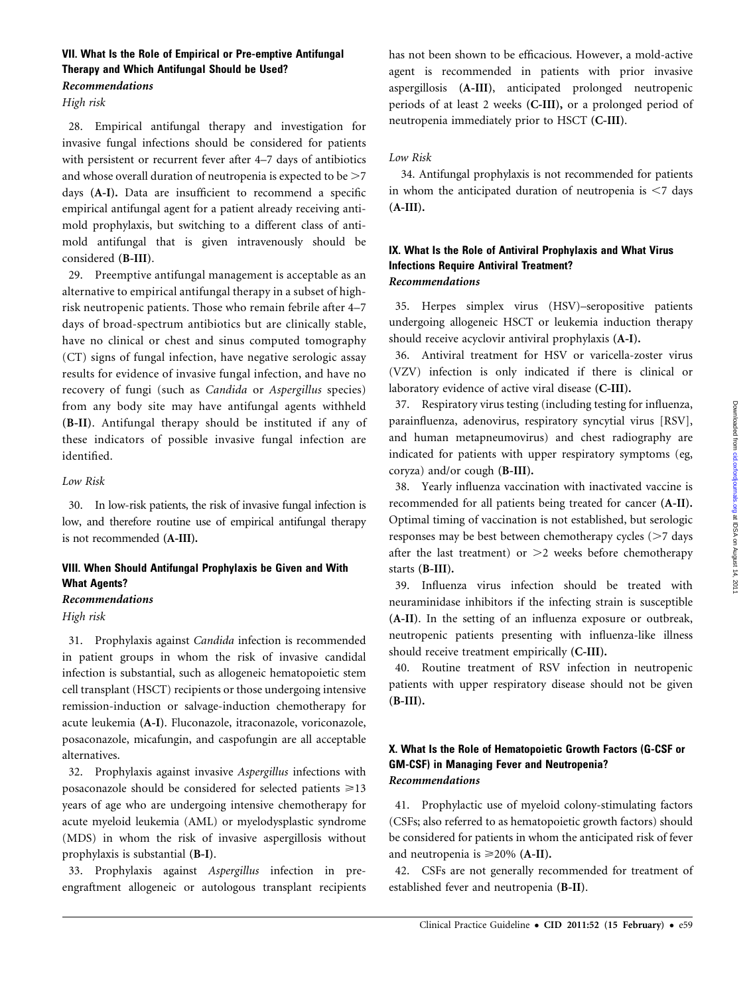# VII. What Is the Role of Empirical or Pre-emptive Antifungal Therapy and Which Antifungal Should be Used?

# Recommendations

# High risk

28. Empirical antifungal therapy and investigation for invasive fungal infections should be considered for patients with persistent or recurrent fever after 4–7 days of antibiotics and whose overall duration of neutropenia is expected to be  $>7$ days (A-I). Data are insufficient to recommend a specific empirical antifungal agent for a patient already receiving antimold prophylaxis, but switching to a different class of antimold antifungal that is given intravenously should be considered (B-III).

29. Preemptive antifungal management is acceptable as an alternative to empirical antifungal therapy in a subset of highrisk neutropenic patients. Those who remain febrile after 4–7 days of broad-spectrum antibiotics but are clinically stable, have no clinical or chest and sinus computed tomography (CT) signs of fungal infection, have negative serologic assay results for evidence of invasive fungal infection, and have no recovery of fungi (such as Candida or Aspergillus species) from any body site may have antifungal agents withheld (B-II). Antifungal therapy should be instituted if any of these indicators of possible invasive fungal infection are identified.

# Low Risk

30. In low-risk patients, the risk of invasive fungal infection is low, and therefore routine use of empirical antifungal therapy is not recommended (A-III).

# VIII. When Should Antifungal Prophylaxis be Given and With What Agents?

# Recommendations

High risk

31. Prophylaxis against Candida infection is recommended in patient groups in whom the risk of invasive candidal infection is substantial, such as allogeneic hematopoietic stem cell transplant (HSCT) recipients or those undergoing intensive remission-induction or salvage-induction chemotherapy for acute leukemia (A-I). Fluconazole, itraconazole, voriconazole, posaconazole, micafungin, and caspofungin are all acceptable alternatives.

32. Prophylaxis against invasive Aspergillus infections with posaconazole should be considered for selected patients  $\geq 13$ years of age who are undergoing intensive chemotherapy for acute myeloid leukemia (AML) or myelodysplastic syndrome (MDS) in whom the risk of invasive aspergillosis without prophylaxis is substantial (B-I).

33. Prophylaxis against Aspergillus infection in preengraftment allogeneic or autologous transplant recipients has not been shown to be efficacious. However, a mold-active agent is recommended in patients with prior invasive aspergillosis (A-III), anticipated prolonged neutropenic periods of at least 2 weeks (C-III), or a prolonged period of neutropenia immediately prior to HSCT (C-III).

# Low Risk

34. Antifungal prophylaxis is not recommended for patients in whom the anticipated duration of neutropenia is  $\leq$  days  $(A-III).$ 

# IX. What Is the Role of Antiviral Prophylaxis and What Virus Infections Require Antiviral Treatment? Recommendations

35. Herpes simplex virus (HSV)–seropositive patients undergoing allogeneic HSCT or leukemia induction therapy should receive acyclovir antiviral prophylaxis (A-I).

36. Antiviral treatment for HSV or varicella-zoster virus (VZV) infection is only indicated if there is clinical or laboratory evidence of active viral disease (C-III).

37. Respiratory virus testing (including testing for influenza, parainfluenza, adenovirus, respiratory syncytial virus [RSV], and human metapneumovirus) and chest radiography are indicated for patients with upper respiratory symptoms (eg, coryza) and/or cough (B-III).

38. Yearly influenza vaccination with inactivated vaccine is recommended for all patients being treated for cancer (A-II). Optimal timing of vaccination is not established, but serologic responses may be best between chemotherapy cycles  $($ >7 days after the last treatment) or  $>2$  weeks before chemotherapy starts (B-III).

39. Influenza virus infection should be treated with neuraminidase inhibitors if the infecting strain is susceptible (A-II). In the setting of an influenza exposure or outbreak, neutropenic patients presenting with influenza-like illness should receive treatment empirically (C-III).

40. Routine treatment of RSV infection in neutropenic patients with upper respiratory disease should not be given (B-III).

# X. What Is the Role of Hematopoietic Growth Factors (G-CSF or GM-CSF) in Managing Fever and Neutropenia? Recommendations

41. Prophylactic use of myeloid colony-stimulating factors (CSFs; also referred to as hematopoietic growth factors) should be considered for patients in whom the anticipated risk of fever and neutropenia is  $\geq 20\%$  (A-II).

42. CSFs are not generally recommended for treatment of established fever and neutropenia (B-II).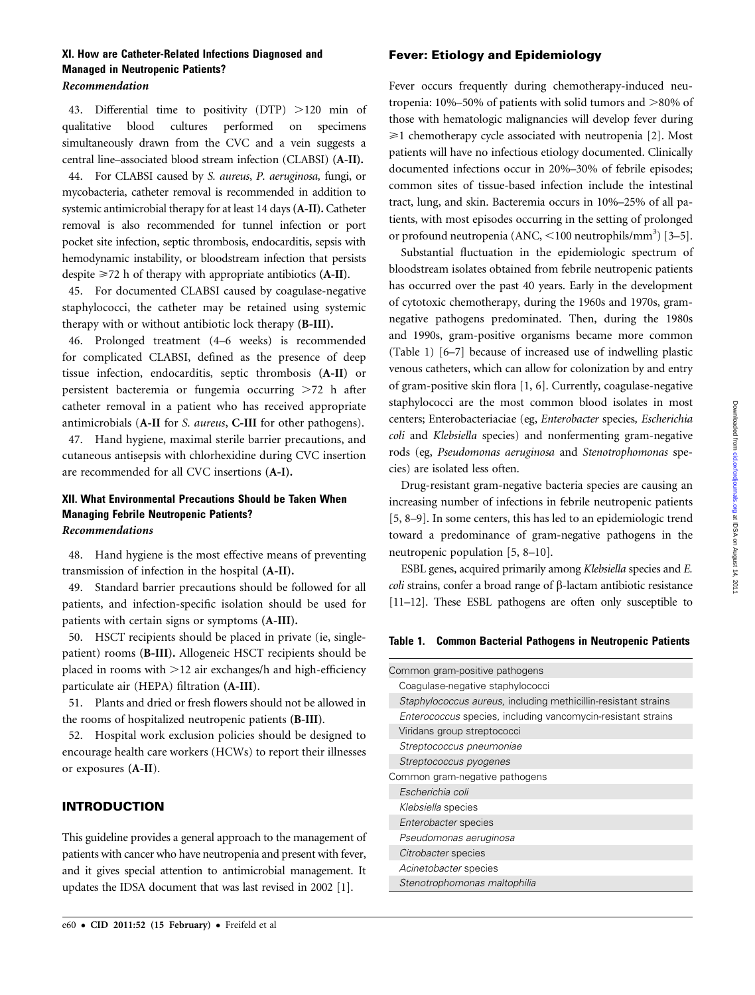#### XI. How are Catheter-Related Infections Diagnosed and Managed in Neutropenic Patients? Recommendation

43. Differential time to positivity  $(DTP) > 120$  min of qualitative blood cultures performed on specimens simultaneously drawn from the CVC and a vein suggests a central line–associated blood stream infection (CLABSI) (A-II).

44. For CLABSI caused by S. aureus, P. aeruginosa, fungi, or mycobacteria, catheter removal is recommended in addition to systemic antimicrobial therapy for at least 14 days (A-II). Catheter removal is also recommended for tunnel infection or port pocket site infection, septic thrombosis, endocarditis, sepsis with hemodynamic instability, or bloodstream infection that persists despite  $\geq$  72 h of therapy with appropriate antibiotics (A-II).

45. For documented CLABSI caused by coagulase-negative staphylococci, the catheter may be retained using systemic therapy with or without antibiotic lock therapy (B-III).

46. Prolonged treatment (4–6 weeks) is recommended for complicated CLABSI, defined as the presence of deep tissue infection, endocarditis, septic thrombosis (A-II) or persistent bacteremia or fungemia occurring  $>72$  h after catheter removal in a patient who has received appropriate antimicrobials (A-II for S. aureus, C-III for other pathogens).

47. Hand hygiene, maximal sterile barrier precautions, and cutaneous antisepsis with chlorhexidine during CVC insertion are recommended for all CVC insertions (A-I).

# XII. What Environmental Precautions Should be Taken When Managing Febrile Neutropenic Patients? Recommendations

48. Hand hygiene is the most effective means of preventing transmission of infection in the hospital (A-II).

49. Standard barrier precautions should be followed for all patients, and infection-specific isolation should be used for patients with certain signs or symptoms (A-III).

50. HSCT recipients should be placed in private (ie, singlepatient) rooms (B-III). Allogeneic HSCT recipients should be placed in rooms with  $>12$  air exchanges/h and high-efficiency particulate air (HEPA) filtration (A-III).

51. Plants and dried or fresh flowers should not be allowed in the rooms of hospitalized neutropenic patients (B-III).

52. Hospital work exclusion policies should be designed to encourage health care workers (HCWs) to report their illnesses or exposures (A-II).

# INTRODUCTION

This guideline provides a general approach to the management of patients with cancer who have neutropenia and present with fever, and it gives special attention to antimicrobial management. It updates the IDSA document that was last revised in 2002 [1].

## Fever: Etiology and Epidemiology

Fever occurs frequently during chemotherapy-induced neutropenia:  $10\% - 50\%$  of patients with solid tumors and  $>80\%$  of those with hematologic malignancies will develop fever during  $\geq 1$  chemotherapy cycle associated with neutropenia [2]. Most patients will have no infectious etiology documented. Clinically documented infections occur in 20%–30% of febrile episodes; common sites of tissue-based infection include the intestinal tract, lung, and skin. Bacteremia occurs in 10%–25% of all patients, with most episodes occurring in the setting of prolonged or profound neutropenia (ANC, <100 neutrophils/mm<sup>3</sup>) [3-5].

Substantial fluctuation in the epidemiologic spectrum of bloodstream isolates obtained from febrile neutropenic patients has occurred over the past 40 years. Early in the development of cytotoxic chemotherapy, during the 1960s and 1970s, gramnegative pathogens predominated. Then, during the 1980s and 1990s, gram-positive organisms became more common (Table 1) [6–7] because of increased use of indwelling plastic venous catheters, which can allow for colonization by and entry of gram-positive skin flora [1, 6]. Currently, coagulase-negative staphylococci are the most common blood isolates in most centers; Enterobacteriaciae (eg, Enterobacter species, Escherichia coli and Klebsiella species) and nonfermenting gram-negative rods (eg, Pseudomonas aeruginosa and Stenotrophomonas species) are isolated less often.

Drug-resistant gram-negative bacteria species are causing an increasing number of infections in febrile neutropenic patients [5, 8–9]. In some centers, this has led to an epidemiologic trend toward a predominance of gram-negative pathogens in the neutropenic population [5, 8–10].

ESBL genes, acquired primarily among Klebsiella species and E.  $\text{coli strains}$ , confer a broad range of  $\beta$ -lactam antibiotic resistance [11–12]. These ESBL pathogens are often only susceptible to

Table 1. Common Bacterial Pathogens in Neutropenic Patients

| Common gram-positive pathogens                                 |  |  |
|----------------------------------------------------------------|--|--|
| Coaqulase-negative staphylococci                               |  |  |
| Staphylococcus aureus, including methicillin-resistant strains |  |  |
| Enterococcus species, including vancomycin-resistant strains   |  |  |
| Viridans group streptococci                                    |  |  |
| Streptococcus pneumoniae                                       |  |  |
| Streptococcus pyogenes                                         |  |  |
| Common gram-negative pathogens                                 |  |  |
| Escherichia coli                                               |  |  |
| Klebsiella species                                             |  |  |
| Enterobacter species                                           |  |  |
| Pseudomonas aeruginosa                                         |  |  |
| Citrobacter species                                            |  |  |
| Acinetobacter species                                          |  |  |
| Stenotrophomonas maltophilia                                   |  |  |
|                                                                |  |  |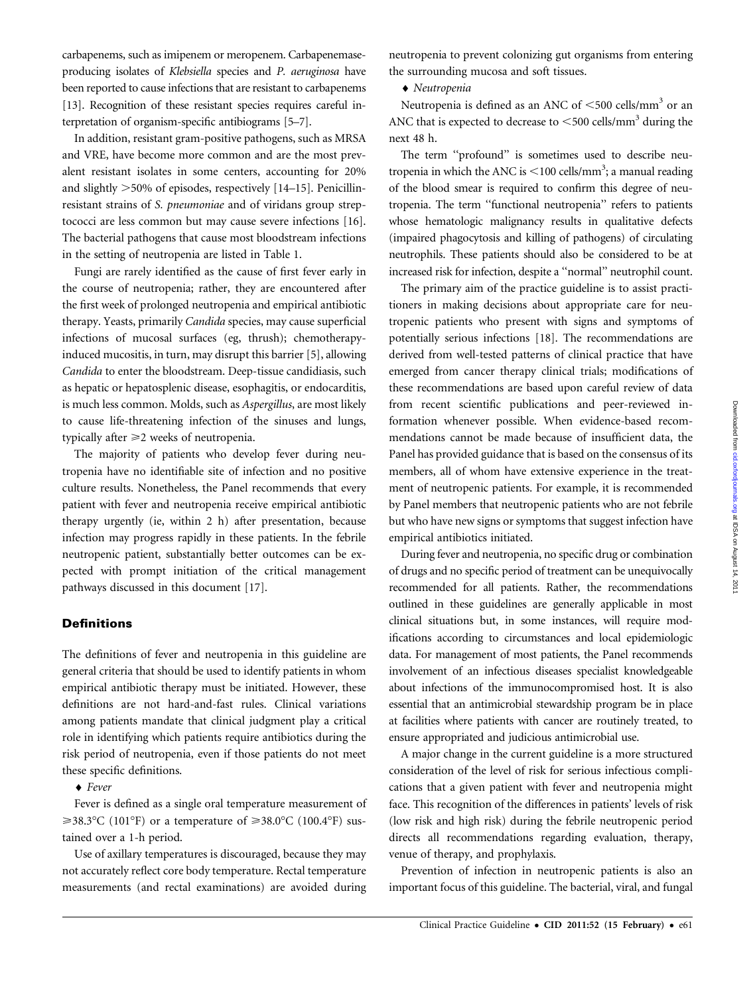carbapenems, such as imipenem or meropenem. Carbapenemaseproducing isolates of Klebsiella species and P. aeruginosa have been reported to cause infections that are resistant to carbapenems [13]. Recognition of these resistant species requires careful interpretation of organism-specific antibiograms [5–7].

In addition, resistant gram-positive pathogens, such as MRSA and VRE, have become more common and are the most prevalent resistant isolates in some centers, accounting for 20% and slightly  $>50\%$  of episodes, respectively [14–15]. Penicillinresistant strains of S. pneumoniae and of viridans group streptococci are less common but may cause severe infections [16]. The bacterial pathogens that cause most bloodstream infections in the setting of neutropenia are listed in Table 1.

Fungi are rarely identified as the cause of first fever early in the course of neutropenia; rather, they are encountered after the first week of prolonged neutropenia and empirical antibiotic therapy. Yeasts, primarily Candida species, may cause superficial infections of mucosal surfaces (eg, thrush); chemotherapyinduced mucositis, in turn, may disrupt this barrier [5], allowing Candida to enter the bloodstream. Deep-tissue candidiasis, such as hepatic or hepatosplenic disease, esophagitis, or endocarditis, is much less common. Molds, such as Aspergillus, are most likely to cause life-threatening infection of the sinuses and lungs, typically after  $\geq 2$  weeks of neutropenia.

The majority of patients who develop fever during neutropenia have no identifiable site of infection and no positive culture results. Nonetheless, the Panel recommends that every patient with fever and neutropenia receive empirical antibiotic therapy urgently (ie, within 2 h) after presentation, because infection may progress rapidly in these patients. In the febrile neutropenic patient, substantially better outcomes can be expected with prompt initiation of the critical management pathways discussed in this document [17].

#### **Definitions**

The definitions of fever and neutropenia in this guideline are general criteria that should be used to identify patients in whom empirical antibiotic therapy must be initiated. However, these definitions are not hard-and-fast rules. Clinical variations among patients mandate that clinical judgment play a critical role in identifying which patients require antibiotics during the risk period of neutropenia, even if those patients do not meet these specific definitions.

# $\bullet$  Fever

Fever is defined as a single oral temperature measurement of  $\geq 38.3^{\circ}$ C (101°F) or a temperature of  $\geq 38.0^{\circ}$ C (100.4°F) sustained over a 1-h period.

Use of axillary temperatures is discouraged, because they may not accurately reflect core body temperature. Rectal temperature measurements (and rectal examinations) are avoided during neutropenia to prevent colonizing gut organisms from entering the surrounding mucosa and soft tissues.

 $\blacklozenge$  Neutropenia

Neutropenia is defined as an ANC of  $\leq$ 500 cells/mm<sup>3</sup> or an ANC that is expected to decrease to  $\leq$ 500 cells/mm<sup>3</sup> during the next 48 h.

The term ''profound'' is sometimes used to describe neutropenia in which the ANC is  $<$  100 cells/mm<sup>3</sup>; a manual reading of the blood smear is required to confirm this degree of neutropenia. The term ''functional neutropenia'' refers to patients whose hematologic malignancy results in qualitative defects (impaired phagocytosis and killing of pathogens) of circulating neutrophils. These patients should also be considered to be at increased risk for infection, despite a ''normal'' neutrophil count.

The primary aim of the practice guideline is to assist practitioners in making decisions about appropriate care for neutropenic patients who present with signs and symptoms of potentially serious infections [18]. The recommendations are derived from well-tested patterns of clinical practice that have emerged from cancer therapy clinical trials; modifications of these recommendations are based upon careful review of data from recent scientific publications and peer-reviewed information whenever possible. When evidence-based recommendations cannot be made because of insufficient data, the Panel has provided guidance that is based on the consensus of its members, all of whom have extensive experience in the treatment of neutropenic patients. For example, it is recommended by Panel members that neutropenic patients who are not febrile but who have new signs or symptoms that suggest infection have empirical antibiotics initiated.

During fever and neutropenia, no specific drug or combination of drugs and no specific period of treatment can be unequivocally recommended for all patients. Rather, the recommendations outlined in these guidelines are generally applicable in most clinical situations but, in some instances, will require modifications according to circumstances and local epidemiologic data. For management of most patients, the Panel recommends involvement of an infectious diseases specialist knowledgeable about infections of the immunocompromised host. It is also essential that an antimicrobial stewardship program be in place at facilities where patients with cancer are routinely treated, to ensure appropriated and judicious antimicrobial use.

A major change in the current guideline is a more structured consideration of the level of risk for serious infectious complications that a given patient with fever and neutropenia might face. This recognition of the differences in patients' levels of risk (low risk and high risk) during the febrile neutropenic period directs all recommendations regarding evaluation, therapy, venue of therapy, and prophylaxis.

Prevention of infection in neutropenic patients is also an important focus of this guideline. The bacterial, viral, and fungal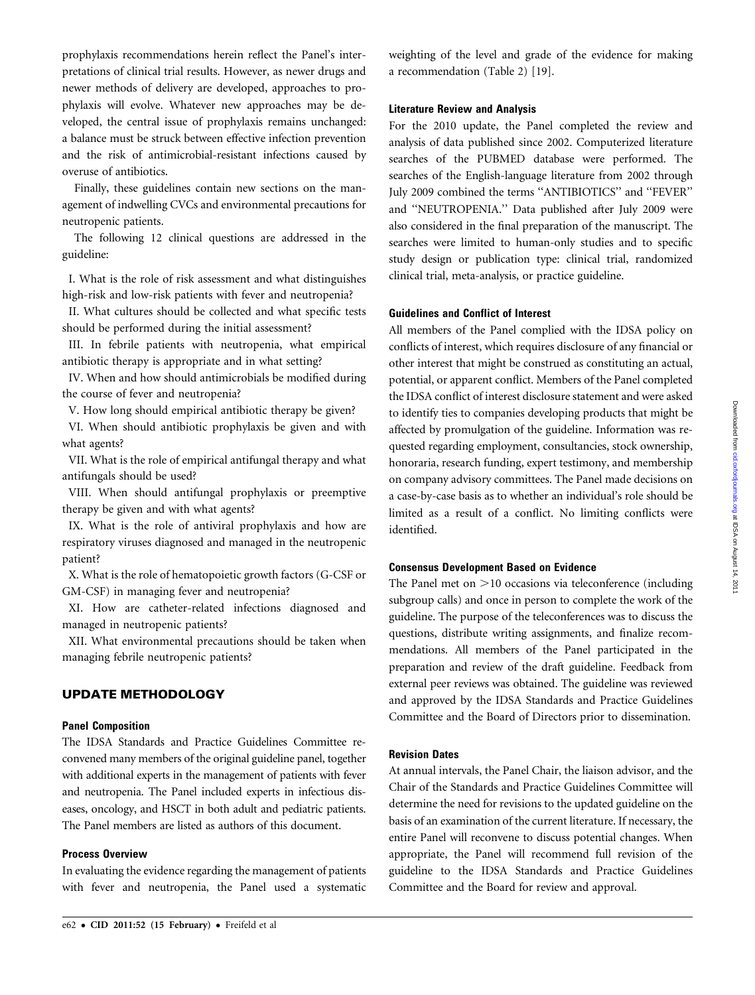prophylaxis recommendations herein reflect the Panel's interpretations of clinical trial results. However, as newer drugs and newer methods of delivery are developed, approaches to prophylaxis will evolve. Whatever new approaches may be developed, the central issue of prophylaxis remains unchanged: a balance must be struck between effective infection prevention and the risk of antimicrobial-resistant infections caused by overuse of antibiotics.

Finally, these guidelines contain new sections on the management of indwelling CVCs and environmental precautions for neutropenic patients.

The following 12 clinical questions are addressed in the guideline:

I. What is the role of risk assessment and what distinguishes high-risk and low-risk patients with fever and neutropenia?

II. What cultures should be collected and what specific tests should be performed during the initial assessment?

III. In febrile patients with neutropenia, what empirical antibiotic therapy is appropriate and in what setting?

IV. When and how should antimicrobials be modified during the course of fever and neutropenia?

V. How long should empirical antibiotic therapy be given?

VI. When should antibiotic prophylaxis be given and with what agents?

VII. What is the role of empirical antifungal therapy and what antifungals should be used?

VIII. When should antifungal prophylaxis or preemptive therapy be given and with what agents?

IX. What is the role of antiviral prophylaxis and how are respiratory viruses diagnosed and managed in the neutropenic patient?

X. What is the role of hematopoietic growth factors (G-CSF or GM-CSF) in managing fever and neutropenia?

XI. How are catheter-related infections diagnosed and managed in neutropenic patients?

XII. What environmental precautions should be taken when managing febrile neutropenic patients?

# UPDATE METHODOLOGY

#### Panel Composition

The IDSA Standards and Practice Guidelines Committee reconvened many members of the original guideline panel, together with additional experts in the management of patients with fever and neutropenia. The Panel included experts in infectious diseases, oncology, and HSCT in both adult and pediatric patients. The Panel members are listed as authors of this document.

# Process Overview

In evaluating the evidence regarding the management of patients with fever and neutropenia, the Panel used a systematic

weighting of the level and grade of the evidence for making a recommendation (Table 2) [19].

#### Literature Review and Analysis

For the 2010 update, the Panel completed the review and analysis of data published since 2002. Computerized literature searches of the PUBMED database were performed. The searches of the English-language literature from 2002 through July 2009 combined the terms ''ANTIBIOTICS'' and ''FEVER'' and ''NEUTROPENIA.'' Data published after July 2009 were also considered in the final preparation of the manuscript. The searches were limited to human-only studies and to specific study design or publication type: clinical trial, randomized clinical trial, meta-analysis, or practice guideline.

#### Guidelines and Conflict of Interest

All members of the Panel complied with the IDSA policy on conflicts of interest, which requires disclosure of any financial or other interest that might be construed as constituting an actual, potential, or apparent conflict. Members of the Panel completed the IDSA conflict of interest disclosure statement and were asked to identify ties to companies developing products that might be affected by promulgation of the guideline. Information was requested regarding employment, consultancies, stock ownership, honoraria, research funding, expert testimony, and membership on company advisory committees. The Panel made decisions on a case-by-case basis as to whether an individual's role should be limited as a result of a conflict. No limiting conflicts were identified.

#### Consensus Development Based on Evidence

The Panel met on  $>10$  occasions via teleconference (including subgroup calls) and once in person to complete the work of the guideline. The purpose of the teleconferences was to discuss the questions, distribute writing assignments, and finalize recommendations. All members of the Panel participated in the preparation and review of the draft guideline. Feedback from external peer reviews was obtained. The guideline was reviewed and approved by the IDSA Standards and Practice Guidelines Committee and the Board of Directors prior to dissemination.

#### Revision Dates

At annual intervals, the Panel Chair, the liaison advisor, and the Chair of the Standards and Practice Guidelines Committee will determine the need for revisions to the updated guideline on the basis of an examination of the current literature. If necessary, the entire Panel will reconvene to discuss potential changes. When appropriate, the Panel will recommend full revision of the guideline to the IDSA Standards and Practice Guidelines Committee and the Board for review and approval.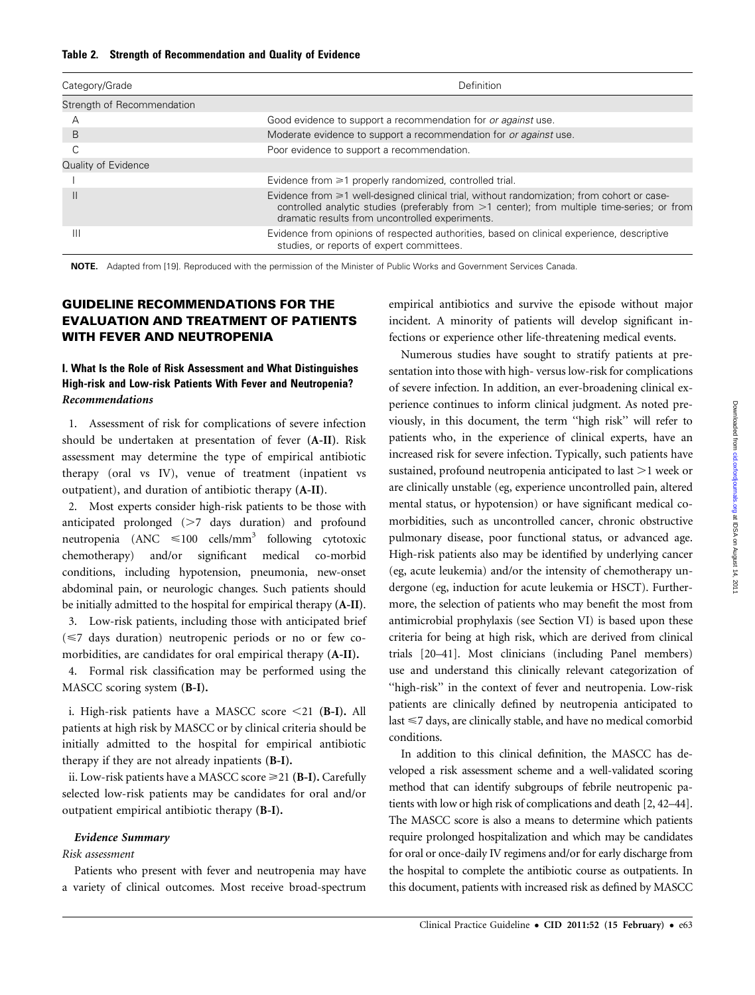| Category/Grade             | Definition                                                                                                                                                                                                                                         |
|----------------------------|----------------------------------------------------------------------------------------------------------------------------------------------------------------------------------------------------------------------------------------------------|
| Strength of Recommendation |                                                                                                                                                                                                                                                    |
| А                          | Good evidence to support a recommendation for or against use.                                                                                                                                                                                      |
| B                          | Moderate evidence to support a recommendation for <i>or against</i> use.                                                                                                                                                                           |
|                            | Poor evidence to support a recommendation.                                                                                                                                                                                                         |
| Quality of Evidence        |                                                                                                                                                                                                                                                    |
|                            | Evidence from $\geq 1$ properly randomized, controlled trial.                                                                                                                                                                                      |
|                            | Evidence from $\geq 1$ well-designed clinical trial, without randomization; from cohort or case-<br>controlled analytic studies (preferably from >1 center); from multiple time-series; or from<br>dramatic results from uncontrolled experiments. |
| Ш                          | Evidence from opinions of respected authorities, based on clinical experience, descriptive<br>studies, or reports of expert committees.                                                                                                            |

NOTE. Adapted from [19]. Reproduced with the permission of the Minister of Public Works and Government Services Canada.

# GUIDELINE RECOMMENDATIONS FOR THE EVALUATION AND TREATMENT OF PATIENTS WITH FEVER AND NEUTROPENIA

# I. What Is the Role of Risk Assessment and What Distinguishes High-risk and Low-risk Patients With Fever and Neutropenia? Recommendations

1. Assessment of risk for complications of severe infection should be undertaken at presentation of fever (A-II). Risk assessment may determine the type of empirical antibiotic therapy (oral vs IV), venue of treatment (inpatient vs outpatient), and duration of antibiotic therapy (A-II).

2. Most experts consider high-risk patients to be those with anticipated prolonged  $(>7$  days duration) and profound neutropenia (ANC  $\leq 100$  cells/mm<sup>3</sup> following cytotoxic chemotherapy) and/or significant medical co-morbid conditions, including hypotension, pneumonia, new-onset abdominal pain, or neurologic changes. Such patients should be initially admitted to the hospital for empirical therapy (A-II). 3. Low-risk patients, including those with anticipated brief  $(\leq 7$  days duration) neutropenic periods or no or few comorbidities, are candidates for oral empirical therapy (A-II).

4. Formal risk classification may be performed using the MASCC scoring system (B-I).

i. High-risk patients have a MASCC score  $\leq$  21 (B-I). All patients at high risk by MASCC or by clinical criteria should be initially admitted to the hospital for empirical antibiotic therapy if they are not already inpatients (B-I).

ii. Low-risk patients have a MASCC score  $\geq 21$  (B-I). Carefully selected low-risk patients may be candidates for oral and/or outpatient empirical antibiotic therapy (B-I).

#### Evidence Summary

#### Risk assessment

Patients who present with fever and neutropenia may have a variety of clinical outcomes. Most receive broad-spectrum empirical antibiotics and survive the episode without major incident. A minority of patients will develop significant infections or experience other life-threatening medical events.

Numerous studies have sought to stratify patients at presentation into those with high- versus low-risk for complications of severe infection. In addition, an ever-broadening clinical experience continues to inform clinical judgment. As noted previously, in this document, the term ''high risk'' will refer to patients who, in the experience of clinical experts, have an increased risk for severe infection. Typically, such patients have sustained, profound neutropenia anticipated to last  $>1$  week or are clinically unstable (eg, experience uncontrolled pain, altered mental status, or hypotension) or have significant medical comorbidities, such as uncontrolled cancer, chronic obstructive pulmonary disease, poor functional status, or advanced age. High-risk patients also may be identified by underlying cancer (eg, acute leukemia) and/or the intensity of chemotherapy undergone (eg, induction for acute leukemia or HSCT). Furthermore, the selection of patients who may benefit the most from antimicrobial prophylaxis (see Section VI) is based upon these criteria for being at high risk, which are derived from clinical trials [20–41]. Most clinicians (including Panel members) use and understand this clinically relevant categorization of "high-risk" in the context of fever and neutropenia. Low-risk patients are clinically defined by neutropenia anticipated to last <7 days, are clinically stable, and have no medical comorbid conditions.

In addition to this clinical definition, the MASCC has developed a risk assessment scheme and a well-validated scoring method that can identify subgroups of febrile neutropenic patients with low or high risk of complications and death [2, 42–44]. The MASCC score is also a means to determine which patients require prolonged hospitalization and which may be candidates for oral or once-daily IV regimens and/or for early discharge from the hospital to complete the antibiotic course as outpatients. In this document, patients with increased risk as defined by MASCC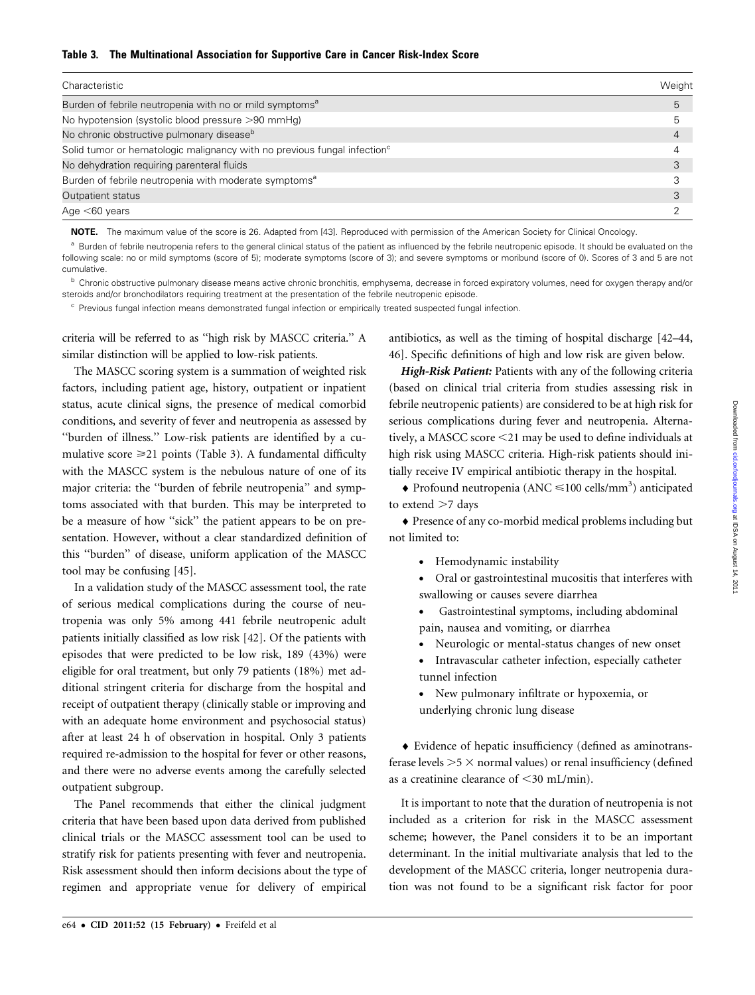Table 3. The Multinational Association for Supportive Care in Cancer Risk-Index Score

| Characteristic                                                                       | Weight |
|--------------------------------------------------------------------------------------|--------|
| Burden of febrile neutropenia with no or mild symptoms <sup>a</sup>                  |        |
| No hypotension (systolic blood pressure >90 mmHg)                                    |        |
| No chronic obstructive pulmonary disease <sup>b</sup>                                |        |
| Solid tumor or hematologic malignancy with no previous fungal infection <sup>c</sup> |        |
| No dehydration requiring parenteral fluids                                           |        |
| Burden of febrile neutropenia with moderate symptoms <sup>a</sup>                    |        |
| Outpatient status                                                                    |        |
| Age $<$ 60 years                                                                     |        |

NOTE. The maximum value of the score is 26. Adapted from [43]. Reproduced with permission of the American Society for Clinical Oncology.

Burden of febrile neutropenia refers to the general clinical status of the patient as influenced by the febrile neutropenic episode. It should be evaluated on the following scale: no or mild symptoms (score of 5); moderate symptoms (score of 3); and severe symptoms or moribund (score of 0). Scores of 3 and 5 are not cumulative.

**b** Chronic obstructive pulmonary disease means active chronic bronchitis, emphysema, decrease in forced expiratory volumes, need for oxygen therapy and/or steroids and/or bronchodilators requiring treatment at the presentation of the febrile neutropenic episode.

<sup>c</sup> Previous fungal infection means demonstrated fungal infection or empirically treated suspected fungal infection.

criteria will be referred to as ''high risk by MASCC criteria.'' A similar distinction will be applied to low-risk patients.

The MASCC scoring system is a summation of weighted risk factors, including patient age, history, outpatient or inpatient status, acute clinical signs, the presence of medical comorbid conditions, and severity of fever and neutropenia as assessed by ''burden of illness.'' Low-risk patients are identified by a cumulative score  $\geq$  21 points (Table 3). A fundamental difficulty with the MASCC system is the nebulous nature of one of its major criteria: the ''burden of febrile neutropenia'' and symptoms associated with that burden. This may be interpreted to be a measure of how ''sick'' the patient appears to be on presentation. However, without a clear standardized definition of this ''burden'' of disease, uniform application of the MASCC tool may be confusing [45].

In a validation study of the MASCC assessment tool, the rate of serious medical complications during the course of neutropenia was only 5% among 441 febrile neutropenic adult patients initially classified as low risk [42]. Of the patients with episodes that were predicted to be low risk, 189 (43%) were eligible for oral treatment, but only 79 patients (18%) met additional stringent criteria for discharge from the hospital and receipt of outpatient therapy (clinically stable or improving and with an adequate home environment and psychosocial status) after at least 24 h of observation in hospital. Only 3 patients required re-admission to the hospital for fever or other reasons, and there were no adverse events among the carefully selected outpatient subgroup.

The Panel recommends that either the clinical judgment criteria that have been based upon data derived from published clinical trials or the MASCC assessment tool can be used to stratify risk for patients presenting with fever and neutropenia. Risk assessment should then inform decisions about the type of regimen and appropriate venue for delivery of empirical

antibiotics, as well as the timing of hospital discharge [42–44, 46]. Specific definitions of high and low risk are given below.

High-Risk Patient: Patients with any of the following criteria (based on clinical trial criteria from studies assessing risk in febrile neutropenic patients) are considered to be at high risk for serious complications during fever and neutropenia. Alternatively, a MASCC score <21 may be used to define individuals at high risk using MASCC criteria. High-risk patients should initially receive IV empirical antibiotic therapy in the hospital.

◆ Profound neutropenia (ANC ≤100 cells/mm<sup>3</sup>) anticipated to extend  $>7$  days

¤ Presence of any co-morbid medical problems including but not limited to:

- Hemodynamic instability
- Oral or gastrointestinal mucositis that interferes with swallowing or causes severe diarrhea
- Gastrointestinal symptoms, including abdominal pain, nausea and vomiting, or diarrhea
- Neurologic or mental-status changes of new onset
- Intravascular catheter infection, especially catheter tunnel infection
- New pulmonary infiltrate or hypoxemia, or underlying chronic lung disease

¤ Evidence of hepatic insufficiency (defined as aminotransferase levels  $>5 \times$  normal values) or renal insufficiency (defined as a creatinine clearance of  $<$ 30 mL/min).

It is important to note that the duration of neutropenia is not included as a criterion for risk in the MASCC assessment scheme; however, the Panel considers it to be an important determinant. In the initial multivariate analysis that led to the development of the MASCC criteria, longer neutropenia duration was not found to be a significant risk factor for poor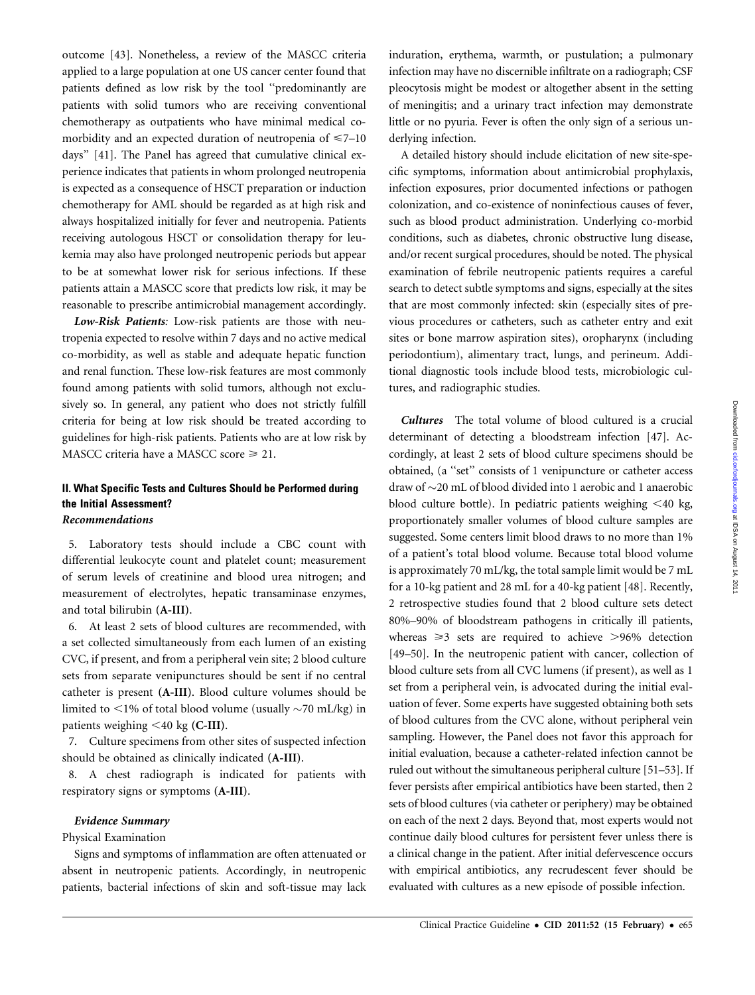outcome [43]. Nonetheless, a review of the MASCC criteria applied to a large population at one US cancer center found that patients defined as low risk by the tool ''predominantly are patients with solid tumors who are receiving conventional chemotherapy as outpatients who have minimal medical comorbidity and an expected duration of neutropenia of <7–10 days'' [41]. The Panel has agreed that cumulative clinical experience indicates that patients in whom prolonged neutropenia is expected as a consequence of HSCT preparation or induction chemotherapy for AML should be regarded as at high risk and always hospitalized initially for fever and neutropenia. Patients receiving autologous HSCT or consolidation therapy for leukemia may also have prolonged neutropenic periods but appear to be at somewhat lower risk for serious infections. If these patients attain a MASCC score that predicts low risk, it may be reasonable to prescribe antimicrobial management accordingly.

Low-Risk Patients: Low-risk patients are those with neutropenia expected to resolve within 7 days and no active medical co-morbidity, as well as stable and adequate hepatic function and renal function. These low-risk features are most commonly found among patients with solid tumors, although not exclusively so. In general, any patient who does not strictly fulfill criteria for being at low risk should be treated according to guidelines for high-risk patients. Patients who are at low risk by MASCC criteria have a MASCC score  $\geq 21$ .

#### II. What Specific Tests and Cultures Should be Performed during the Initial Assessment? Recommendations

5. Laboratory tests should include a CBC count with differential leukocyte count and platelet count; measurement of serum levels of creatinine and blood urea nitrogen; and measurement of electrolytes, hepatic transaminase enzymes, and total bilirubin (A-III).

6. At least 2 sets of blood cultures are recommended, with a set collected simultaneously from each lumen of an existing CVC, if present, and from a peripheral vein site; 2 blood culture sets from separate venipunctures should be sent if no central catheter is present (A-III). Blood culture volumes should be limited to  $\leq$ 1% of total blood volume (usually  $\sim$ 70 mL/kg) in patients weighing  $\leq 40$  kg (C-III).

7. Culture specimens from other sites of suspected infection should be obtained as clinically indicated (A-III).

8. A chest radiograph is indicated for patients with respiratory signs or symptoms (A-III).

#### Evidence Summary

Physical Examination

Signs and symptoms of inflammation are often attenuated or absent in neutropenic patients. Accordingly, in neutropenic patients, bacterial infections of skin and soft-tissue may lack

induration, erythema, warmth, or pustulation; a pulmonary infection may have no discernible infiltrate on a radiograph; CSF pleocytosis might be modest or altogether absent in the setting of meningitis; and a urinary tract infection may demonstrate little or no pyuria. Fever is often the only sign of a serious underlying infection.

A detailed history should include elicitation of new site-specific symptoms, information about antimicrobial prophylaxis, infection exposures, prior documented infections or pathogen colonization, and co-existence of noninfectious causes of fever, such as blood product administration. Underlying co-morbid conditions, such as diabetes, chronic obstructive lung disease, and/or recent surgical procedures, should be noted. The physical examination of febrile neutropenic patients requires a careful search to detect subtle symptoms and signs, especially at the sites that are most commonly infected: skin (especially sites of previous procedures or catheters, such as catheter entry and exit sites or bone marrow aspiration sites), oropharynx (including periodontium), alimentary tract, lungs, and perineum. Additional diagnostic tools include blood tests, microbiologic cultures, and radiographic studies.

Cultures The total volume of blood cultured is a crucial determinant of detecting a bloodstream infection [47]. Accordingly, at least 2 sets of blood culture specimens should be obtained, (a ''set'' consists of 1 venipuncture or catheter access draw of 20 mL of blood divided into 1 aerobic and 1 anaerobic blood culture bottle). In pediatric patients weighing  $\leq 40$  kg, proportionately smaller volumes of blood culture samples are suggested. Some centers limit blood draws to no more than 1% of a patient's total blood volume. Because total blood volume is approximately 70 mL/kg, the total sample limit would be 7 mL for a 10-kg patient and 28 mL for a 40-kg patient [48]. Recently, 2 retrospective studies found that 2 blood culture sets detect 80%–90% of bloodstream pathogens in critically ill patients, whereas  $\geq 3$  sets are required to achieve  $> 96\%$  detection [49–50]. In the neutropenic patient with cancer, collection of blood culture sets from all CVC lumens (if present), as well as 1 set from a peripheral vein, is advocated during the initial evaluation of fever. Some experts have suggested obtaining both sets of blood cultures from the CVC alone, without peripheral vein sampling. However, the Panel does not favor this approach for initial evaluation, because a catheter-related infection cannot be ruled out without the simultaneous peripheral culture [51–53]. If fever persists after empirical antibiotics have been started, then 2 sets of blood cultures (via catheter or periphery) may be obtained on each of the next 2 days. Beyond that, most experts would not continue daily blood cultures for persistent fever unless there is a clinical change in the patient. After initial defervescence occurs with empirical antibiotics, any recrudescent fever should be evaluated with cultures as a new episode of possible infection.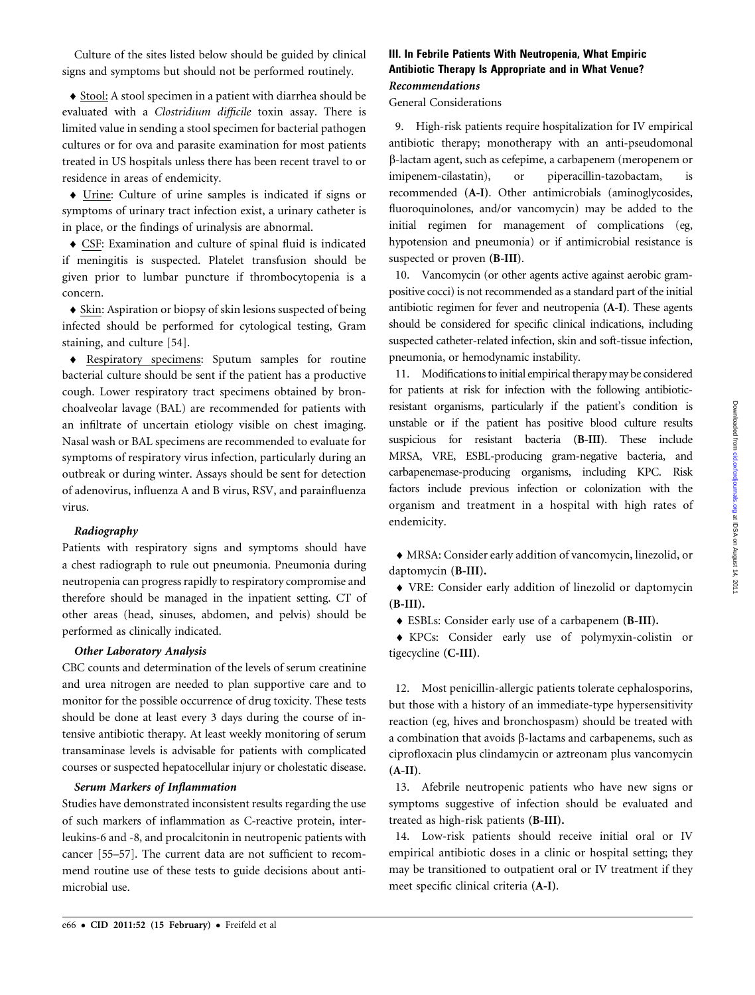Culture of the sites listed below should be guided by clinical signs and symptoms but should not be performed routinely.

¤ Stool: A stool specimen in a patient with diarrhea should be evaluated with a Clostridium difficile toxin assay. There is limited value in sending a stool specimen for bacterial pathogen cultures or for ova and parasite examination for most patients treated in US hospitals unless there has been recent travel to or residence in areas of endemicity.

¤ Urine: Culture of urine samples is indicated if signs or symptoms of urinary tract infection exist, a urinary catheter is in place, or the findings of urinalysis are abnormal.

¤ CSF: Examination and culture of spinal fluid is indicated if meningitis is suspected. Platelet transfusion should be given prior to lumbar puncture if thrombocytopenia is a concern.

¤ Skin: Aspiration or biopsy of skin lesions suspected of being infected should be performed for cytological testing, Gram staining, and culture [54].

¤ Respiratory specimens: Sputum samples for routine bacterial culture should be sent if the patient has a productive cough. Lower respiratory tract specimens obtained by bronchoalveolar lavage (BAL) are recommended for patients with an infiltrate of uncertain etiology visible on chest imaging. Nasal wash or BAL specimens are recommended to evaluate for symptoms of respiratory virus infection, particularly during an outbreak or during winter. Assays should be sent for detection of adenovirus, influenza A and B virus, RSV, and parainfluenza virus.

# Radiography

Patients with respiratory signs and symptoms should have a chest radiograph to rule out pneumonia. Pneumonia during neutropenia can progress rapidly to respiratory compromise and therefore should be managed in the inpatient setting. CT of other areas (head, sinuses, abdomen, and pelvis) should be performed as clinically indicated.

# Other Laboratory Analysis

CBC counts and determination of the levels of serum creatinine and urea nitrogen are needed to plan supportive care and to monitor for the possible occurrence of drug toxicity. These tests should be done at least every 3 days during the course of intensive antibiotic therapy. At least weekly monitoring of serum transaminase levels is advisable for patients with complicated courses or suspected hepatocellular injury or cholestatic disease.

# Serum Markers of Inflammation

Studies have demonstrated inconsistent results regarding the use of such markers of inflammation as C-reactive protein, interleukins-6 and -8, and procalcitonin in neutropenic patients with cancer [55–57]. The current data are not sufficient to recommend routine use of these tests to guide decisions about antimicrobial use.

# III. In Febrile Patients With Neutropenia, What Empiric Antibiotic Therapy Is Appropriate and in What Venue? Recommendations

General Considerations

9. High-risk patients require hospitalization for IV empirical antibiotic therapy; monotherapy with an anti-pseudomonal b-lactam agent, such as cefepime, a carbapenem (meropenem or imipenem-cilastatin), or piperacillin-tazobactam, is recommended (A-I). Other antimicrobials (aminoglycosides, fluoroquinolones, and/or vancomycin) may be added to the initial regimen for management of complications (eg, hypotension and pneumonia) or if antimicrobial resistance is suspected or proven (B-III).

10. Vancomycin (or other agents active against aerobic grampositive cocci) is not recommended as a standard part of the initial antibiotic regimen for fever and neutropenia (A-I). These agents should be considered for specific clinical indications, including suspected catheter-related infection, skin and soft-tissue infection, pneumonia, or hemodynamic instability.

11. Modifications to initial empirical therapy may be considered for patients at risk for infection with the following antibioticresistant organisms, particularly if the patient's condition is unstable or if the patient has positive blood culture results suspicious for resistant bacteria (B-III). These include MRSA, VRE, ESBL-producing gram-negative bacteria, and carbapenemase-producing organisms, including KPC. Risk factors include previous infection or colonization with the organism and treatment in a hospital with high rates of endemicity.

¤ MRSA: Consider early addition of vancomycin, linezolid, or daptomycin (B-III).

¤ VRE: Consider early addition of linezolid or daptomycin  $(B-III).$ 

¤ ESBLs: Consider early use of a carbapenem (B-III).

¤ KPCs: Consider early use of polymyxin-colistin or tigecycline (C-III).

12. Most penicillin-allergic patients tolerate cephalosporins, but those with a history of an immediate-type hypersensitivity reaction (eg, hives and bronchospasm) should be treated with a combination that avoids  $\beta$ -lactams and carbapenems, such as ciprofloxacin plus clindamycin or aztreonam plus vancomycin  $(A-II).$ 

13. Afebrile neutropenic patients who have new signs or symptoms suggestive of infection should be evaluated and treated as high-risk patients (B-III).

14. Low-risk patients should receive initial oral or IV empirical antibiotic doses in a clinic or hospital setting; they may be transitioned to outpatient oral or IV treatment if they meet specific clinical criteria (A-I).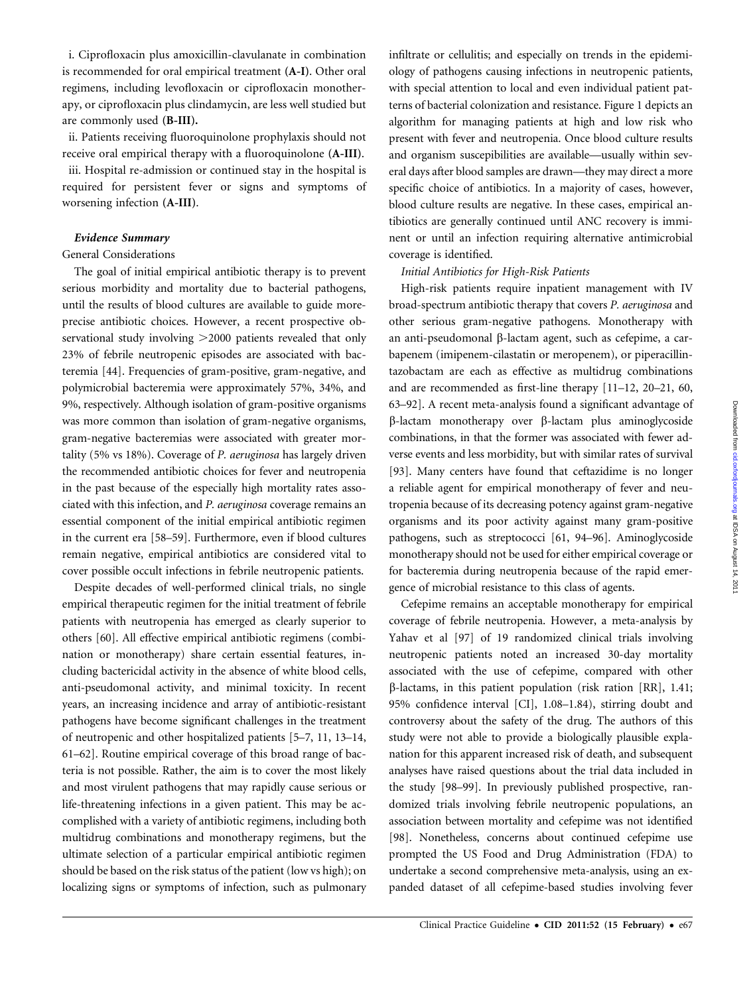i. Ciprofloxacin plus amoxicillin-clavulanate in combination is recommended for oral empirical treatment (A-I). Other oral regimens, including levofloxacin or ciprofloxacin monotherapy, or ciprofloxacin plus clindamycin, are less well studied but are commonly used (B-III).

ii. Patients receiving fluoroquinolone prophylaxis should not receive oral empirical therapy with a fluoroquinolone (A-III).

iii. Hospital re-admission or continued stay in the hospital is required for persistent fever or signs and symptoms of worsening infection (A-III).

#### Evidence Summary

#### General Considerations

The goal of initial empirical antibiotic therapy is to prevent serious morbidity and mortality due to bacterial pathogens, until the results of blood cultures are available to guide moreprecise antibiotic choices. However, a recent prospective observational study involving >2000 patients revealed that only 23% of febrile neutropenic episodes are associated with bacteremia [44]. Frequencies of gram-positive, gram-negative, and polymicrobial bacteremia were approximately 57%, 34%, and 9%, respectively. Although isolation of gram-positive organisms was more common than isolation of gram-negative organisms, gram-negative bacteremias were associated with greater mortality (5% vs 18%). Coverage of P. aeruginosa has largely driven the recommended antibiotic choices for fever and neutropenia in the past because of the especially high mortality rates associated with this infection, and P. aeruginosa coverage remains an essential component of the initial empirical antibiotic regimen in the current era [58–59]. Furthermore, even if blood cultures remain negative, empirical antibiotics are considered vital to cover possible occult infections in febrile neutropenic patients.

Despite decades of well-performed clinical trials, no single empirical therapeutic regimen for the initial treatment of febrile patients with neutropenia has emerged as clearly superior to others [60]. All effective empirical antibiotic regimens (combination or monotherapy) share certain essential features, including bactericidal activity in the absence of white blood cells, anti-pseudomonal activity, and minimal toxicity. In recent years, an increasing incidence and array of antibiotic-resistant pathogens have become significant challenges in the treatment of neutropenic and other hospitalized patients [5–7, 11, 13–14, 61–62]. Routine empirical coverage of this broad range of bacteria is not possible. Rather, the aim is to cover the most likely and most virulent pathogens that may rapidly cause serious or life-threatening infections in a given patient. This may be accomplished with a variety of antibiotic regimens, including both multidrug combinations and monotherapy regimens, but the ultimate selection of a particular empirical antibiotic regimen should be based on the risk status of the patient (low vs high); on localizing signs or symptoms of infection, such as pulmonary infiltrate or cellulitis; and especially on trends in the epidemiology of pathogens causing infections in neutropenic patients, with special attention to local and even individual patient patterns of bacterial colonization and resistance. Figure 1 depicts an algorithm for managing patients at high and low risk who present with fever and neutropenia. Once blood culture results and organism suscepibilities are available—usually within several days after blood samples are drawn—they may direct a more specific choice of antibiotics. In a majority of cases, however, blood culture results are negative. In these cases, empirical antibiotics are generally continued until ANC recovery is imminent or until an infection requiring alternative antimicrobial coverage is identified.

#### Initial Antibiotics for High-Risk Patients

High-risk patients require inpatient management with IV broad-spectrum antibiotic therapy that covers P. aeruginosa and other serious gram-negative pathogens. Monotherapy with an anti-pseudomonal  $\beta$ -lactam agent, such as cefepime, a carbapenem (imipenem-cilastatin or meropenem), or piperacillintazobactam are each as effective as multidrug combinations and are recommended as first-line therapy [11–12, 20–21, 60, 63–92]. A recent meta-analysis found a significant advantage of b-lactam monotherapy over b-lactam plus aminoglycoside combinations, in that the former was associated with fewer adverse events and less morbidity, but with similar rates of survival [93]. Many centers have found that ceftazidime is no longer a reliable agent for empirical monotherapy of fever and neutropenia because of its decreasing potency against gram-negative organisms and its poor activity against many gram-positive pathogens, such as streptococci [61, 94–96]. Aminoglycoside monotherapy should not be used for either empirical coverage or for bacteremia during neutropenia because of the rapid emergence of microbial resistance to this class of agents.

Cefepime remains an acceptable monotherapy for empirical coverage of febrile neutropenia. However, a meta-analysis by Yahav et al [97] of 19 randomized clinical trials involving neutropenic patients noted an increased 30-day mortality associated with the use of cefepime, compared with other  $\beta$ -lactams, in this patient population (risk ration [RR], 1.41; 95% confidence interval [CI], 1.08–1.84), stirring doubt and controversy about the safety of the drug. The authors of this study were not able to provide a biologically plausible explanation for this apparent increased risk of death, and subsequent analyses have raised questions about the trial data included in the study [98–99]. In previously published prospective, randomized trials involving febrile neutropenic populations, an association between mortality and cefepime was not identified [98]. Nonetheless, concerns about continued cefepime use prompted the US Food and Drug Administration (FDA) to undertake a second comprehensive meta-analysis, using an expanded dataset of all cefepime-based studies involving fever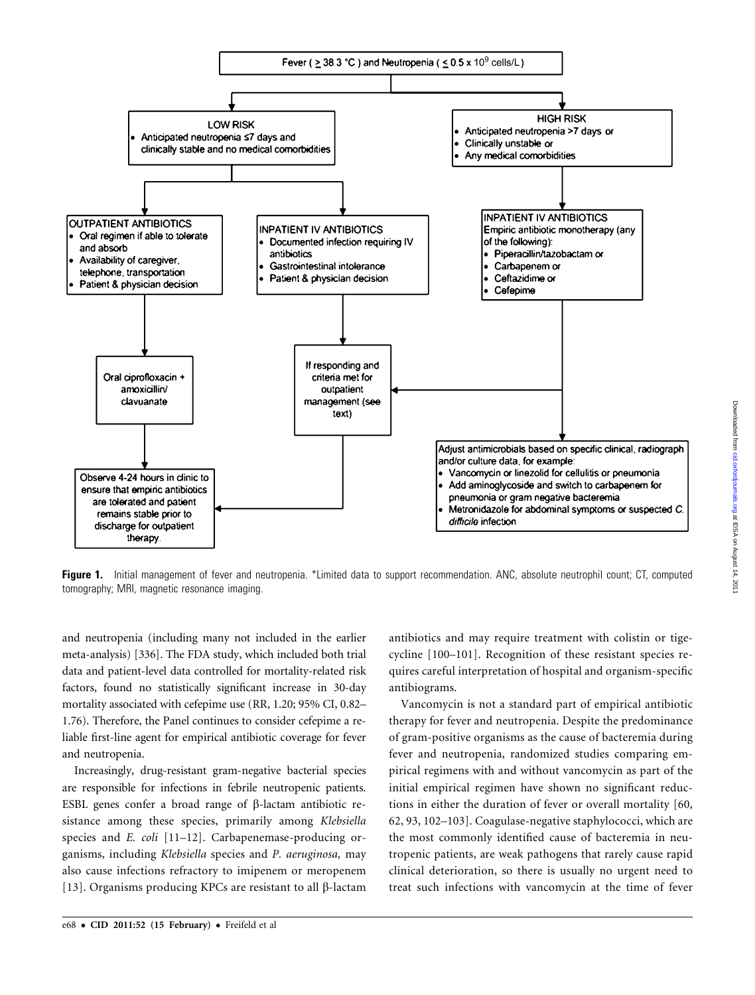

Figure 1. Initial management of fever and neutropenia. \*Limited data to support recommendation. ANC, absolute neutrophil count; CT, computed tomography; MRI, magnetic resonance imaging.

and neutropenia (including many not included in the earlier meta-analysis) [336]. The FDA study, which included both trial data and patient-level data controlled for mortality-related risk factors, found no statistically significant increase in 30-day mortality associated with cefepime use (RR, 1.20; 95% CI, 0.82– 1.76). Therefore, the Panel continues to consider cefepime a reliable first-line agent for empirical antibiotic coverage for fever and neutropenia.

Increasingly, drug-resistant gram-negative bacterial species are responsible for infections in febrile neutropenic patients. ESBL genes confer a broad range of  $\beta$ -lactam antibiotic resistance among these species, primarily among Klebsiella species and *E. coli* [11–12]. Carbapenemase-producing organisms, including Klebsiella species and P. aeruginosa, may also cause infections refractory to imipenem or meropenem [13]. Organisms producing KPCs are resistant to all  $\beta$ -lactam

antibiotics and may require treatment with colistin or tigecycline [100–101]. Recognition of these resistant species requires careful interpretation of hospital and organism-specific antibiograms.

Vancomycin is not a standard part of empirical antibiotic therapy for fever and neutropenia. Despite the predominance of gram-positive organisms as the cause of bacteremia during fever and neutropenia, randomized studies comparing empirical regimens with and without vancomycin as part of the initial empirical regimen have shown no significant reductions in either the duration of fever or overall mortality [60, 62, 93, 102–103]. Coagulase-negative staphylococci, which are the most commonly identified cause of bacteremia in neutropenic patients, are weak pathogens that rarely cause rapid clinical deterioration, so there is usually no urgent need to treat such infections with vancomycin at the time of fever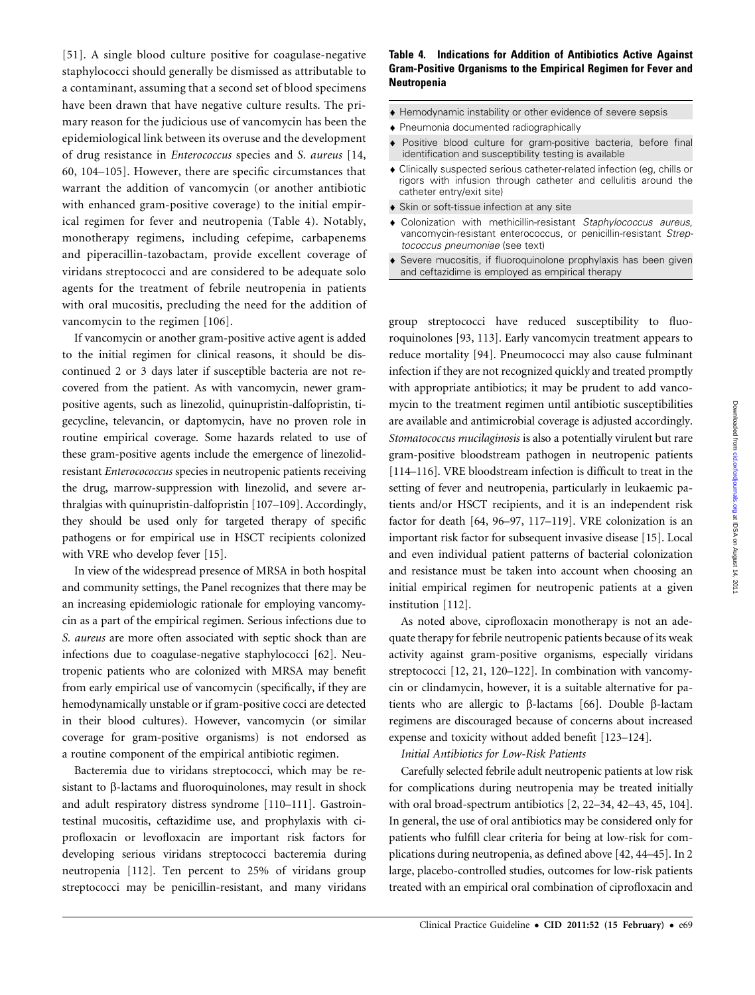[51]. A single blood culture positive for coagulase-negative staphylococci should generally be dismissed as attributable to a contaminant, assuming that a second set of blood specimens have been drawn that have negative culture results. The primary reason for the judicious use of vancomycin has been the epidemiological link between its overuse and the development of drug resistance in Enterococcus species and S. aureus [14, 60, 104–105]. However, there are specific circumstances that warrant the addition of vancomycin (or another antibiotic with enhanced gram-positive coverage) to the initial empirical regimen for fever and neutropenia (Table 4). Notably, monotherapy regimens, including cefepime, carbapenems and piperacillin-tazobactam, provide excellent coverage of viridans streptococci and are considered to be adequate solo agents for the treatment of febrile neutropenia in patients with oral mucositis, precluding the need for the addition of vancomycin to the regimen [106].

If vancomycin or another gram-positive active agent is added to the initial regimen for clinical reasons, it should be discontinued 2 or 3 days later if susceptible bacteria are not recovered from the patient. As with vancomycin, newer grampositive agents, such as linezolid, quinupristin-dalfopristin, tigecycline, televancin, or daptomycin, have no proven role in routine empirical coverage. Some hazards related to use of these gram-positive agents include the emergence of linezolidresistant Enterocococcus species in neutropenic patients receiving the drug, marrow-suppression with linezolid, and severe arthralgias with quinupristin-dalfopristin [107–109]. Accordingly, they should be used only for targeted therapy of specific pathogens or for empirical use in HSCT recipients colonized with VRE who develop fever [15].

In view of the widespread presence of MRSA in both hospital and community settings, the Panel recognizes that there may be an increasing epidemiologic rationale for employing vancomycin as a part of the empirical regimen. Serious infections due to S. aureus are more often associated with septic shock than are infections due to coagulase-negative staphylococci [62]. Neutropenic patients who are colonized with MRSA may benefit from early empirical use of vancomycin (specifically, if they are hemodynamically unstable or if gram-positive cocci are detected in their blood cultures). However, vancomycin (or similar coverage for gram-positive organisms) is not endorsed as a routine component of the empirical antibiotic regimen.

Bacteremia due to viridans streptococci, which may be resistant to  $\beta$ -lactams and fluoroquinolones, may result in shock and adult respiratory distress syndrome [110–111]. Gastrointestinal mucositis, ceftazidime use, and prophylaxis with ciprofloxacin or levofloxacin are important risk factors for developing serious viridans streptococci bacteremia during neutropenia [112]. Ten percent to 25% of viridans group streptococci may be penicillin-resistant, and many viridans

#### Table 4. Indications for Addition of Antibiotics Active Against Gram-Positive Organisms to the Empirical Regimen for Fever and **Neutropenia**

- ¤ Hemodynamic instability or other evidence of severe sepsis
- ¤ Pneumonia documented radiographically
- Positive blood culture for gram-positive bacteria, before final identification and susceptibility testing is available
- ◆ Clinically suspected serious catheter-related infection (eg, chills or rigors with infusion through catheter and cellulitis around the catheter entry/exit site)
- Skin or soft-tissue infection at any site
- Colonization with methicillin-resistant Staphylococcus aureus, vancomycin-resistant enterococcus, or penicillin-resistant Streptococcus pneumoniae (see text)
- ¤ Severe mucositis, if fluoroquinolone prophylaxis has been given and ceftazidime is employed as empirical therapy

group streptococci have reduced susceptibility to fluoroquinolones [93, 113]. Early vancomycin treatment appears to reduce mortality [94]. Pneumococci may also cause fulminant infection if they are not recognized quickly and treated promptly with appropriate antibiotics; it may be prudent to add vancomycin to the treatment regimen until antibiotic susceptibilities are available and antimicrobial coverage is adjusted accordingly. Stomatococcus mucilaginosis is also a potentially virulent but rare gram-positive bloodstream pathogen in neutropenic patients [114–116]. VRE bloodstream infection is difficult to treat in the setting of fever and neutropenia, particularly in leukaemic patients and/or HSCT recipients, and it is an independent risk factor for death [64, 96–97, 117–119]. VRE colonization is an important risk factor for subsequent invasive disease [15]. Local and even individual patient patterns of bacterial colonization and resistance must be taken into account when choosing an initial empirical regimen for neutropenic patients at a given institution [112].

As noted above, ciprofloxacin monotherapy is not an adequate therapy for febrile neutropenic patients because of its weak activity against gram-positive organisms, especially viridans streptococci [12, 21, 120–122]. In combination with vancomycin or clindamycin, however, it is a suitable alternative for patients who are allergic to  $\beta$ -lactams [66]. Double  $\beta$ -lactam regimens are discouraged because of concerns about increased expense and toxicity without added benefit [123–124].

Initial Antibiotics for Low-Risk Patients

Carefully selected febrile adult neutropenic patients at low risk for complications during neutropenia may be treated initially with oral broad-spectrum antibiotics [2, 22–34, 42–43, 45, 104]. In general, the use of oral antibiotics may be considered only for patients who fulfill clear criteria for being at low-risk for complications during neutropenia, as defined above [42, 44–45]. In 2 large, placebo-controlled studies, outcomes for low-risk patients treated with an empirical oral combination of ciprofloxacin and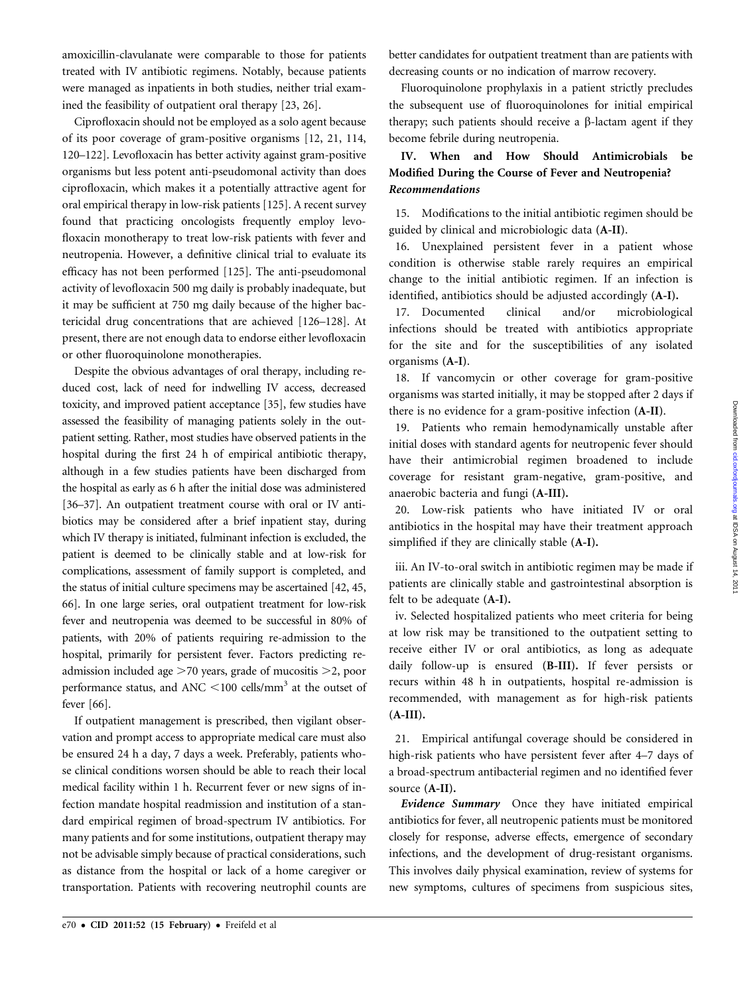amoxicillin-clavulanate were comparable to those for patients treated with IV antibiotic regimens. Notably, because patients were managed as inpatients in both studies, neither trial examined the feasibility of outpatient oral therapy [23, 26].

Ciprofloxacin should not be employed as a solo agent because of its poor coverage of gram-positive organisms [12, 21, 114, 120–122]. Levofloxacin has better activity against gram-positive organisms but less potent anti-pseudomonal activity than does ciprofloxacin, which makes it a potentially attractive agent for oral empirical therapy in low-risk patients [125]. A recent survey found that practicing oncologists frequently employ levofloxacin monotherapy to treat low-risk patients with fever and neutropenia. However, a definitive clinical trial to evaluate its efficacy has not been performed [125]. The anti-pseudomonal activity of levofloxacin 500 mg daily is probably inadequate, but it may be sufficient at 750 mg daily because of the higher bactericidal drug concentrations that are achieved [126–128]. At present, there are not enough data to endorse either levofloxacin or other fluoroquinolone monotherapies.

Despite the obvious advantages of oral therapy, including reduced cost, lack of need for indwelling IV access, decreased toxicity, and improved patient acceptance [35], few studies have assessed the feasibility of managing patients solely in the outpatient setting. Rather, most studies have observed patients in the hospital during the first 24 h of empirical antibiotic therapy, although in a few studies patients have been discharged from the hospital as early as 6 h after the initial dose was administered [36–37]. An outpatient treatment course with oral or IV antibiotics may be considered after a brief inpatient stay, during which IV therapy is initiated, fulminant infection is excluded, the patient is deemed to be clinically stable and at low-risk for complications, assessment of family support is completed, and the status of initial culture specimens may be ascertained [42, 45, 66]. In one large series, oral outpatient treatment for low-risk fever and neutropenia was deemed to be successful in 80% of patients, with 20% of patients requiring re-admission to the hospital, primarily for persistent fever. Factors predicting readmission included age  $>70$  years, grade of mucositis  $>2$ , poor performance status, and ANC  $\leq$ 100 cells/mm<sup>3</sup> at the outset of fever [66].

If outpatient management is prescribed, then vigilant observation and prompt access to appropriate medical care must also be ensured 24 h a day, 7 days a week. Preferably, patients whose clinical conditions worsen should be able to reach their local medical facility within 1 h. Recurrent fever or new signs of infection mandate hospital readmission and institution of a standard empirical regimen of broad-spectrum IV antibiotics. For many patients and for some institutions, outpatient therapy may not be advisable simply because of practical considerations, such as distance from the hospital or lack of a home caregiver or transportation. Patients with recovering neutrophil counts are better candidates for outpatient treatment than are patients with decreasing counts or no indication of marrow recovery.

Fluoroquinolone prophylaxis in a patient strictly precludes the subsequent use of fluoroquinolones for initial empirical therapy; such patients should receive a  $\beta$ -lactam agent if they become febrile during neutropenia.

# IV. When and How Should Antimicrobials be Modified During the Course of Fever and Neutropenia? Recommendations

15. Modifications to the initial antibiotic regimen should be guided by clinical and microbiologic data (A-II).

16. Unexplained persistent fever in a patient whose condition is otherwise stable rarely requires an empirical change to the initial antibiotic regimen. If an infection is identified, antibiotics should be adjusted accordingly (A-I).

17. Documented clinical and/or microbiological infections should be treated with antibiotics appropriate for the site and for the susceptibilities of any isolated organisms (A-I).

18. If vancomycin or other coverage for gram-positive organisms was started initially, it may be stopped after 2 days if there is no evidence for a gram-positive infection (A-II).

19. Patients who remain hemodynamically unstable after initial doses with standard agents for neutropenic fever should have their antimicrobial regimen broadened to include coverage for resistant gram-negative, gram-positive, and anaerobic bacteria and fungi (A-III).

20. Low-risk patients who have initiated IV or oral antibiotics in the hospital may have their treatment approach simplified if they are clinically stable (A-I).

iii. An IV-to-oral switch in antibiotic regimen may be made if patients are clinically stable and gastrointestinal absorption is felt to be adequate (A-I).

iv. Selected hospitalized patients who meet criteria for being at low risk may be transitioned to the outpatient setting to receive either IV or oral antibiotics, as long as adequate daily follow-up is ensured (B-III). If fever persists or recurs within 48 h in outpatients, hospital re-admission is recommended, with management as for high-risk patients (A-III).

21. Empirical antifungal coverage should be considered in high-risk patients who have persistent fever after 4–7 days of a broad-spectrum antibacterial regimen and no identified fever source (A-II).

Evidence Summary Once they have initiated empirical antibiotics for fever, all neutropenic patients must be monitored closely for response, adverse effects, emergence of secondary infections, and the development of drug-resistant organisms. This involves daily physical examination, review of systems for new symptoms, cultures of specimens from suspicious sites,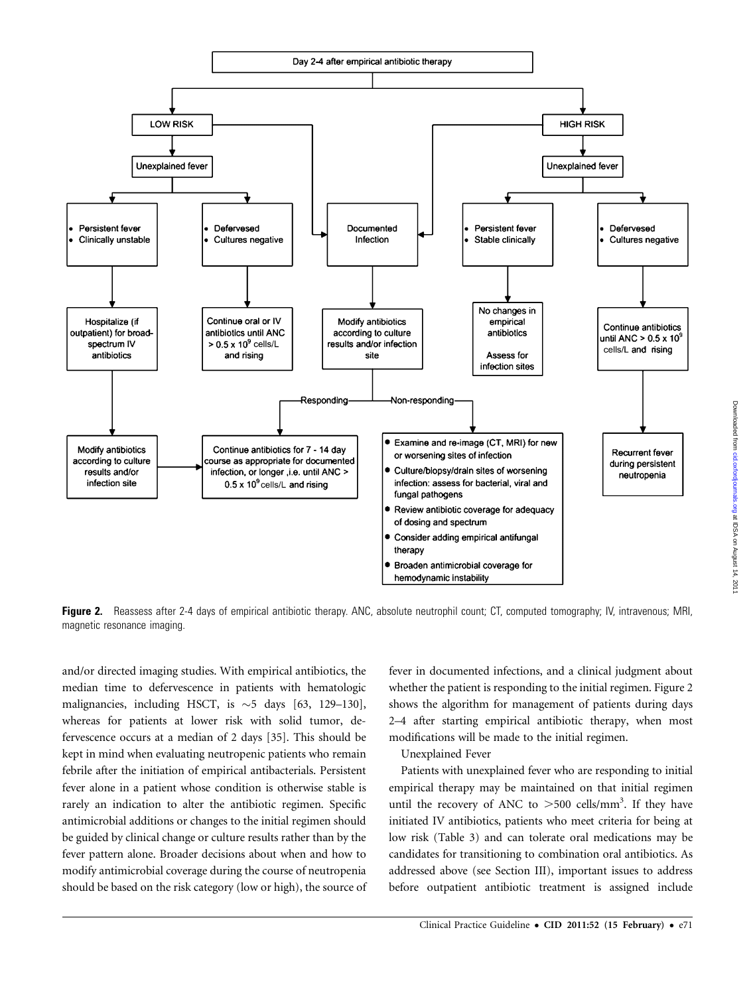

Figure 2. Reassess after 2-4 days of empirical antibiotic therapy. ANC, absolute neutrophil count; CT, computed tomography; IV, intravenous; MRI, magnetic resonance imaging.

and/or directed imaging studies. With empirical antibiotics, the median time to defervescence in patients with hematologic malignancies, including HSCT, is  $\sim$  5 days [63, 129–130], whereas for patients at lower risk with solid tumor, defervescence occurs at a median of 2 days [35]. This should be kept in mind when evaluating neutropenic patients who remain febrile after the initiation of empirical antibacterials. Persistent fever alone in a patient whose condition is otherwise stable is rarely an indication to alter the antibiotic regimen. Specific antimicrobial additions or changes to the initial regimen should be guided by clinical change or culture results rather than by the fever pattern alone. Broader decisions about when and how to modify antimicrobial coverage during the course of neutropenia should be based on the risk category (low or high), the source of

fever in documented infections, and a clinical judgment about whether the patient is responding to the initial regimen. Figure 2 shows the algorithm for management of patients during days 2–4 after starting empirical antibiotic therapy, when most modifications will be made to the initial regimen.

Unexplained Fever

Patients with unexplained fever who are responding to initial empirical therapy may be maintained on that initial regimen until the recovery of ANC to  $>$  500 cells/mm<sup>3</sup>. If they have initiated IV antibiotics, patients who meet criteria for being at low risk (Table 3) and can tolerate oral medications may be candidates for transitioning to combination oral antibiotics. As addressed above (see Section III), important issues to address before outpatient antibiotic treatment is assigned include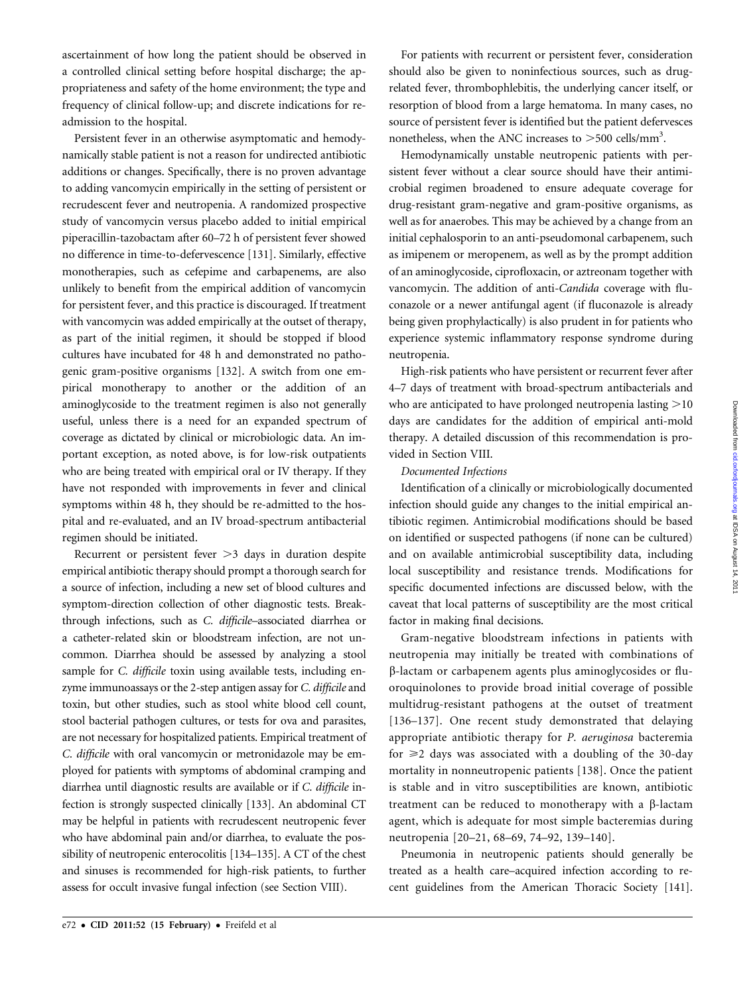ascertainment of how long the patient should be observed in a controlled clinical setting before hospital discharge; the appropriateness and safety of the home environment; the type and frequency of clinical follow-up; and discrete indications for readmission to the hospital.

Persistent fever in an otherwise asymptomatic and hemodynamically stable patient is not a reason for undirected antibiotic additions or changes. Specifically, there is no proven advantage to adding vancomycin empirically in the setting of persistent or recrudescent fever and neutropenia. A randomized prospective study of vancomycin versus placebo added to initial empirical piperacillin-tazobactam after 60–72 h of persistent fever showed no difference in time-to-defervescence [131]. Similarly, effective monotherapies, such as cefepime and carbapenems, are also unlikely to benefit from the empirical addition of vancomycin for persistent fever, and this practice is discouraged. If treatment with vancomycin was added empirically at the outset of therapy, as part of the initial regimen, it should be stopped if blood cultures have incubated for 48 h and demonstrated no pathogenic gram-positive organisms [132]. A switch from one empirical monotherapy to another or the addition of an aminoglycoside to the treatment regimen is also not generally useful, unless there is a need for an expanded spectrum of coverage as dictated by clinical or microbiologic data. An important exception, as noted above, is for low-risk outpatients who are being treated with empirical oral or IV therapy. If they have not responded with improvements in fever and clinical symptoms within 48 h, they should be re-admitted to the hospital and re-evaluated, and an IV broad-spectrum antibacterial regimen should be initiated.

Recurrent or persistent fever  $>3$  days in duration despite empirical antibiotic therapy should prompt a thorough search for a source of infection, including a new set of blood cultures and symptom-direction collection of other diagnostic tests. Breakthrough infections, such as C. difficile–associated diarrhea or a catheter-related skin or bloodstream infection, are not uncommon. Diarrhea should be assessed by analyzing a stool sample for *C. difficile* toxin using available tests, including enzyme immunoassays or the 2-step antigen assay for C. difficile and toxin, but other studies, such as stool white blood cell count, stool bacterial pathogen cultures, or tests for ova and parasites, are not necessary for hospitalized patients. Empirical treatment of C. difficile with oral vancomycin or metronidazole may be employed for patients with symptoms of abdominal cramping and diarrhea until diagnostic results are available or if C. difficile infection is strongly suspected clinically [133]. An abdominal CT may be helpful in patients with recrudescent neutropenic fever who have abdominal pain and/or diarrhea, to evaluate the possibility of neutropenic enterocolitis [134–135]. A CT of the chest and sinuses is recommended for high-risk patients, to further assess for occult invasive fungal infection (see Section VIII).

For patients with recurrent or persistent fever, consideration should also be given to noninfectious sources, such as drugrelated fever, thrombophlebitis, the underlying cancer itself, or resorption of blood from a large hematoma. In many cases, no source of persistent fever is identified but the patient defervesces nonetheless, when the ANC increases to  $>$  500 cells/mm<sup>3</sup>.

Hemodynamically unstable neutropenic patients with persistent fever without a clear source should have their antimicrobial regimen broadened to ensure adequate coverage for drug-resistant gram-negative and gram-positive organisms, as well as for anaerobes. This may be achieved by a change from an initial cephalosporin to an anti-pseudomonal carbapenem, such as imipenem or meropenem, as well as by the prompt addition of an aminoglycoside, ciprofloxacin, or aztreonam together with vancomycin. The addition of anti-Candida coverage with fluconazole or a newer antifungal agent (if fluconazole is already being given prophylactically) is also prudent in for patients who experience systemic inflammatory response syndrome during neutropenia.

High-risk patients who have persistent or recurrent fever after 4–7 days of treatment with broad-spectrum antibacterials and who are anticipated to have prolonged neutropenia lasting  $>10$ days are candidates for the addition of empirical anti-mold therapy. A detailed discussion of this recommendation is provided in Section VIII.

#### Documented Infections

Identification of a clinically or microbiologically documented infection should guide any changes to the initial empirical antibiotic regimen. Antimicrobial modifications should be based on identified or suspected pathogens (if none can be cultured) and on available antimicrobial susceptibility data, including local susceptibility and resistance trends. Modifications for specific documented infections are discussed below, with the caveat that local patterns of susceptibility are the most critical factor in making final decisions.

Gram-negative bloodstream infections in patients with neutropenia may initially be treated with combinations of b-lactam or carbapenem agents plus aminoglycosides or fluoroquinolones to provide broad initial coverage of possible multidrug-resistant pathogens at the outset of treatment [136–137]. One recent study demonstrated that delaying appropriate antibiotic therapy for P. aeruginosa bacteremia for  $\geq 2$  days was associated with a doubling of the 30-day mortality in nonneutropenic patients [138]. Once the patient is stable and in vitro susceptibilities are known, antibiotic treatment can be reduced to monotherapy with a  $\beta$ -lactam agent, which is adequate for most simple bacteremias during neutropenia [20–21, 68–69, 74–92, 139–140].

Pneumonia in neutropenic patients should generally be treated as a health care–acquired infection according to recent guidelines from the American Thoracic Society [141].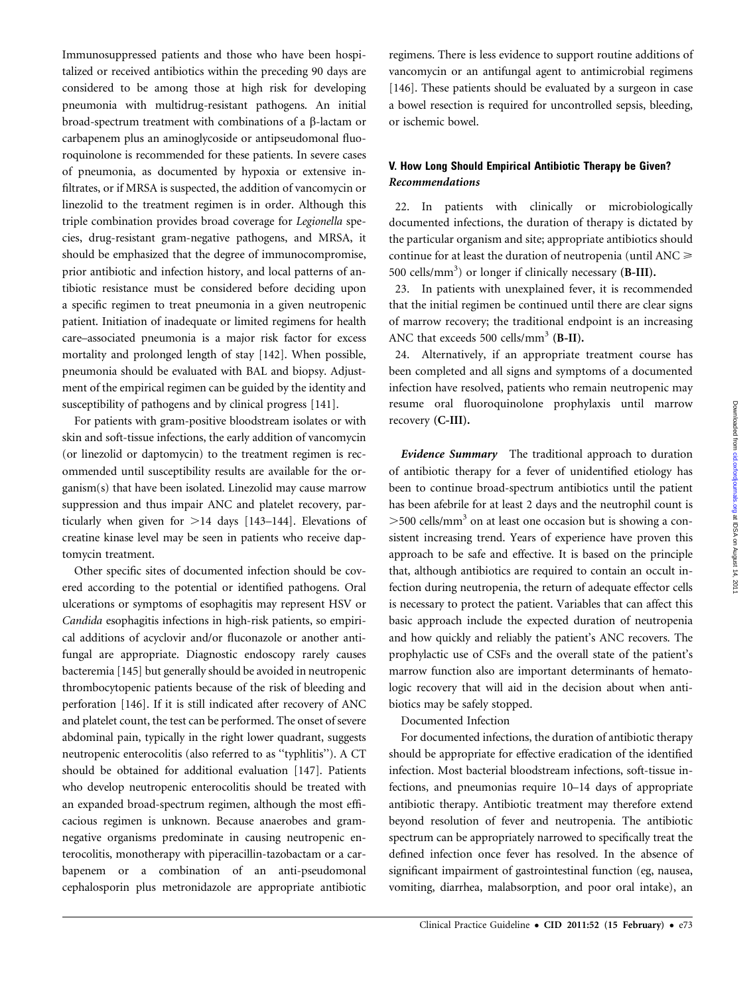Immunosuppressed patients and those who have been hospitalized or received antibiotics within the preceding 90 days are considered to be among those at high risk for developing pneumonia with multidrug-resistant pathogens. An initial broad-spectrum treatment with combinations of a  $\beta$ -lactam or carbapenem plus an aminoglycoside or antipseudomonal fluoroquinolone is recommended for these patients. In severe cases of pneumonia, as documented by hypoxia or extensive infiltrates, or if MRSA is suspected, the addition of vancomycin or linezolid to the treatment regimen is in order. Although this triple combination provides broad coverage for Legionella species, drug-resistant gram-negative pathogens, and MRSA, it should be emphasized that the degree of immunocompromise, prior antibiotic and infection history, and local patterns of antibiotic resistance must be considered before deciding upon a specific regimen to treat pneumonia in a given neutropenic patient. Initiation of inadequate or limited regimens for health care–associated pneumonia is a major risk factor for excess mortality and prolonged length of stay [142]. When possible, pneumonia should be evaluated with BAL and biopsy. Adjustment of the empirical regimen can be guided by the identity and susceptibility of pathogens and by clinical progress [141].

For patients with gram-positive bloodstream isolates or with skin and soft-tissue infections, the early addition of vancomycin (or linezolid or daptomycin) to the treatment regimen is recommended until susceptibility results are available for the organism(s) that have been isolated. Linezolid may cause marrow suppression and thus impair ANC and platelet recovery, particularly when given for  $>14$  days [143–144]. Elevations of creatine kinase level may be seen in patients who receive daptomycin treatment.

Other specific sites of documented infection should be covered according to the potential or identified pathogens. Oral ulcerations or symptoms of esophagitis may represent HSV or Candida esophagitis infections in high-risk patients, so empirical additions of acyclovir and/or fluconazole or another antifungal are appropriate. Diagnostic endoscopy rarely causes bacteremia [145] but generally should be avoided in neutropenic thrombocytopenic patients because of the risk of bleeding and perforation [146]. If it is still indicated after recovery of ANC and platelet count, the test can be performed. The onset of severe abdominal pain, typically in the right lower quadrant, suggests neutropenic enterocolitis (also referred to as ''typhlitis''). A CT should be obtained for additional evaluation [147]. Patients who develop neutropenic enterocolitis should be treated with an expanded broad-spectrum regimen, although the most efficacious regimen is unknown. Because anaerobes and gramnegative organisms predominate in causing neutropenic enterocolitis, monotherapy with piperacillin-tazobactam or a carbapenem or a combination of an anti-pseudomonal cephalosporin plus metronidazole are appropriate antibiotic

regimens. There is less evidence to support routine additions of vancomycin or an antifungal agent to antimicrobial regimens [146]. These patients should be evaluated by a surgeon in case a bowel resection is required for uncontrolled sepsis, bleeding, or ischemic bowel.

## V. How Long Should Empirical Antibiotic Therapy be Given? Recommendations

22. In patients with clinically or microbiologically documented infections, the duration of therapy is dictated by the particular organism and site; appropriate antibiotics should continue for at least the duration of neutropenia (until ANC  $\geq$ 500 cells/ $\text{mm}^3$ ) or longer if clinically necessary (B-III).

23. In patients with unexplained fever, it is recommended that the initial regimen be continued until there are clear signs of marrow recovery; the traditional endpoint is an increasing ANC that exceeds 500 cells/mm<sup>3</sup> (B-II).

24. Alternatively, if an appropriate treatment course has been completed and all signs and symptoms of a documented infection have resolved, patients who remain neutropenic may resume oral fluoroquinolone prophylaxis until marrow recovery (C-III).

Evidence Summary The traditional approach to duration of antibiotic therapy for a fever of unidentified etiology has been to continue broad-spectrum antibiotics until the patient has been afebrile for at least 2 days and the neutrophil count is  $>500$  cells/mm<sup>3</sup> on at least one occasion but is showing a consistent increasing trend. Years of experience have proven this approach to be safe and effective. It is based on the principle that, although antibiotics are required to contain an occult infection during neutropenia, the return of adequate effector cells is necessary to protect the patient. Variables that can affect this basic approach include the expected duration of neutropenia and how quickly and reliably the patient's ANC recovers. The prophylactic use of CSFs and the overall state of the patient's marrow function also are important determinants of hematologic recovery that will aid in the decision about when antibiotics may be safely stopped.

Documented Infection

For documented infections, the duration of antibiotic therapy should be appropriate for effective eradication of the identified infection. Most bacterial bloodstream infections, soft-tissue infections, and pneumonias require 10–14 days of appropriate antibiotic therapy. Antibiotic treatment may therefore extend beyond resolution of fever and neutropenia. The antibiotic spectrum can be appropriately narrowed to specifically treat the defined infection once fever has resolved. In the absence of significant impairment of gastrointestinal function (eg, nausea, vomiting, diarrhea, malabsorption, and poor oral intake), an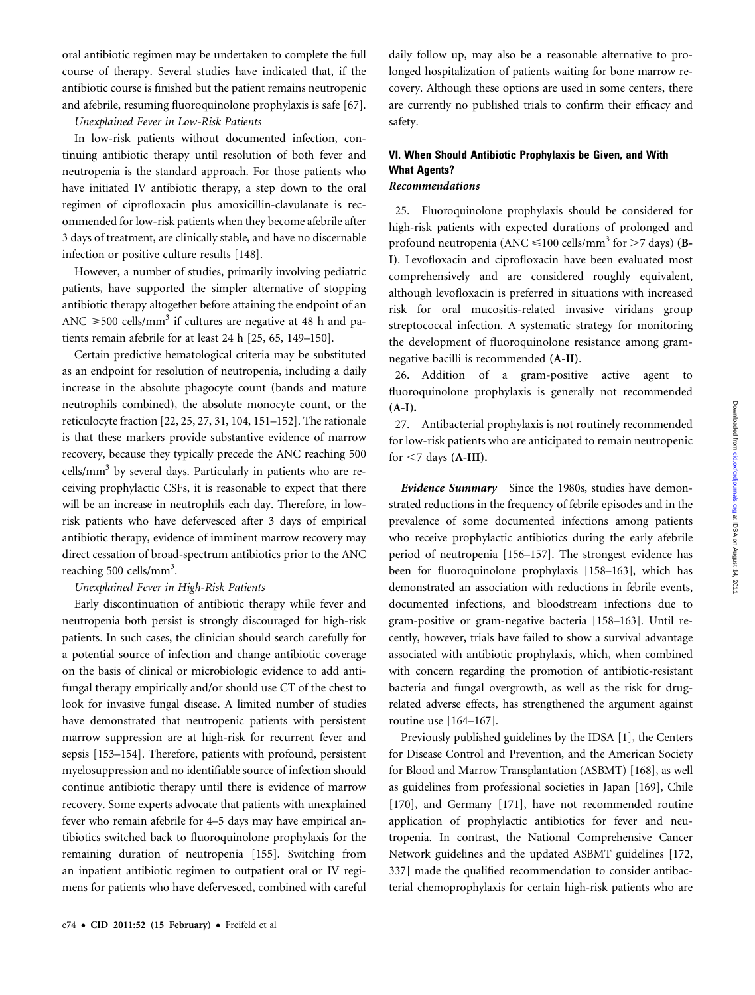oral antibiotic regimen may be undertaken to complete the full course of therapy. Several studies have indicated that, if the antibiotic course is finished but the patient remains neutropenic and afebrile, resuming fluoroquinolone prophylaxis is safe [67].

Unexplained Fever in Low-Risk Patients

In low-risk patients without documented infection, continuing antibiotic therapy until resolution of both fever and neutropenia is the standard approach. For those patients who have initiated IV antibiotic therapy, a step down to the oral regimen of ciprofloxacin plus amoxicillin-clavulanate is recommended for low-risk patients when they become afebrile after 3 days of treatment, are clinically stable, and have no discernable infection or positive culture results [148].

However, a number of studies, primarily involving pediatric patients, have supported the simpler alternative of stopping antibiotic therapy altogether before attaining the endpoint of an ANC  $\geq$ 500 cells/mm<sup>3</sup> if cultures are negative at 48 h and patients remain afebrile for at least 24 h [25, 65, 149–150].

Certain predictive hematological criteria may be substituted as an endpoint for resolution of neutropenia, including a daily increase in the absolute phagocyte count (bands and mature neutrophils combined), the absolute monocyte count, or the reticulocyte fraction [22, 25, 27, 31, 104, 151–152]. The rationale is that these markers provide substantive evidence of marrow recovery, because they typically precede the ANC reaching 500 cells/mm3 by several days. Particularly in patients who are receiving prophylactic CSFs, it is reasonable to expect that there will be an increase in neutrophils each day. Therefore, in lowrisk patients who have defervesced after 3 days of empirical antibiotic therapy, evidence of imminent marrow recovery may direct cessation of broad-spectrum antibiotics prior to the ANC reaching 500 cells/mm<sup>3</sup>.

Unexplained Fever in High-Risk Patients

Early discontinuation of antibiotic therapy while fever and neutropenia both persist is strongly discouraged for high-risk patients. In such cases, the clinician should search carefully for a potential source of infection and change antibiotic coverage on the basis of clinical or microbiologic evidence to add antifungal therapy empirically and/or should use CT of the chest to look for invasive fungal disease. A limited number of studies have demonstrated that neutropenic patients with persistent marrow suppression are at high-risk for recurrent fever and sepsis [153–154]. Therefore, patients with profound, persistent myelosuppression and no identifiable source of infection should continue antibiotic therapy until there is evidence of marrow recovery. Some experts advocate that patients with unexplained fever who remain afebrile for 4–5 days may have empirical antibiotics switched back to fluoroquinolone prophylaxis for the remaining duration of neutropenia [155]. Switching from an inpatient antibiotic regimen to outpatient oral or IV regimens for patients who have defervesced, combined with careful

daily follow up, may also be a reasonable alternative to prolonged hospitalization of patients waiting for bone marrow recovery. Although these options are used in some centers, there are currently no published trials to confirm their efficacy and safety.

## VI. When Should Antibiotic Prophylaxis be Given, and With What Agents? Recommendations

25. Fluoroquinolone prophylaxis should be considered for high-risk patients with expected durations of prolonged and profound neutropenia (ANC  $\leq$  100 cells/mm<sup>3</sup> for >7 days) (**B**-I). Levofloxacin and ciprofloxacin have been evaluated most comprehensively and are considered roughly equivalent, although levofloxacin is preferred in situations with increased risk for oral mucositis-related invasive viridans group streptococcal infection. A systematic strategy for monitoring the development of fluoroquinolone resistance among gramnegative bacilli is recommended (A-II).

26. Addition of a gram-positive active agent to fluoroquinolone prophylaxis is generally not recommended (A-I).

27. Antibacterial prophylaxis is not routinely recommended for low-risk patients who are anticipated to remain neutropenic for  $<$ 7 days (A-III).

Evidence Summary Since the 1980s, studies have demonstrated reductions in the frequency of febrile episodes and in the prevalence of some documented infections among patients who receive prophylactic antibiotics during the early afebrile period of neutropenia [156–157]. The strongest evidence has been for fluoroquinolone prophylaxis [158–163], which has demonstrated an association with reductions in febrile events, documented infections, and bloodstream infections due to gram-positive or gram-negative bacteria [158–163]. Until recently, however, trials have failed to show a survival advantage associated with antibiotic prophylaxis, which, when combined with concern regarding the promotion of antibiotic-resistant bacteria and fungal overgrowth, as well as the risk for drugrelated adverse effects, has strengthened the argument against routine use [164–167].

Previously published guidelines by the IDSA [1], the Centers for Disease Control and Prevention, and the American Society for Blood and Marrow Transplantation (ASBMT) [168], as well as guidelines from professional societies in Japan [169], Chile [170], and Germany [171], have not recommended routine application of prophylactic antibiotics for fever and neutropenia. In contrast, the National Comprehensive Cancer Network guidelines and the updated ASBMT guidelines [172, 337] made the qualified recommendation to consider antibacterial chemoprophylaxis for certain high-risk patients who are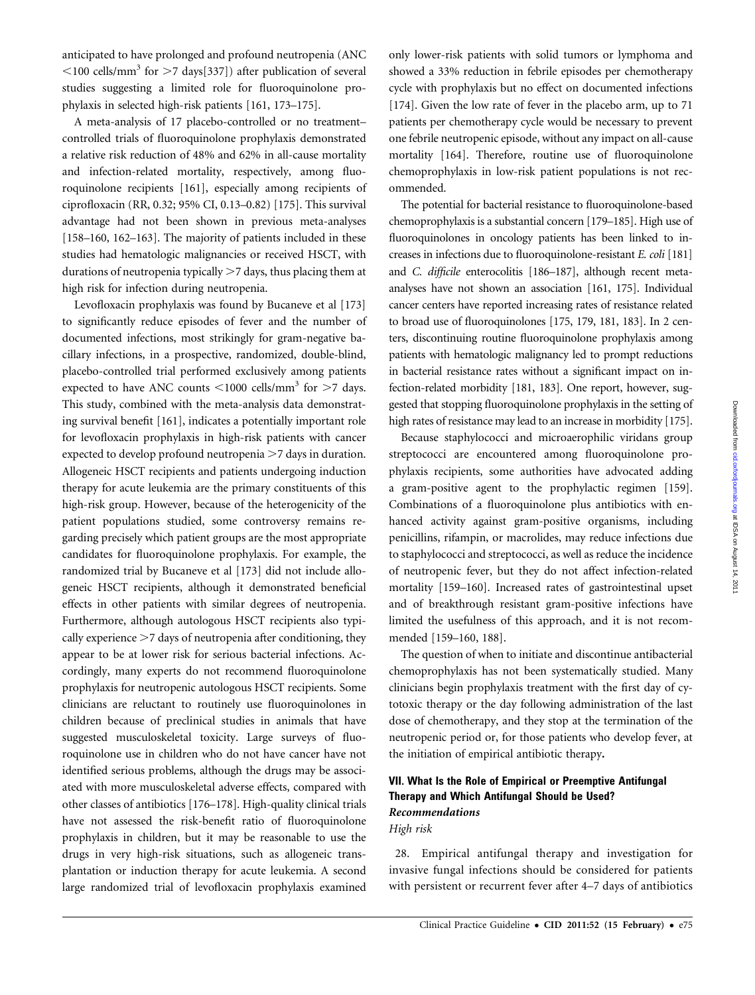anticipated to have prolonged and profound neutropenia (ANC  $\leq$ 100 cells/mm<sup>3</sup> for  $\geq$ 7 days[337]) after publication of several studies suggesting a limited role for fluoroquinolone prophylaxis in selected high-risk patients [161, 173–175].

A meta-analysis of 17 placebo-controlled or no treatment– controlled trials of fluoroquinolone prophylaxis demonstrated a relative risk reduction of 48% and 62% in all-cause mortality and infection-related mortality, respectively, among fluoroquinolone recipients [161], especially among recipients of ciprofloxacin (RR, 0.32; 95% CI, 0.13–0.82) [175]. This survival advantage had not been shown in previous meta-analyses [158–160, 162–163]. The majority of patients included in these studies had hematologic malignancies or received HSCT, with durations of neutropenia typically  $>7$  days, thus placing them at high risk for infection during neutropenia.

Levofloxacin prophylaxis was found by Bucaneve et al [173] to significantly reduce episodes of fever and the number of documented infections, most strikingly for gram-negative bacillary infections, in a prospective, randomized, double-blind, placebo-controlled trial performed exclusively among patients expected to have ANC counts  $\leq 1000$  cells/mm<sup>3</sup> for  $\geq 7$  days. This study, combined with the meta-analysis data demonstrating survival benefit [161], indicates a potentially important role for levofloxacin prophylaxis in high-risk patients with cancer expected to develop profound neutropenia  $\geq$  7 days in duration. Allogeneic HSCT recipients and patients undergoing induction therapy for acute leukemia are the primary constituents of this high-risk group. However, because of the heterogenicity of the patient populations studied, some controversy remains regarding precisely which patient groups are the most appropriate candidates for fluoroquinolone prophylaxis. For example, the randomized trial by Bucaneve et al [173] did not include allogeneic HSCT recipients, although it demonstrated beneficial effects in other patients with similar degrees of neutropenia. Furthermore, although autologous HSCT recipients also typically experience  $>7$  days of neutropenia after conditioning, they appear to be at lower risk for serious bacterial infections. Accordingly, many experts do not recommend fluoroquinolone prophylaxis for neutropenic autologous HSCT recipients. Some clinicians are reluctant to routinely use fluoroquinolones in children because of preclinical studies in animals that have suggested musculoskeletal toxicity. Large surveys of fluoroquinolone use in children who do not have cancer have not identified serious problems, although the drugs may be associated with more musculoskeletal adverse effects, compared with other classes of antibiotics [176–178]. High-quality clinical trials have not assessed the risk-benefit ratio of fluoroquinolone prophylaxis in children, but it may be reasonable to use the drugs in very high-risk situations, such as allogeneic transplantation or induction therapy for acute leukemia. A second large randomized trial of levofloxacin prophylaxis examined

only lower-risk patients with solid tumors or lymphoma and showed a 33% reduction in febrile episodes per chemotherapy cycle with prophylaxis but no effect on documented infections [174]. Given the low rate of fever in the placebo arm, up to 71 patients per chemotherapy cycle would be necessary to prevent one febrile neutropenic episode, without any impact on all-cause mortality [164]. Therefore, routine use of fluoroquinolone chemoprophylaxis in low-risk patient populations is not recommended.

The potential for bacterial resistance to fluoroquinolone-based chemoprophylaxis is a substantial concern [179–185]. High use of fluoroquinolones in oncology patients has been linked to increases in infections due to fluoroquinolone-resistant E. coli [181] and C. difficile enterocolitis [186–187], although recent metaanalyses have not shown an association [161, 175]. Individual cancer centers have reported increasing rates of resistance related to broad use of fluoroquinolones [175, 179, 181, 183]. In 2 centers, discontinuing routine fluoroquinolone prophylaxis among patients with hematologic malignancy led to prompt reductions in bacterial resistance rates without a significant impact on infection-related morbidity [181, 183]. One report, however, suggested that stopping fluoroquinolone prophylaxis in the setting of high rates of resistance may lead to an increase in morbidity [175].

Because staphylococci and microaerophilic viridans group streptococci are encountered among fluoroquinolone prophylaxis recipients, some authorities have advocated adding a gram-positive agent to the prophylactic regimen [159]. Combinations of a fluoroquinolone plus antibiotics with enhanced activity against gram-positive organisms, including penicillins, rifampin, or macrolides, may reduce infections due to staphylococci and streptococci, as well as reduce the incidence of neutropenic fever, but they do not affect infection-related mortality [159–160]. Increased rates of gastrointestinal upset and of breakthrough resistant gram-positive infections have limited the usefulness of this approach, and it is not recommended [159–160, 188].

The question of when to initiate and discontinue antibacterial chemoprophylaxis has not been systematically studied. Many clinicians begin prophylaxis treatment with the first day of cytotoxic therapy or the day following administration of the last dose of chemotherapy, and they stop at the termination of the neutropenic period or, for those patients who develop fever, at the initiation of empirical antibiotic therapy.

# VII. What Is the Role of Empirical or Preemptive Antifungal Therapy and Which Antifungal Should be Used? Recommendations High risk

28. Empirical antifungal therapy and investigation for invasive fungal infections should be considered for patients with persistent or recurrent fever after 4–7 days of antibiotics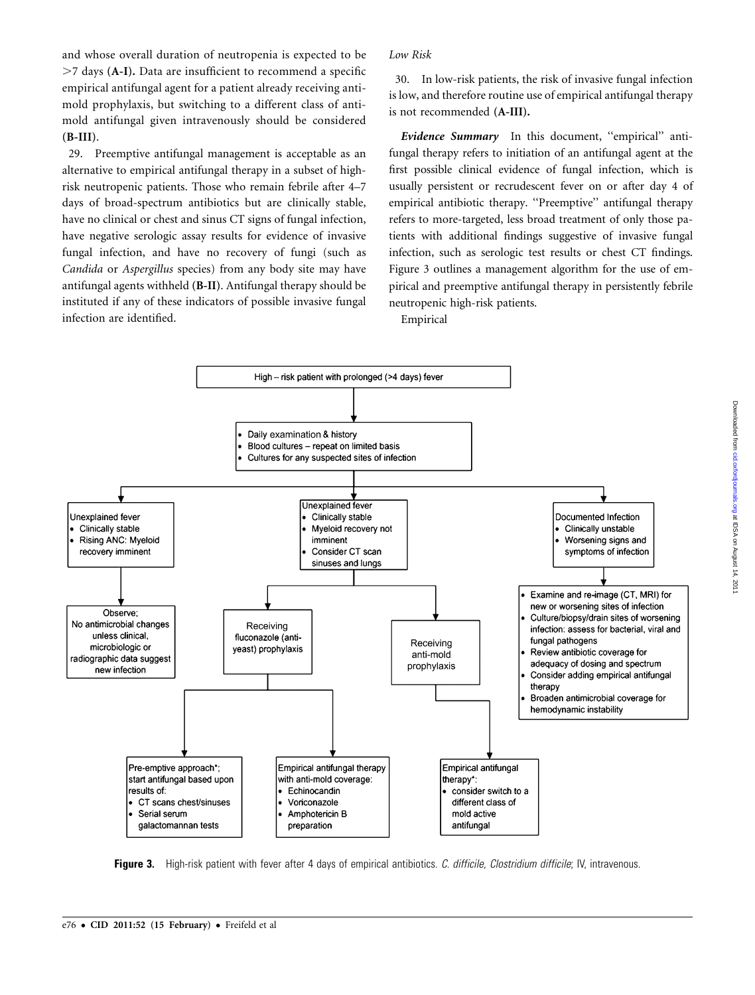and whose overall duration of neutropenia is expected to be  $>7$  days (A-I). Data are insufficient to recommend a specific empirical antifungal agent for a patient already receiving antimold prophylaxis, but switching to a different class of antimold antifungal given intravenously should be considered  $(B-III).$ 

29. Preemptive antifungal management is acceptable as an alternative to empirical antifungal therapy in a subset of highrisk neutropenic patients. Those who remain febrile after 4–7 days of broad-spectrum antibiotics but are clinically stable, have no clinical or chest and sinus CT signs of fungal infection, have negative serologic assay results for evidence of invasive fungal infection, and have no recovery of fungi (such as Candida or Aspergillus species) from any body site may have antifungal agents withheld (B-II). Antifungal therapy should be instituted if any of these indicators of possible invasive fungal infection are identified.

#### Low Risk

30. In low-risk patients, the risk of invasive fungal infection is low, and therefore routine use of empirical antifungal therapy is not recommended (A-III).

Evidence Summary In this document, "empirical" antifungal therapy refers to initiation of an antifungal agent at the first possible clinical evidence of fungal infection, which is usually persistent or recrudescent fever on or after day 4 of empirical antibiotic therapy. ''Preemptive'' antifungal therapy refers to more-targeted, less broad treatment of only those patients with additional findings suggestive of invasive fungal infection, such as serologic test results or chest CT findings. Figure 3 outlines a management algorithm for the use of empirical and preemptive antifungal therapy in persistently febrile neutropenic high-risk patients.

Empirical



Figure 3. High-risk patient with fever after 4 days of empirical antibiotics. C. difficile, Clostridium difficile; IV, intravenous.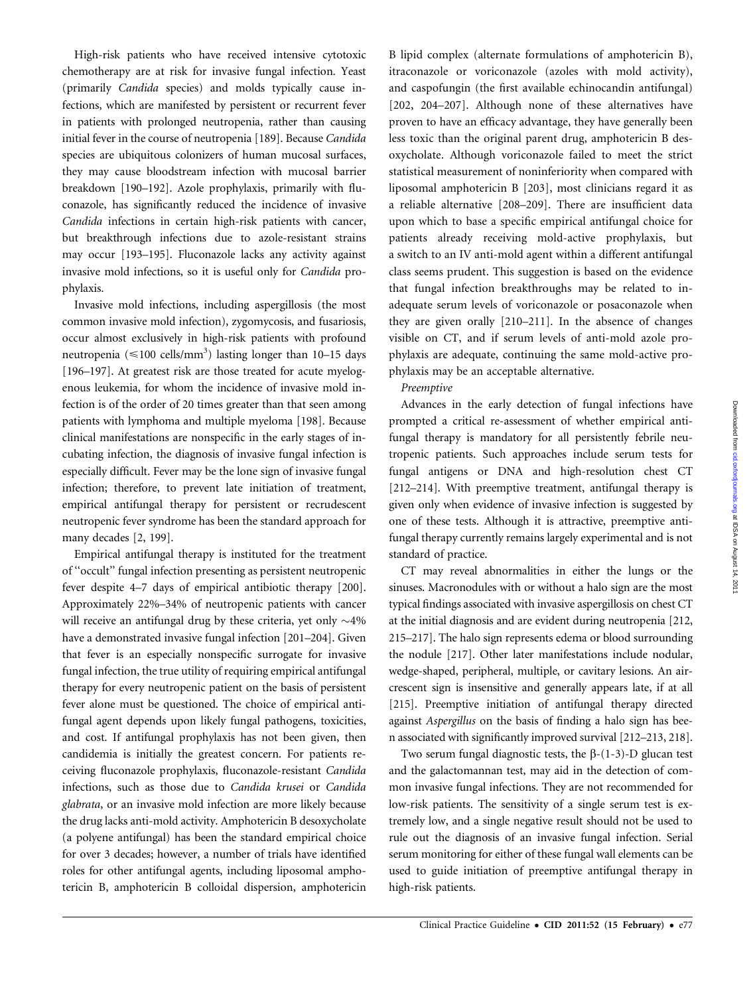High-risk patients who have received intensive cytotoxic chemotherapy are at risk for invasive fungal infection. Yeast (primarily Candida species) and molds typically cause infections, which are manifested by persistent or recurrent fever in patients with prolonged neutropenia, rather than causing initial fever in the course of neutropenia [189]. Because Candida species are ubiquitous colonizers of human mucosal surfaces, they may cause bloodstream infection with mucosal barrier breakdown [190–192]. Azole prophylaxis, primarily with fluconazole, has significantly reduced the incidence of invasive Candida infections in certain high-risk patients with cancer, but breakthrough infections due to azole-resistant strains may occur [193–195]. Fluconazole lacks any activity against invasive mold infections, so it is useful only for Candida prophylaxis.

Invasive mold infections, including aspergillosis (the most common invasive mold infection), zygomycosis, and fusariosis, occur almost exclusively in high-risk patients with profound neutropenia ( $\leq 100$  cells/mm<sup>3</sup>) lasting longer than 10–15 days [196–197]. At greatest risk are those treated for acute myelogenous leukemia, for whom the incidence of invasive mold infection is of the order of 20 times greater than that seen among patients with lymphoma and multiple myeloma [198]. Because clinical manifestations are nonspecific in the early stages of incubating infection, the diagnosis of invasive fungal infection is especially difficult. Fever may be the lone sign of invasive fungal infection; therefore, to prevent late initiation of treatment, empirical antifungal therapy for persistent or recrudescent neutropenic fever syndrome has been the standard approach for many decades [2, 199].

Empirical antifungal therapy is instituted for the treatment of ''occult'' fungal infection presenting as persistent neutropenic fever despite 4–7 days of empirical antibiotic therapy [200]. Approximately 22%–34% of neutropenic patients with cancer will receive an antifungal drug by these criteria, yet only  $\sim$ 4% have a demonstrated invasive fungal infection [201–204]. Given that fever is an especially nonspecific surrogate for invasive fungal infection, the true utility of requiring empirical antifungal therapy for every neutropenic patient on the basis of persistent fever alone must be questioned. The choice of empirical antifungal agent depends upon likely fungal pathogens, toxicities, and cost. If antifungal prophylaxis has not been given, then candidemia is initially the greatest concern. For patients receiving fluconazole prophylaxis, fluconazole-resistant Candida infections, such as those due to Candida krusei or Candida glabrata, or an invasive mold infection are more likely because the drug lacks anti-mold activity. Amphotericin B desoxycholate (a polyene antifungal) has been the standard empirical choice for over 3 decades; however, a number of trials have identified roles for other antifungal agents, including liposomal amphotericin B, amphotericin B colloidal dispersion, amphotericin

B lipid complex (alternate formulations of amphotericin B), itraconazole or voriconazole (azoles with mold activity), and caspofungin (the first available echinocandin antifungal) [202, 204–207]. Although none of these alternatives have proven to have an efficacy advantage, they have generally been less toxic than the original parent drug, amphotericin B desoxycholate. Although voriconazole failed to meet the strict statistical measurement of noninferiority when compared with liposomal amphotericin B [203], most clinicians regard it as a reliable alternative [208–209]. There are insufficient data upon which to base a specific empirical antifungal choice for patients already receiving mold-active prophylaxis, but a switch to an IV anti-mold agent within a different antifungal class seems prudent. This suggestion is based on the evidence that fungal infection breakthroughs may be related to inadequate serum levels of voriconazole or posaconazole when they are given orally [210–211]. In the absence of changes visible on CT, and if serum levels of anti-mold azole prophylaxis are adequate, continuing the same mold-active prophylaxis may be an acceptable alternative.

Preemptive

Advances in the early detection of fungal infections have prompted a critical re-assessment of whether empirical antifungal therapy is mandatory for all persistently febrile neutropenic patients. Such approaches include serum tests for fungal antigens or DNA and high-resolution chest CT [212–214]. With preemptive treatment, antifungal therapy is given only when evidence of invasive infection is suggested by one of these tests. Although it is attractive, preemptive antifungal therapy currently remains largely experimental and is not standard of practice.

CT may reveal abnormalities in either the lungs or the sinuses. Macronodules with or without a halo sign are the most typical findings associated with invasive aspergillosis on chest CT at the initial diagnosis and are evident during neutropenia [212, 215–217]. The halo sign represents edema or blood surrounding the nodule [217]. Other later manifestations include nodular, wedge-shaped, peripheral, multiple, or cavitary lesions. An aircrescent sign is insensitive and generally appears late, if at all [215]. Preemptive initiation of antifungal therapy directed against Aspergillus on the basis of finding a halo sign has been associated with significantly improved survival [212–213, 218].

Two serum fungal diagnostic tests, the  $\beta$ -(1-3)-D glucan test and the galactomannan test, may aid in the detection of common invasive fungal infections. They are not recommended for low-risk patients. The sensitivity of a single serum test is extremely low, and a single negative result should not be used to rule out the diagnosis of an invasive fungal infection. Serial serum monitoring for either of these fungal wall elements can be used to guide initiation of preemptive antifungal therapy in high-risk patients.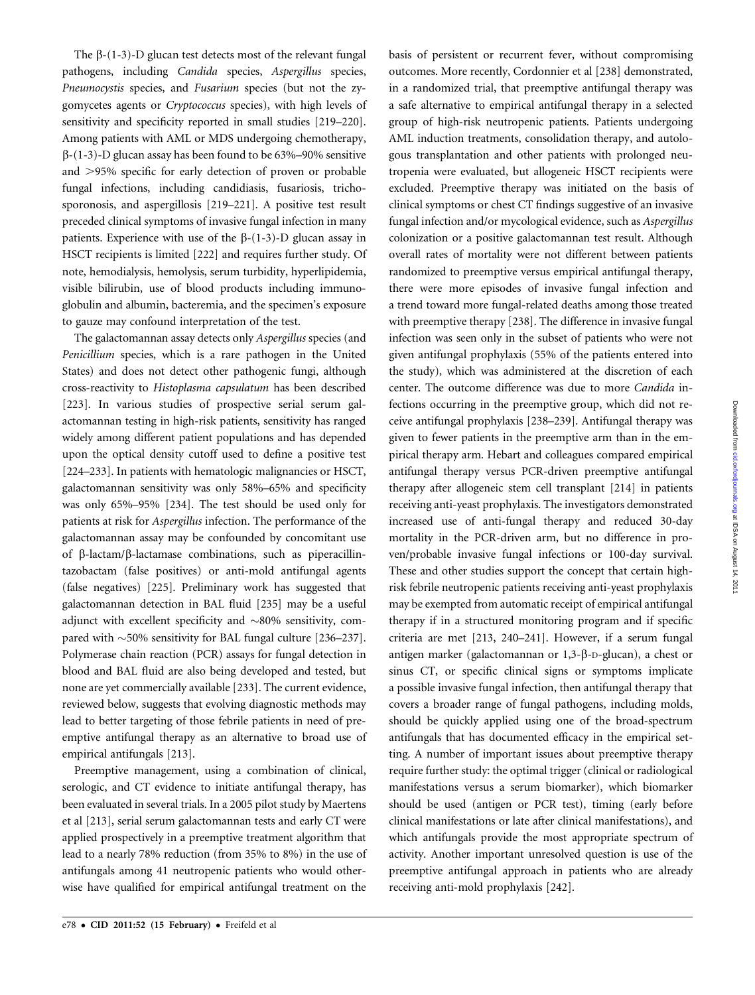The  $\beta$ -(1-3)-D glucan test detects most of the relevant fungal pathogens, including Candida species, Aspergillus species, Pneumocystis species, and Fusarium species (but not the zygomycetes agents or Cryptococcus species), with high levels of sensitivity and specificity reported in small studies [219–220]. Among patients with AML or MDS undergoing chemotherapy,  $\beta$ -(1-3)-D glucan assay has been found to be 63%–90% sensitive and >95% specific for early detection of proven or probable fungal infections, including candidiasis, fusariosis, trichosporonosis, and aspergillosis [219–221]. A positive test result preceded clinical symptoms of invasive fungal infection in many patients. Experience with use of the  $\beta$ -(1-3)-D glucan assay in HSCT recipients is limited [222] and requires further study. Of note, hemodialysis, hemolysis, serum turbidity, hyperlipidemia, visible bilirubin, use of blood products including immunoglobulin and albumin, bacteremia, and the specimen's exposure to gauze may confound interpretation of the test.

The galactomannan assay detects only Aspergillus species (and Penicillium species, which is a rare pathogen in the United States) and does not detect other pathogenic fungi, although cross-reactivity to Histoplasma capsulatum has been described [223]. In various studies of prospective serial serum galactomannan testing in high-risk patients, sensitivity has ranged widely among different patient populations and has depended upon the optical density cutoff used to define a positive test [224–233]. In patients with hematologic malignancies or HSCT, galactomannan sensitivity was only 58%–65% and specificity was only 65%–95% [234]. The test should be used only for patients at risk for Aspergillus infection. The performance of the galactomannan assay may be confounded by concomitant use of b-lactam/b-lactamase combinations, such as piperacillintazobactam (false positives) or anti-mold antifungal agents (false negatives) [225]. Preliminary work has suggested that galactomannan detection in BAL fluid [235] may be a useful adjunct with excellent specificity and  $\sim80\%$  sensitivity, compared with  $\sim$ 50% sensitivity for BAL fungal culture [236–237]. Polymerase chain reaction (PCR) assays for fungal detection in blood and BAL fluid are also being developed and tested, but none are yet commercially available [233]. The current evidence, reviewed below, suggests that evolving diagnostic methods may lead to better targeting of those febrile patients in need of preemptive antifungal therapy as an alternative to broad use of empirical antifungals [213].

Preemptive management, using a combination of clinical, serologic, and CT evidence to initiate antifungal therapy, has been evaluated in several trials. In a 2005 pilot study by Maertens et al [213], serial serum galactomannan tests and early CT were applied prospectively in a preemptive treatment algorithm that lead to a nearly 78% reduction (from 35% to 8%) in the use of antifungals among 41 neutropenic patients who would otherwise have qualified for empirical antifungal treatment on the

e78  $\bullet$  CID 2011:52 (15 February)  $\bullet$  Freifeld et al

basis of persistent or recurrent fever, without compromising outcomes. More recently, Cordonnier et al [238] demonstrated, in a randomized trial, that preemptive antifungal therapy was a safe alternative to empirical antifungal therapy in a selected group of high-risk neutropenic patients. Patients undergoing AML induction treatments, consolidation therapy, and autologous transplantation and other patients with prolonged neutropenia were evaluated, but allogeneic HSCT recipients were excluded. Preemptive therapy was initiated on the basis of clinical symptoms or chest CT findings suggestive of an invasive fungal infection and/or mycological evidence, such as Aspergillus colonization or a positive galactomannan test result. Although overall rates of mortality were not different between patients randomized to preemptive versus empirical antifungal therapy, there were more episodes of invasive fungal infection and a trend toward more fungal-related deaths among those treated with preemptive therapy [238]. The difference in invasive fungal infection was seen only in the subset of patients who were not given antifungal prophylaxis (55% of the patients entered into the study), which was administered at the discretion of each center. The outcome difference was due to more Candida infections occurring in the preemptive group, which did not receive antifungal prophylaxis [238–239]. Antifungal therapy was given to fewer patients in the preemptive arm than in the empirical therapy arm. Hebart and colleagues compared empirical antifungal therapy versus PCR-driven preemptive antifungal therapy after allogeneic stem cell transplant [214] in patients receiving anti-yeast prophylaxis. The investigators demonstrated increased use of anti-fungal therapy and reduced 30-day mortality in the PCR-driven arm, but no difference in proven/probable invasive fungal infections or 100-day survival. These and other studies support the concept that certain highrisk febrile neutropenic patients receiving anti-yeast prophylaxis may be exempted from automatic receipt of empirical antifungal therapy if in a structured monitoring program and if specific criteria are met [213, 240–241]. However, if a serum fungal antigen marker (galactomannan or  $1,3$ - $\beta$ -D-glucan), a chest or sinus CT, or specific clinical signs or symptoms implicate a possible invasive fungal infection, then antifungal therapy that covers a broader range of fungal pathogens, including molds, should be quickly applied using one of the broad-spectrum antifungals that has documented efficacy in the empirical setting. A number of important issues about preemptive therapy require further study: the optimal trigger (clinical or radiological manifestations versus a serum biomarker), which biomarker should be used (antigen or PCR test), timing (early before clinical manifestations or late after clinical manifestations), and which antifungals provide the most appropriate spectrum of activity. Another important unresolved question is use of the preemptive antifungal approach in patients who are already receiving anti-mold prophylaxis [242].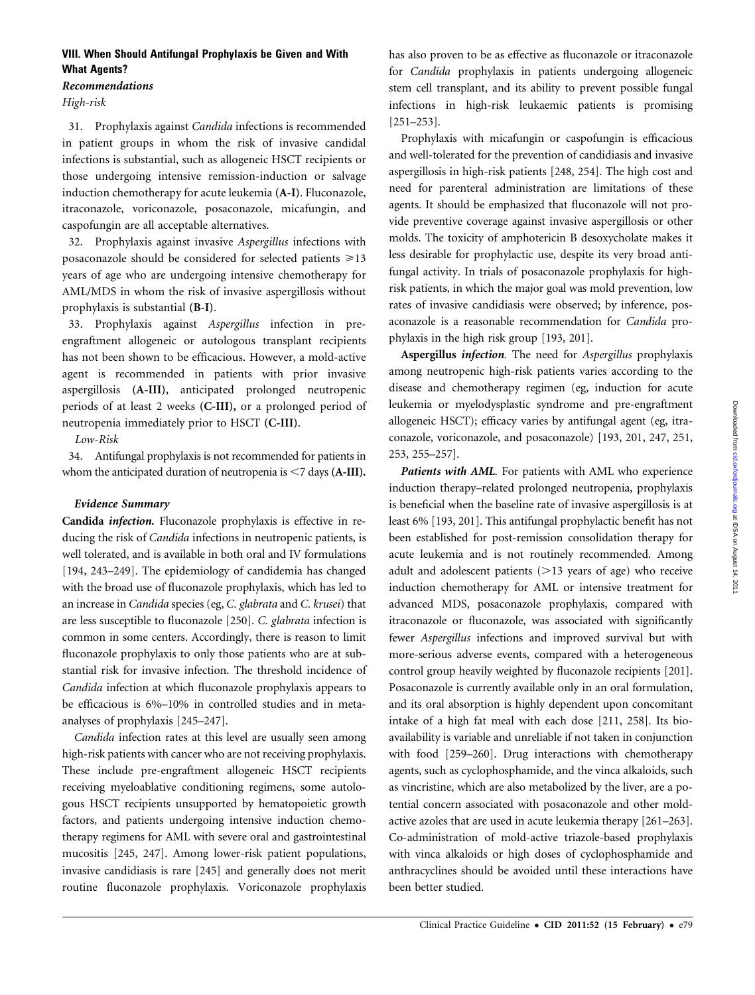# VIII. When Should Antifungal Prophylaxis be Given and With What Agents?

#### Recommendations

#### High-risk

31. Prophylaxis against Candida infections is recommended in patient groups in whom the risk of invasive candidal infections is substantial, such as allogeneic HSCT recipients or those undergoing intensive remission-induction or salvage induction chemotherapy for acute leukemia (A-I). Fluconazole, itraconazole, voriconazole, posaconazole, micafungin, and caspofungin are all acceptable alternatives.

32. Prophylaxis against invasive Aspergillus infections with posaconazole should be considered for selected patients  $\geq 13$ years of age who are undergoing intensive chemotherapy for AML/MDS in whom the risk of invasive aspergillosis without prophylaxis is substantial (B-I).

33. Prophylaxis against Aspergillus infection in preengraftment allogeneic or autologous transplant recipients has not been shown to be efficacious. However, a mold-active agent is recommended in patients with prior invasive aspergillosis (A-III), anticipated prolonged neutropenic periods of at least 2 weeks (C-III), or a prolonged period of neutropenia immediately prior to HSCT (C-III).

# Low-Risk

34. Antifungal prophylaxis is not recommended for patients in whom the anticipated duration of neutropenia is  $\leq$  7 days (A-III).

# Evidence Summary

Candida infection. Fluconazole prophylaxis is effective in reducing the risk of Candida infections in neutropenic patients, is well tolerated, and is available in both oral and IV formulations [194, 243–249]. The epidemiology of candidemia has changed with the broad use of fluconazole prophylaxis, which has led to an increase in Candida species (eg, C. glabrata and C. krusei) that are less susceptible to fluconazole [250]. C. glabrata infection is common in some centers. Accordingly, there is reason to limit fluconazole prophylaxis to only those patients who are at substantial risk for invasive infection. The threshold incidence of Candida infection at which fluconazole prophylaxis appears to be efficacious is 6%–10% in controlled studies and in metaanalyses of prophylaxis [245–247].

Candida infection rates at this level are usually seen among high-risk patients with cancer who are not receiving prophylaxis. These include pre-engraftment allogeneic HSCT recipients receiving myeloablative conditioning regimens, some autologous HSCT recipients unsupported by hematopoietic growth factors, and patients undergoing intensive induction chemotherapy regimens for AML with severe oral and gastrointestinal mucositis [245, 247]. Among lower-risk patient populations, invasive candidiasis is rare [245] and generally does not merit routine fluconazole prophylaxis. Voriconazole prophylaxis has also proven to be as effective as fluconazole or itraconazole for Candida prophylaxis in patients undergoing allogeneic stem cell transplant, and its ability to prevent possible fungal infections in high-risk leukaemic patients is promising [251–253].

Prophylaxis with micafungin or caspofungin is efficacious and well-tolerated for the prevention of candidiasis and invasive aspergillosis in high-risk patients [248, 254]. The high cost and need for parenteral administration are limitations of these agents. It should be emphasized that fluconazole will not provide preventive coverage against invasive aspergillosis or other molds. The toxicity of amphotericin B desoxycholate makes it less desirable for prophylactic use, despite its very broad antifungal activity. In trials of posaconazole prophylaxis for highrisk patients, in which the major goal was mold prevention, low rates of invasive candidiasis were observed; by inference, posaconazole is a reasonable recommendation for Candida prophylaxis in the high risk group [193, 201].

Aspergillus infection. The need for Aspergillus prophylaxis among neutropenic high-risk patients varies according to the disease and chemotherapy regimen (eg, induction for acute leukemia or myelodysplastic syndrome and pre-engraftment allogeneic HSCT); efficacy varies by antifungal agent (eg, itraconazole, voriconazole, and posaconazole) [193, 201, 247, 251, 253, 255–257].

Patients with AML. For patients with AML who experience induction therapy–related prolonged neutropenia, prophylaxis is beneficial when the baseline rate of invasive aspergillosis is at least 6% [193, 201]. This antifungal prophylactic benefit has not been established for post-remission consolidation therapy for acute leukemia and is not routinely recommended. Among adult and adolescent patients  $(>13$  years of age) who receive induction chemotherapy for AML or intensive treatment for advanced MDS, posaconazole prophylaxis, compared with itraconazole or fluconazole, was associated with significantly fewer Aspergillus infections and improved survival but with more-serious adverse events, compared with a heterogeneous control group heavily weighted by fluconazole recipients [201]. Posaconazole is currently available only in an oral formulation, and its oral absorption is highly dependent upon concomitant intake of a high fat meal with each dose [211, 258]. Its bioavailability is variable and unreliable if not taken in conjunction with food [259–260]. Drug interactions with chemotherapy agents, such as cyclophosphamide, and the vinca alkaloids, such as vincristine, which are also metabolized by the liver, are a potential concern associated with posaconazole and other moldactive azoles that are used in acute leukemia therapy [261–263]. Co-administration of mold-active triazole-based prophylaxis with vinca alkaloids or high doses of cyclophosphamide and anthracyclines should be avoided until these interactions have been better studied.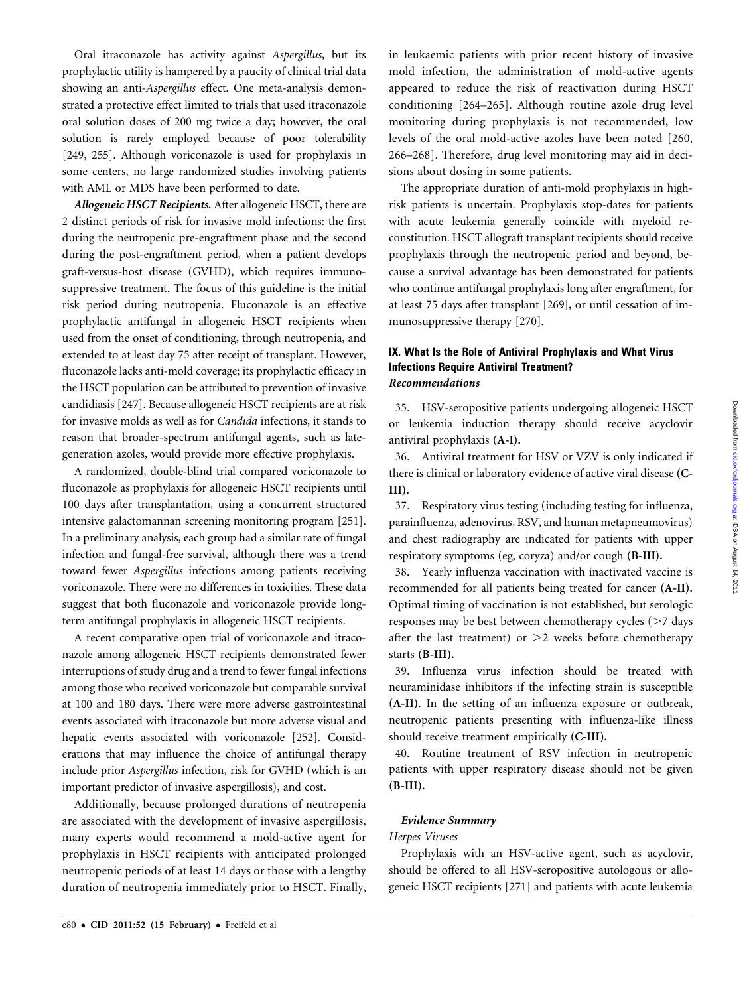Oral itraconazole has activity against Aspergillus, but its prophylactic utility is hampered by a paucity of clinical trial data showing an anti-Aspergillus effect. One meta-analysis demonstrated a protective effect limited to trials that used itraconazole oral solution doses of 200 mg twice a day; however, the oral solution is rarely employed because of poor tolerability [249, 255]. Although voriconazole is used for prophylaxis in some centers, no large randomized studies involving patients with AML or MDS have been performed to date.

Allogeneic HSCT Recipients. After allogeneic HSCT, there are 2 distinct periods of risk for invasive mold infections: the first during the neutropenic pre-engraftment phase and the second during the post-engraftment period, when a patient develops graft-versus-host disease (GVHD), which requires immunosuppressive treatment. The focus of this guideline is the initial risk period during neutropenia. Fluconazole is an effective prophylactic antifungal in allogeneic HSCT recipients when used from the onset of conditioning, through neutropenia, and extended to at least day 75 after receipt of transplant. However, fluconazole lacks anti-mold coverage; its prophylactic efficacy in the HSCT population can be attributed to prevention of invasive candidiasis [247]. Because allogeneic HSCT recipients are at risk for invasive molds as well as for Candida infections, it stands to reason that broader-spectrum antifungal agents, such as lategeneration azoles, would provide more effective prophylaxis.

A randomized, double-blind trial compared voriconazole to fluconazole as prophylaxis for allogeneic HSCT recipients until 100 days after transplantation, using a concurrent structured intensive galactomannan screening monitoring program [251]. In a preliminary analysis, each group had a similar rate of fungal infection and fungal-free survival, although there was a trend toward fewer Aspergillus infections among patients receiving voriconazole. There were no differences in toxicities. These data suggest that both fluconazole and voriconazole provide longterm antifungal prophylaxis in allogeneic HSCT recipients.

A recent comparative open trial of voriconazole and itraconazole among allogeneic HSCT recipients demonstrated fewer interruptions of study drug and a trend to fewer fungal infections among those who received voriconazole but comparable survival at 100 and 180 days. There were more adverse gastrointestinal events associated with itraconazole but more adverse visual and hepatic events associated with voriconazole [252]. Considerations that may influence the choice of antifungal therapy include prior Aspergillus infection, risk for GVHD (which is an important predictor of invasive aspergillosis), and cost.

Additionally, because prolonged durations of neutropenia are associated with the development of invasive aspergillosis, many experts would recommend a mold-active agent for prophylaxis in HSCT recipients with anticipated prolonged neutropenic periods of at least 14 days or those with a lengthy duration of neutropenia immediately prior to HSCT. Finally,

in leukaemic patients with prior recent history of invasive mold infection, the administration of mold-active agents appeared to reduce the risk of reactivation during HSCT conditioning [264–265]. Although routine azole drug level monitoring during prophylaxis is not recommended, low levels of the oral mold-active azoles have been noted [260, 266–268]. Therefore, drug level monitoring may aid in decisions about dosing in some patients.

The appropriate duration of anti-mold prophylaxis in highrisk patients is uncertain. Prophylaxis stop-dates for patients with acute leukemia generally coincide with myeloid reconstitution. HSCT allograft transplant recipients should receive prophylaxis through the neutropenic period and beyond, because a survival advantage has been demonstrated for patients who continue antifungal prophylaxis long after engraftment, for at least 75 days after transplant [269], or until cessation of immunosuppressive therapy [270].

## IX. What Is the Role of Antiviral Prophylaxis and What Virus Infections Require Antiviral Treatment? Recommendations

35. HSV-seropositive patients undergoing allogeneic HSCT or leukemia induction therapy should receive acyclovir antiviral prophylaxis (A-I).

36. Antiviral treatment for HSV or VZV is only indicated if there is clinical or laboratory evidence of active viral disease (C-III).

37. Respiratory virus testing (including testing for influenza, parainfluenza, adenovirus, RSV, and human metapneumovirus) and chest radiography are indicated for patients with upper respiratory symptoms (eg, coryza) and/or cough (B-III).

38. Yearly influenza vaccination with inactivated vaccine is recommended for all patients being treated for cancer (A-II). Optimal timing of vaccination is not established, but serologic responses may be best between chemotherapy cycles  $($  >7 days after the last treatment) or  $>2$  weeks before chemotherapy starts (B-III).

39. Influenza virus infection should be treated with neuraminidase inhibitors if the infecting strain is susceptible (A-II). In the setting of an influenza exposure or outbreak, neutropenic patients presenting with influenza-like illness should receive treatment empirically (C-III).

40. Routine treatment of RSV infection in neutropenic patients with upper respiratory disease should not be given  $(B-III).$ 

# Evidence Summary

# Herpes Viruses

Prophylaxis with an HSV-active agent, such as acyclovir, should be offered to all HSV-seropositive autologous or allogeneic HSCT recipients [271] and patients with acute leukemia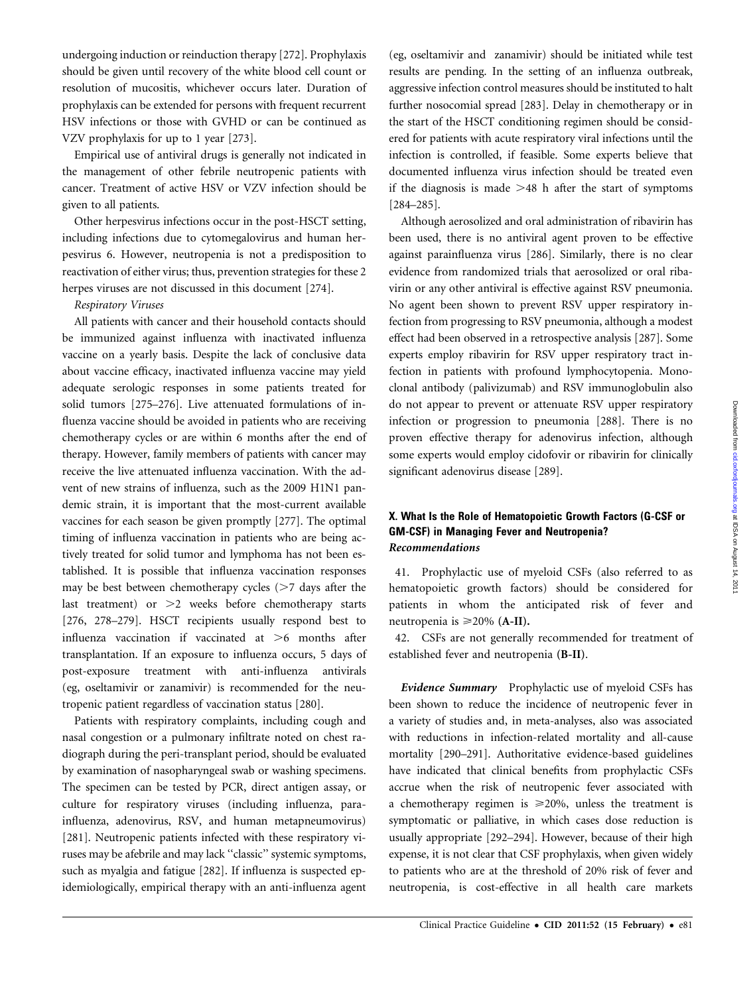undergoing induction or reinduction therapy [272]. Prophylaxis should be given until recovery of the white blood cell count or resolution of mucositis, whichever occurs later. Duration of prophylaxis can be extended for persons with frequent recurrent HSV infections or those with GVHD or can be continued as VZV prophylaxis for up to 1 year [273].

Empirical use of antiviral drugs is generally not indicated in the management of other febrile neutropenic patients with cancer. Treatment of active HSV or VZV infection should be given to all patients.

Other herpesvirus infections occur in the post-HSCT setting, including infections due to cytomegalovirus and human herpesvirus 6. However, neutropenia is not a predisposition to reactivation of either virus; thus, prevention strategies for these 2 herpes viruses are not discussed in this document [274].

#### Respiratory Viruses

All patients with cancer and their household contacts should be immunized against influenza with inactivated influenza vaccine on a yearly basis. Despite the lack of conclusive data about vaccine efficacy, inactivated influenza vaccine may yield adequate serologic responses in some patients treated for solid tumors [275–276]. Live attenuated formulations of influenza vaccine should be avoided in patients who are receiving chemotherapy cycles or are within 6 months after the end of therapy. However, family members of patients with cancer may receive the live attenuated influenza vaccination. With the advent of new strains of influenza, such as the 2009 H1N1 pandemic strain, it is important that the most-current available vaccines for each season be given promptly [277]. The optimal timing of influenza vaccination in patients who are being actively treated for solid tumor and lymphoma has not been established. It is possible that influenza vaccination responses may be best between chemotherapy cycles  $($ >7 days after the last treatment) or  $>2$  weeks before chemotherapy starts [276, 278–279]. HSCT recipients usually respond best to influenza vaccination if vaccinated at  $>6$  months after transplantation. If an exposure to influenza occurs, 5 days of post-exposure treatment with anti-influenza antivirals (eg, oseltamivir or zanamivir) is recommended for the neutropenic patient regardless of vaccination status [280].

Patients with respiratory complaints, including cough and nasal congestion or a pulmonary infiltrate noted on chest radiograph during the peri-transplant period, should be evaluated by examination of nasopharyngeal swab or washing specimens. The specimen can be tested by PCR, direct antigen assay, or culture for respiratory viruses (including influenza, parainfluenza, adenovirus, RSV, and human metapneumovirus) [281]. Neutropenic patients infected with these respiratory viruses may be afebrile and may lack ''classic'' systemic symptoms, such as myalgia and fatigue [282]. If influenza is suspected epidemiologically, empirical therapy with an anti-influenza agent (eg, oseltamivir and zanamivir) should be initiated while test results are pending. In the setting of an influenza outbreak, aggressive infection control measures should be instituted to halt further nosocomial spread [283]. Delay in chemotherapy or in the start of the HSCT conditioning regimen should be considered for patients with acute respiratory viral infections until the infection is controlled, if feasible. Some experts believe that documented influenza virus infection should be treated even if the diagnosis is made  $>48$  h after the start of symptoms [284–285].

Although aerosolized and oral administration of ribavirin has been used, there is no antiviral agent proven to be effective against parainfluenza virus [286]. Similarly, there is no clear evidence from randomized trials that aerosolized or oral ribavirin or any other antiviral is effective against RSV pneumonia. No agent been shown to prevent RSV upper respiratory infection from progressing to RSV pneumonia, although a modest effect had been observed in a retrospective analysis [287]. Some experts employ ribavirin for RSV upper respiratory tract infection in patients with profound lymphocytopenia. Monoclonal antibody (palivizumab) and RSV immunoglobulin also do not appear to prevent or attenuate RSV upper respiratory infection or progression to pneumonia [288]. There is no proven effective therapy for adenovirus infection, although some experts would employ cidofovir or ribavirin for clinically significant adenovirus disease [289].

# X. What Is the Role of Hematopoietic Growth Factors (G-CSF or GM-CSF) in Managing Fever and Neutropenia? Recommendations

41. Prophylactic use of myeloid CSFs (also referred to as hematopoietic growth factors) should be considered for patients in whom the anticipated risk of fever and neutropenia is  $\geq 20\%$  (A-II).

42. CSFs are not generally recommended for treatment of established fever and neutropenia (B-II).

Evidence Summary Prophylactic use of myeloid CSFs has been shown to reduce the incidence of neutropenic fever in a variety of studies and, in meta-analyses, also was associated with reductions in infection-related mortality and all-cause mortality [290–291]. Authoritative evidence-based guidelines have indicated that clinical benefits from prophylactic CSFs accrue when the risk of neutropenic fever associated with a chemotherapy regimen is  $\geq 20\%$ , unless the treatment is symptomatic or palliative, in which cases dose reduction is usually appropriate [292–294]. However, because of their high expense, it is not clear that CSF prophylaxis, when given widely to patients who are at the threshold of 20% risk of fever and neutropenia, is cost-effective in all health care markets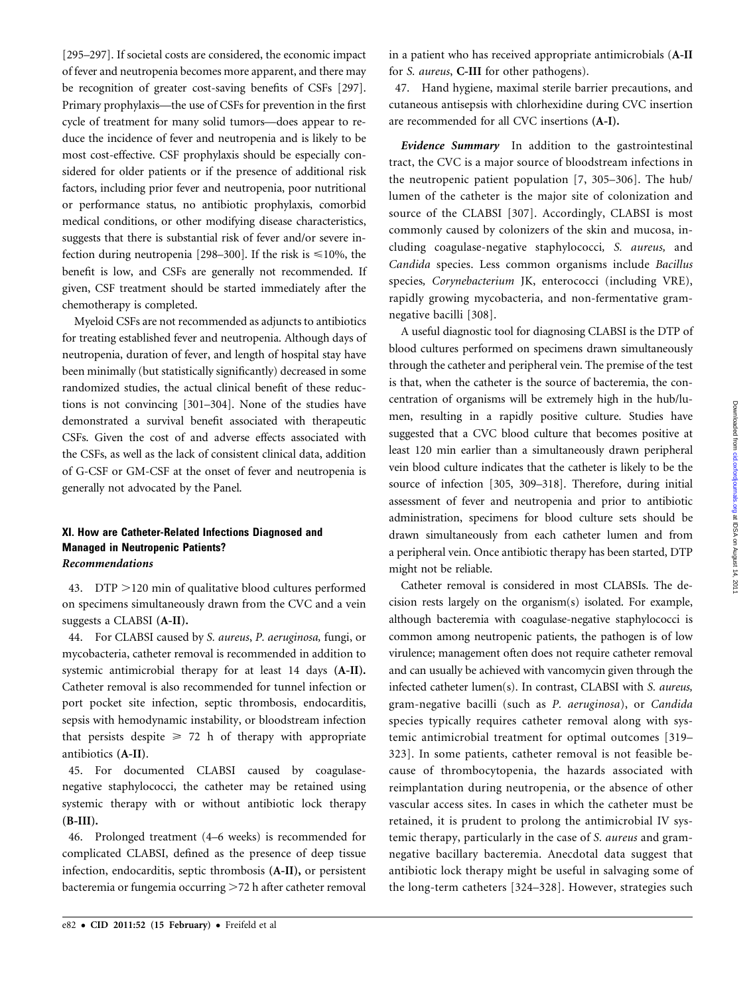[295–297]. If societal costs are considered, the economic impact of fever and neutropenia becomes more apparent, and there may be recognition of greater cost-saving benefits of CSFs [297]. Primary prophylaxis—the use of CSFs for prevention in the first cycle of treatment for many solid tumors—does appear to reduce the incidence of fever and neutropenia and is likely to be most cost-effective. CSF prophylaxis should be especially considered for older patients or if the presence of additional risk factors, including prior fever and neutropenia, poor nutritional or performance status, no antibiotic prophylaxis, comorbid medical conditions, or other modifying disease characteristics, suggests that there is substantial risk of fever and/or severe infection during neutropenia [298–300]. If the risk is  $\leq 10\%$ , the benefit is low, and CSFs are generally not recommended. If given, CSF treatment should be started immediately after the chemotherapy is completed.

Myeloid CSFs are not recommended as adjuncts to antibiotics for treating established fever and neutropenia. Although days of neutropenia, duration of fever, and length of hospital stay have been minimally (but statistically significantly) decreased in some randomized studies, the actual clinical benefit of these reductions is not convincing [301–304]. None of the studies have demonstrated a survival benefit associated with therapeutic CSFs. Given the cost of and adverse effects associated with the CSFs, as well as the lack of consistent clinical data, addition of G-CSF or GM-CSF at the onset of fever and neutropenia is generally not advocated by the Panel.

# XI. How are Catheter-Related Infections Diagnosed and Managed in Neutropenic Patients? Recommendations

43. DTP  $>120$  min of qualitative blood cultures performed on specimens simultaneously drawn from the CVC and a vein suggests a CLABSI (A-II).

44. For CLABSI caused by S. aureus, P. aeruginosa, fungi, or mycobacteria, catheter removal is recommended in addition to systemic antimicrobial therapy for at least 14 days (A-II). Catheter removal is also recommended for tunnel infection or port pocket site infection, septic thrombosis, endocarditis, sepsis with hemodynamic instability, or bloodstream infection that persists despite  $\geq 72$  h of therapy with appropriate antibiotics (A-II).

45. For documented CLABSI caused by coagulasenegative staphylococci, the catheter may be retained using systemic therapy with or without antibiotic lock therapy  $(B-III).$ 

46. Prolonged treatment (4–6 weeks) is recommended for complicated CLABSI, defined as the presence of deep tissue infection, endocarditis, septic thrombosis (A-II), or persistent bacteremia or fungemia occurring  $>72$  h after catheter removal in a patient who has received appropriate antimicrobials (A-II for S. aureus, C-III for other pathogens).

47. Hand hygiene, maximal sterile barrier precautions, and cutaneous antisepsis with chlorhexidine during CVC insertion are recommended for all CVC insertions (A-I).

Evidence Summary In addition to the gastrointestinal tract, the CVC is a major source of bloodstream infections in the neutropenic patient population [7, 305–306]. The hub/ lumen of the catheter is the major site of colonization and source of the CLABSI [307]. Accordingly, CLABSI is most commonly caused by colonizers of the skin and mucosa, including coagulase-negative staphylococci, S. aureus, and Candida species. Less common organisms include Bacillus species, Corynebacterium JK, enterococci (including VRE), rapidly growing mycobacteria, and non-fermentative gramnegative bacilli [308].

A useful diagnostic tool for diagnosing CLABSI is the DTP of blood cultures performed on specimens drawn simultaneously through the catheter and peripheral vein. The premise of the test is that, when the catheter is the source of bacteremia, the concentration of organisms will be extremely high in the hub/lumen, resulting in a rapidly positive culture. Studies have suggested that a CVC blood culture that becomes positive at least 120 min earlier than a simultaneously drawn peripheral vein blood culture indicates that the catheter is likely to be the source of infection [305, 309–318]. Therefore, during initial assessment of fever and neutropenia and prior to antibiotic administration, specimens for blood culture sets should be drawn simultaneously from each catheter lumen and from a peripheral vein. Once antibiotic therapy has been started, DTP might not be reliable.

Catheter removal is considered in most CLABSIs. The decision rests largely on the organism(s) isolated. For example, although bacteremia with coagulase-negative staphylococci is common among neutropenic patients, the pathogen is of low virulence; management often does not require catheter removal and can usually be achieved with vancomycin given through the infected catheter lumen(s). In contrast, CLABSI with S. aureus, gram-negative bacilli (such as P. aeruginosa), or Candida species typically requires catheter removal along with systemic antimicrobial treatment for optimal outcomes [319– 323]. In some patients, catheter removal is not feasible because of thrombocytopenia, the hazards associated with reimplantation during neutropenia, or the absence of other vascular access sites. In cases in which the catheter must be retained, it is prudent to prolong the antimicrobial IV systemic therapy, particularly in the case of S. aureus and gramnegative bacillary bacteremia. Anecdotal data suggest that antibiotic lock therapy might be useful in salvaging some of the long-term catheters [324–328]. However, strategies such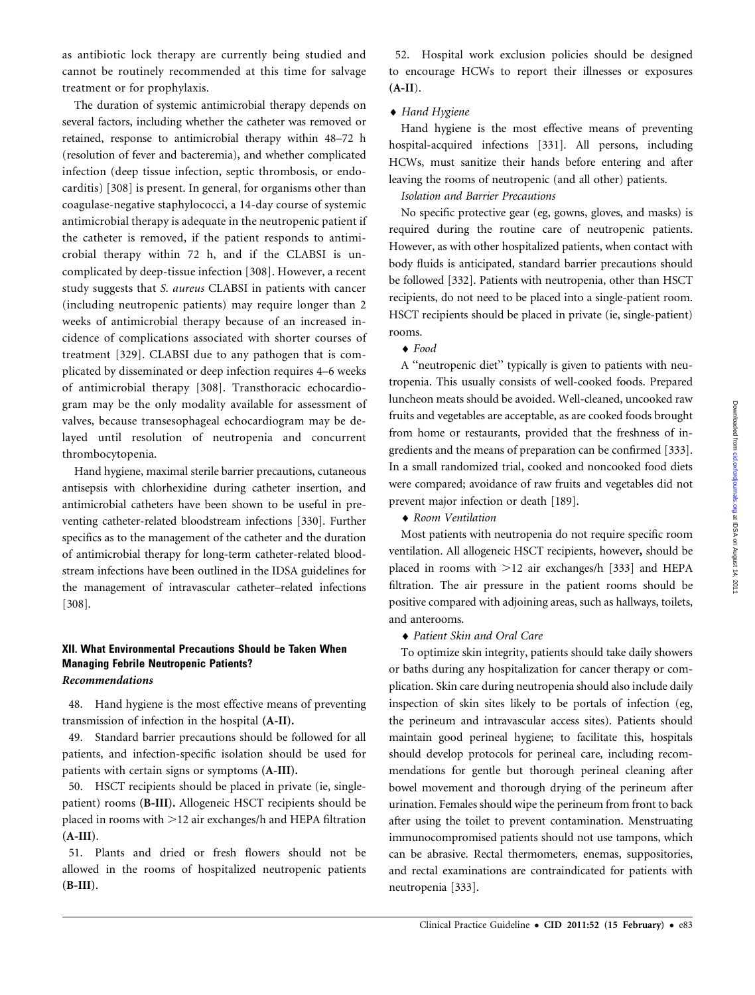as antibiotic lock therapy are currently being studied and cannot be routinely recommended at this time for salvage treatment or for prophylaxis.

The duration of systemic antimicrobial therapy depends on several factors, including whether the catheter was removed or retained, response to antimicrobial therapy within 48–72 h (resolution of fever and bacteremia), and whether complicated infection (deep tissue infection, septic thrombosis, or endocarditis) [308] is present. In general, for organisms other than coagulase-negative staphylococci, a 14-day course of systemic antimicrobial therapy is adequate in the neutropenic patient if the catheter is removed, if the patient responds to antimicrobial therapy within 72 h, and if the CLABSI is uncomplicated by deep-tissue infection [308]. However, a recent study suggests that S. aureus CLABSI in patients with cancer (including neutropenic patients) may require longer than 2 weeks of antimicrobial therapy because of an increased incidence of complications associated with shorter courses of treatment [329]. CLABSI due to any pathogen that is complicated by disseminated or deep infection requires 4–6 weeks of antimicrobial therapy [308]. Transthoracic echocardiogram may be the only modality available for assessment of valves, because transesophageal echocardiogram may be delayed until resolution of neutropenia and concurrent thrombocytopenia.

Hand hygiene, maximal sterile barrier precautions, cutaneous antisepsis with chlorhexidine during catheter insertion, and antimicrobial catheters have been shown to be useful in preventing catheter-related bloodstream infections [330]. Further specifics as to the management of the catheter and the duration of antimicrobial therapy for long-term catheter-related bloodstream infections have been outlined in the IDSA guidelines for the management of intravascular catheter–related infections [308].

# XII. What Environmental Precautions Should be Taken When Managing Febrile Neutropenic Patients? Recommendations

48. Hand hygiene is the most effective means of preventing transmission of infection in the hospital (A-II).

49. Standard barrier precautions should be followed for all patients, and infection-specific isolation should be used for patients with certain signs or symptoms (A-III).

50. HSCT recipients should be placed in private (ie, singlepatient) rooms (B-III). Allogeneic HSCT recipients should be placed in rooms with  $>12$  air exchanges/h and HEPA filtration  $(A-III).$ 

51. Plants and dried or fresh flowers should not be allowed in the rooms of hospitalized neutropenic patients (B-III).

52. Hospital work exclusion policies should be designed to encourage HCWs to report their illnesses or exposures  $(A-II).$ 

#### ◆ Hand Hygiene

Hand hygiene is the most effective means of preventing hospital-acquired infections [331]. All persons, including HCWs, must sanitize their hands before entering and after leaving the rooms of neutropenic (and all other) patients.

#### Isolation and Barrier Precautions

No specific protective gear (eg, gowns, gloves, and masks) is required during the routine care of neutropenic patients. However, as with other hospitalized patients, when contact with body fluids is anticipated, standard barrier precautions should be followed [332]. Patients with neutropenia, other than HSCT recipients, do not need to be placed into a single-patient room. HSCT recipients should be placed in private (ie, single-patient) rooms.

#### $\bullet$  Food

A ''neutropenic diet'' typically is given to patients with neutropenia. This usually consists of well-cooked foods. Prepared luncheon meats should be avoided. Well-cleaned, uncooked raw fruits and vegetables are acceptable, as are cooked foods brought from home or restaurants, provided that the freshness of ingredients and the means of preparation can be confirmed [333]. In a small randomized trial, cooked and noncooked food diets were compared; avoidance of raw fruits and vegetables did not prevent major infection or death [189].

¤ Room Ventilation

Most patients with neutropenia do not require specific room ventilation. All allogeneic HSCT recipients, however, should be placed in rooms with  $>12$  air exchanges/h [333] and HEPA filtration. The air pressure in the patient rooms should be positive compared with adjoining areas, such as hallways, toilets, and anterooms.

#### ¤ Patient Skin and Oral Care

To optimize skin integrity, patients should take daily showers or baths during any hospitalization for cancer therapy or complication. Skin care during neutropenia should also include daily inspection of skin sites likely to be portals of infection (eg, the perineum and intravascular access sites). Patients should maintain good perineal hygiene; to facilitate this, hospitals should develop protocols for perineal care, including recommendations for gentle but thorough perineal cleaning after bowel movement and thorough drying of the perineum after urination. Females should wipe the perineum from front to back after using the toilet to prevent contamination. Menstruating immunocompromised patients should not use tampons, which can be abrasive. Rectal thermometers, enemas, suppositories, and rectal examinations are contraindicated for patients with neutropenia [333].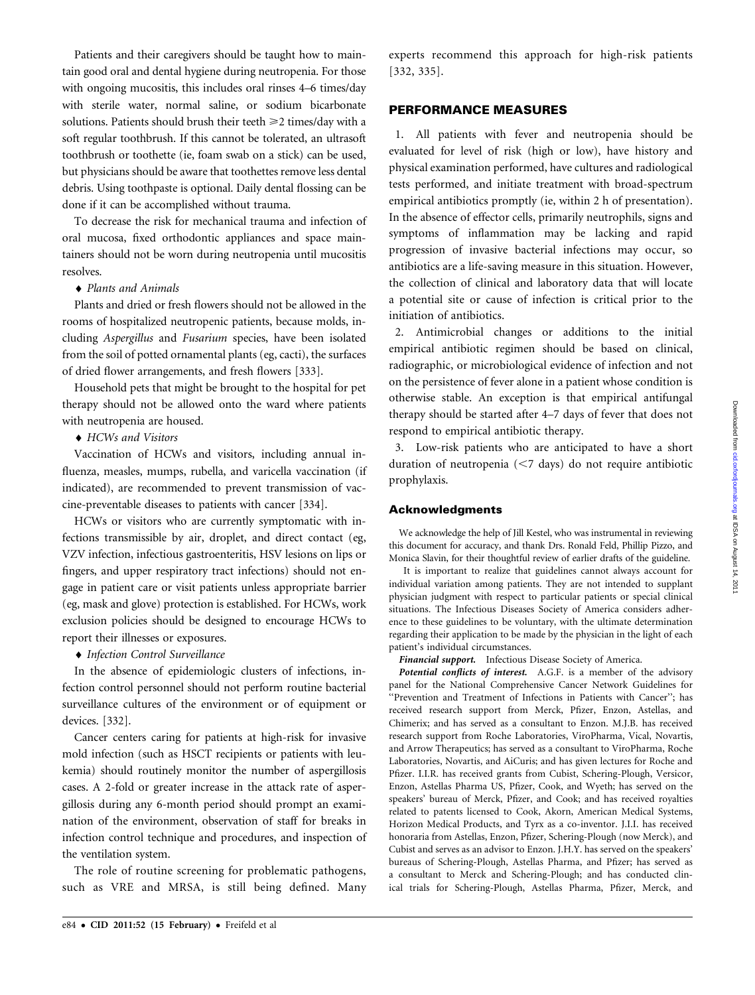Patients and their caregivers should be taught how to maintain good oral and dental hygiene during neutropenia. For those with ongoing mucositis, this includes oral rinses 4–6 times/day with sterile water, normal saline, or sodium bicarbonate solutions. Patients should brush their teeth  $\geq 2$  times/day with a soft regular toothbrush. If this cannot be tolerated, an ultrasoft toothbrush or toothette (ie, foam swab on a stick) can be used, but physicians should be aware that toothettes remove less dental debris. Using toothpaste is optional. Daily dental flossing can be done if it can be accomplished without trauma.

To decrease the risk for mechanical trauma and infection of oral mucosa, fixed orthodontic appliances and space maintainers should not be worn during neutropenia until mucositis resolves.

#### ¤ Plants and Animals

Plants and dried or fresh flowers should not be allowed in the rooms of hospitalized neutropenic patients, because molds, including Aspergillus and Fusarium species, have been isolated from the soil of potted ornamental plants (eg, cacti), the surfaces of dried flower arrangements, and fresh flowers [333].

Household pets that might be brought to the hospital for pet therapy should not be allowed onto the ward where patients with neutropenia are housed.

#### ¤ HCWs and Visitors

Vaccination of HCWs and visitors, including annual influenza, measles, mumps, rubella, and varicella vaccination (if indicated), are recommended to prevent transmission of vaccine-preventable diseases to patients with cancer [334].

HCWs or visitors who are currently symptomatic with infections transmissible by air, droplet, and direct contact (eg, VZV infection, infectious gastroenteritis, HSV lesions on lips or fingers, and upper respiratory tract infections) should not engage in patient care or visit patients unless appropriate barrier (eg, mask and glove) protection is established. For HCWs, work exclusion policies should be designed to encourage HCWs to report their illnesses or exposures.

#### ¤ Infection Control Surveillance

In the absence of epidemiologic clusters of infections, infection control personnel should not perform routine bacterial surveillance cultures of the environment or of equipment or devices. [332].

Cancer centers caring for patients at high-risk for invasive mold infection (such as HSCT recipients or patients with leukemia) should routinely monitor the number of aspergillosis cases. A 2-fold or greater increase in the attack rate of aspergillosis during any 6-month period should prompt an examination of the environment, observation of staff for breaks in infection control technique and procedures, and inspection of the ventilation system.

The role of routine screening for problematic pathogens, such as VRE and MRSA, is still being defined. Many experts recommend this approach for high-risk patients [332, 335].

#### PERFORMANCE MEASURES

1. All patients with fever and neutropenia should be evaluated for level of risk (high or low), have history and physical examination performed, have cultures and radiological tests performed, and initiate treatment with broad-spectrum empirical antibiotics promptly (ie, within 2 h of presentation). In the absence of effector cells, primarily neutrophils, signs and symptoms of inflammation may be lacking and rapid progression of invasive bacterial infections may occur, so antibiotics are a life-saving measure in this situation. However, the collection of clinical and laboratory data that will locate a potential site or cause of infection is critical prior to the initiation of antibiotics.

2. Antimicrobial changes or additions to the initial empirical antibiotic regimen should be based on clinical, radiographic, or microbiological evidence of infection and not on the persistence of fever alone in a patient whose condition is otherwise stable. An exception is that empirical antifungal therapy should be started after 4–7 days of fever that does not respond to empirical antibiotic therapy.

3. Low-risk patients who are anticipated to have a short duration of neutropenia  $(< 7$  days) do not require antibiotic prophylaxis.

#### Acknowledgments

We acknowledge the help of Jill Kestel, who was instrumental in reviewing this document for accuracy, and thank Drs. Ronald Feld, Phillip Pizzo, and Monica Slavin, for their thoughtful review of earlier drafts of the guideline.

It is important to realize that guidelines cannot always account for individual variation among patients. They are not intended to supplant physician judgment with respect to particular patients or special clinical situations. The Infectious Diseases Society of America considers adherence to these guidelines to be voluntary, with the ultimate determination regarding their application to be made by the physician in the light of each patient's individual circumstances.

#### Financial support. Infectious Disease Society of America.

Potential conflicts of interest. A.G.F. is a member of the advisory panel for the National Comprehensive Cancer Network Guidelines for "Prevention and Treatment of Infections in Patients with Cancer"; has received research support from Merck, Pfizer, Enzon, Astellas, and Chimerix; and has served as a consultant to Enzon. M.J.B. has received research support from Roche Laboratories, ViroPharma, Vical, Novartis, and Arrow Therapeutics; has served as a consultant to ViroPharma, Roche Laboratories, Novartis, and AiCuris; and has given lectures for Roche and Pfizer. I.I.R. has received grants from Cubist, Schering-Plough, Versicor, Enzon, Astellas Pharma US, Pfizer, Cook, and Wyeth; has served on the speakers' bureau of Merck, Pfizer, and Cook; and has received royalties related to patents licensed to Cook, Akorn, American Medical Systems, Horizon Medical Products, and Tyrx as a co-inventor. J.I.I. has received honoraria from Astellas, Enzon, Pfizer, Schering-Plough (now Merck), and Cubist and serves as an advisor to Enzon. J.H.Y. has served on the speakers' bureaus of Schering-Plough, Astellas Pharma, and Pfizer; has served as a consultant to Merck and Schering-Plough; and has conducted clinical trials for Schering-Plough, Astellas Pharma, Pfizer, Merck, and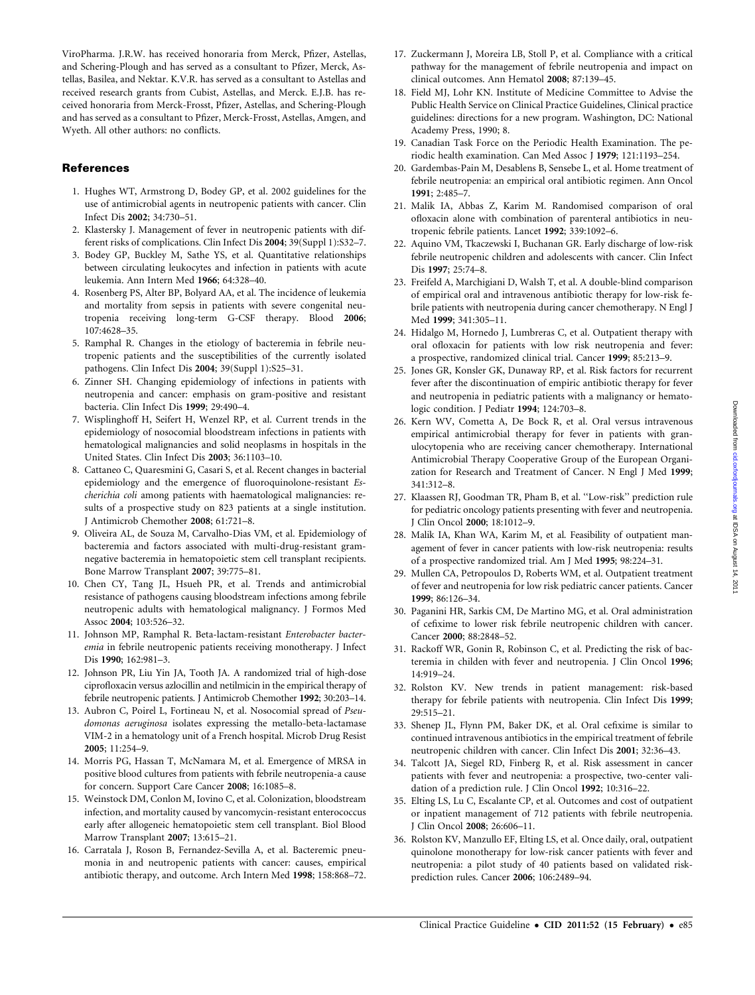ViroPharma. J.R.W. has received honoraria from Merck, Pfizer, Astellas, and Schering-Plough and has served as a consultant to Pfizer, Merck, Astellas, Basilea, and Nektar. K.V.R. has served as a consultant to Astellas and received research grants from Cubist, Astellas, and Merck. E.J.B. has received honoraria from Merck-Frosst, Pfizer, Astellas, and Schering-Plough and has served as a consultant to Pfizer, Merck-Frosst, Astellas, Amgen, and Wyeth. All other authors: no conflicts.

#### References

- 1. Hughes WT, Armstrong D, Bodey GP, et al. 2002 guidelines for the use of antimicrobial agents in neutropenic patients with cancer. Clin Infect Dis 2002; 34:730–51.
- 2. Klastersky J. Management of fever in neutropenic patients with different risks of complications. Clin Infect Dis 2004; 39(Suppl 1):S32–7.
- 3. Bodey GP, Buckley M, Sathe YS, et al. Quantitative relationships between circulating leukocytes and infection in patients with acute leukemia. Ann Intern Med 1966; 64:328–40.
- 4. Rosenberg PS, Alter BP, Bolyard AA, et al. The incidence of leukemia and mortality from sepsis in patients with severe congenital neutropenia receiving long-term G-CSF therapy. Blood 2006; 107:4628–35.
- 5. Ramphal R. Changes in the etiology of bacteremia in febrile neutropenic patients and the susceptibilities of the currently isolated pathogens. Clin Infect Dis 2004; 39(Suppl 1):S25–31.
- 6. Zinner SH. Changing epidemiology of infections in patients with neutropenia and cancer: emphasis on gram-positive and resistant bacteria. Clin Infect Dis 1999; 29:490–4.
- 7. Wisplinghoff H, Seifert H, Wenzel RP, et al. Current trends in the epidemiology of nosocomial bloodstream infections in patients with hematological malignancies and solid neoplasms in hospitals in the United States. Clin Infect Dis 2003; 36:1103–10.
- 8. Cattaneo C, Quaresmini G, Casari S, et al. Recent changes in bacterial epidemiology and the emergence of fluoroquinolone-resistant Escherichia coli among patients with haematological malignancies: results of a prospective study on 823 patients at a single institution. J Antimicrob Chemother 2008; 61:721–8.
- 9. Oliveira AL, de Souza M, Carvalho-Dias VM, et al. Epidemiology of bacteremia and factors associated with multi-drug-resistant gramnegative bacteremia in hematopoietic stem cell transplant recipients. Bone Marrow Transplant 2007; 39:775–81.
- 10. Chen CY, Tang JL, Hsueh PR, et al. Trends and antimicrobial resistance of pathogens causing bloodstream infections among febrile neutropenic adults with hematological malignancy. J Formos Med Assoc 2004; 103:526–32.
- 11. Johnson MP, Ramphal R. Beta-lactam-resistant Enterobacter bacteremia in febrile neutropenic patients receiving monotherapy. J Infect Dis 1990; 162:981–3.
- 12. Johnson PR, Liu Yin JA, Tooth JA. A randomized trial of high-dose ciprofloxacin versus azlocillin and netilmicin in the empirical therapy of febrile neutropenic patients. J Antimicrob Chemother 1992; 30:203–14.
- 13. Aubron C, Poirel L, Fortineau N, et al. Nosocomial spread of Pseudomonas aeruginosa isolates expressing the metallo-beta-lactamase VIM-2 in a hematology unit of a French hospital. Microb Drug Resist 2005; 11:254–9.
- 14. Morris PG, Hassan T, McNamara M, et al. Emergence of MRSA in positive blood cultures from patients with febrile neutropenia-a cause for concern. Support Care Cancer 2008; 16:1085–8.
- 15. Weinstock DM, Conlon M, Iovino C, et al. Colonization, bloodstream infection, and mortality caused by vancomycin-resistant enterococcus early after allogeneic hematopoietic stem cell transplant. Biol Blood Marrow Transplant 2007; 13:615–21.
- 16. Carratala J, Roson B, Fernandez-Sevilla A, et al. Bacteremic pneumonia in and neutropenic patients with cancer: causes, empirical antibiotic therapy, and outcome. Arch Intern Med 1998; 158:868–72.
- 17. Zuckermann J, Moreira LB, Stoll P, et al. Compliance with a critical pathway for the management of febrile neutropenia and impact on clinical outcomes. Ann Hematol 2008; 87:139–45.
- 18. Field MJ, Lohr KN. Institute of Medicine Committee to Advise the Public Health Service on Clinical Practice Guidelines, Clinical practice guidelines: directions for a new program. Washington, DC: National Academy Press, 1990; 8.
- 19. Canadian Task Force on the Periodic Health Examination. The periodic health examination. Can Med Assoc J 1979; 121:1193–254.
- 20. Gardembas-Pain M, Desablens B, Sensebe L, et al. Home treatment of febrile neutropenia: an empirical oral antibiotic regimen. Ann Oncol 1991; 2:485–7.
- 21. Malik IA, Abbas Z, Karim M. Randomised comparison of oral ofloxacin alone with combination of parenteral antibiotics in neutropenic febrile patients. Lancet 1992; 339:1092–6.
- 22. Aquino VM, Tkaczewski I, Buchanan GR. Early discharge of low-risk febrile neutropenic children and adolescents with cancer. Clin Infect Dis 1997; 25:74–8.
- 23. Freifeld A, Marchigiani D, Walsh T, et al. A double-blind comparison of empirical oral and intravenous antibiotic therapy for low-risk febrile patients with neutropenia during cancer chemotherapy. N Engl J Med 1999; 341:305–11.
- 24. Hidalgo M, Hornedo J, Lumbreras C, et al. Outpatient therapy with oral ofloxacin for patients with low risk neutropenia and fever: a prospective, randomized clinical trial. Cancer 1999; 85:213–9.
- 25. Jones GR, Konsler GK, Dunaway RP, et al. Risk factors for recurrent fever after the discontinuation of empiric antibiotic therapy for fever and neutropenia in pediatric patients with a malignancy or hematologic condition. J Pediatr 1994; 124:703–8.
- 26. Kern WV, Cometta A, De Bock R, et al. Oral versus intravenous empirical antimicrobial therapy for fever in patients with granulocytopenia who are receiving cancer chemotherapy. International Antimicrobial Therapy Cooperative Group of the European Organization for Research and Treatment of Cancer. N Engl J Med 1999; 341:312–8.
- 27. Klaassen RJ, Goodman TR, Pham B, et al. ''Low-risk'' prediction rule for pediatric oncology patients presenting with fever and neutropenia. J Clin Oncol 2000; 18:1012–9.
- 28. Malik IA, Khan WA, Karim M, et al. Feasibility of outpatient management of fever in cancer patients with low-risk neutropenia: results of a prospective randomized trial. Am J Med 1995; 98:224–31.
- 29. Mullen CA, Petropoulos D, Roberts WM, et al. Outpatient treatment of fever and neutropenia for low risk pediatric cancer patients. Cancer 1999; 86:126–34.
- 30. Paganini HR, Sarkis CM, De Martino MG, et al. Oral administration of cefixime to lower risk febrile neutropenic children with cancer. Cancer 2000; 88:2848–52.
- 31. Rackoff WR, Gonin R, Robinson C, et al. Predicting the risk of bacteremia in childen with fever and neutropenia. J Clin Oncol 1996; 14:919–24.
- 32. Rolston KV. New trends in patient management: risk-based therapy for febrile patients with neutropenia. Clin Infect Dis 1999; 29:515–21.
- 33. Shenep JL, Flynn PM, Baker DK, et al. Oral cefixime is similar to continued intravenous antibiotics in the empirical treatment of febrile neutropenic children with cancer. Clin Infect Dis 2001; 32:36–43.
- 34. Talcott JA, Siegel RD, Finberg R, et al. Risk assessment in cancer patients with fever and neutropenia: a prospective, two-center validation of a prediction rule. J Clin Oncol 1992; 10:316–22.
- 35. Elting LS, Lu C, Escalante CP, et al. Outcomes and cost of outpatient or inpatient management of 712 patients with febrile neutropenia. J Clin Oncol 2008; 26:606–11.
- 36. Rolston KV, Manzullo EF, Elting LS, et al. Once daily, oral, outpatient quinolone monotherapy for low-risk cancer patients with fever and neutropenia: a pilot study of 40 patients based on validated riskprediction rules. Cancer 2006; 106:2489–94.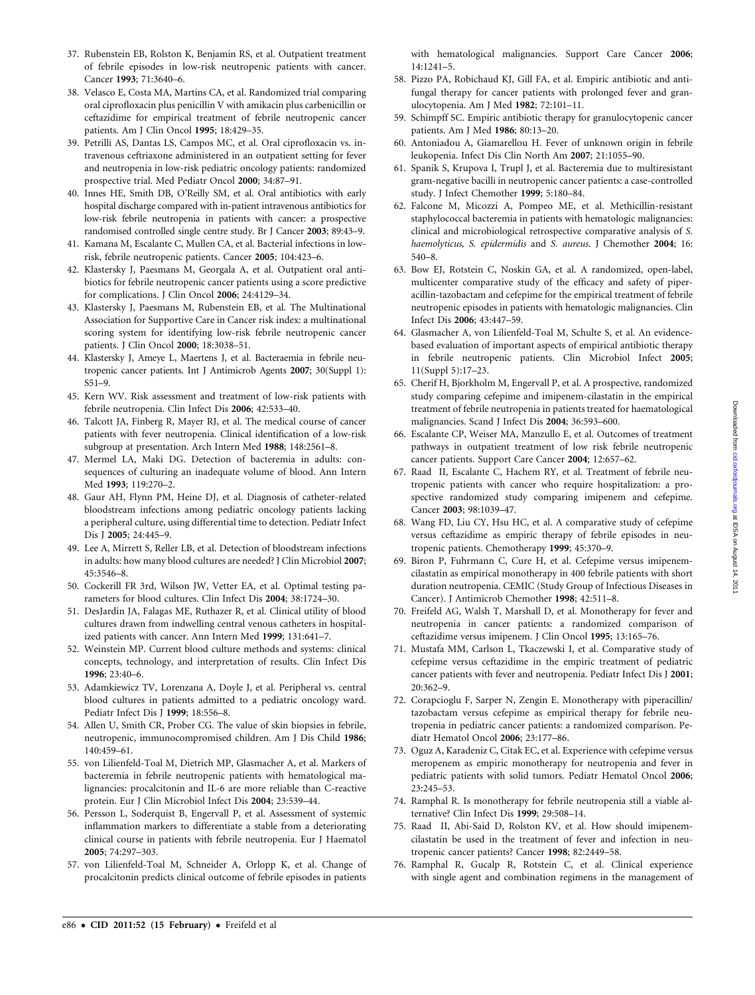- 37. Rubenstein EB, Rolston K, Benjamin RS, et al. Outpatient treatment of febrile episodes in low-risk neutropenic patients with cancer. Cancer 1993; 71:3640–6.
- 38. Velasco E, Costa MA, Martins CA, et al. Randomized trial comparing oral ciprofloxacin plus penicillin V with amikacin plus carbenicillin or ceftazidime for empirical treatment of febrile neutropenic cancer patients. Am J Clin Oncol 1995; 18:429–35.
- 39. Petrilli AS, Dantas LS, Campos MC, et al. Oral ciprofloxacin vs. intravenous ceftriaxone administered in an outpatient setting for fever and neutropenia in low-risk pediatric oncology patients: randomized prospective trial. Med Pediatr Oncol 2000; 34:87–91.
- 40. Innes HE, Smith DB, O'Reilly SM, et al. Oral antibiotics with early hospital discharge compared with in-patient intravenous antibiotics for low-risk febrile neutropenia in patients with cancer: a prospective randomised controlled single centre study. Br J Cancer 2003; 89:43–9.
- 41. Kamana M, Escalante C, Mullen CA, et al. Bacterial infections in lowrisk, febrile neutropenic patients. Cancer 2005; 104:423–6.
- 42. Klastersky J, Paesmans M, Georgala A, et al. Outpatient oral antibiotics for febrile neutropenic cancer patients using a score predictive for complications. J Clin Oncol 2006; 24:4129–34.
- 43. Klastersky J, Paesmans M, Rubenstein EB, et al. The Multinational Association for Supportive Care in Cancer risk index: a multinational scoring system for identifying low-risk febrile neutropenic cancer patients. J Clin Oncol 2000; 18:3038–51.
- 44. Klastersky J, Ameye L, Maertens J, et al. Bacteraemia in febrile neutropenic cancer patients. Int J Antimicrob Agents 2007; 30(Suppl 1): S51–9.
- 45. Kern WV. Risk assessment and treatment of low-risk patients with febrile neutropenia. Clin Infect Dis 2006; 42:533–40.
- 46. Talcott JA, Finberg R, Mayer RJ, et al. The medical course of cancer patients with fever neutropenia. Clinical identification of a low-risk subgroup at presentation. Arch Intern Med 1988; 148:2561–8.
- 47. Mermel LA, Maki DG. Detection of bacteremia in adults: consequences of culturing an inadequate volume of blood. Ann Intern Med 1993; 119:270–2.
- 48. Gaur AH, Flynn PM, Heine DJ, et al. Diagnosis of catheter-related bloodstream infections among pediatric oncology patients lacking a peripheral culture, using differential time to detection. Pediatr Infect Dis J 2005; 24:445–9.
- 49. Lee A, Mirrett S, Reller LB, et al. Detection of bloodstream infections in adults: how many blood cultures are needed? J Clin Microbiol 2007; 45:3546–8.
- 50. Cockerill FR 3rd, Wilson JW, Vetter EA, et al. Optimal testing parameters for blood cultures. Clin Infect Dis 2004; 38:1724–30.
- 51. DesJardin JA, Falagas ME, Ruthazer R, et al. Clinical utility of blood cultures drawn from indwelling central venous catheters in hospitalized patients with cancer. Ann Intern Med 1999; 131:641–7.
- 52. Weinstein MP. Current blood culture methods and systems: clinical concepts, technology, and interpretation of results. Clin Infect Dis 1996; 23:40–6.
- 53. Adamkiewicz TV, Lorenzana A, Doyle J, et al. Peripheral vs. central blood cultures in patients admitted to a pediatric oncology ward. Pediatr Infect Dis J 1999; 18:556–8.
- 54. Allen U, Smith CR, Prober CG. The value of skin biopsies in febrile, neutropenic, immunocompromised children. Am J Dis Child 1986; 140:459–61.
- 55. von Lilienfeld-Toal M, Dietrich MP, Glasmacher A, et al. Markers of bacteremia in febrile neutropenic patients with hematological malignancies: procalcitonin and IL-6 are more reliable than C-reactive protein. Eur J Clin Microbiol Infect Dis 2004; 23:539–44.
- 56. Persson L, Soderquist B, Engervall P, et al. Assessment of systemic inflammation markers to differentiate a stable from a deteriorating clinical course in patients with febrile neutropenia. Eur J Haematol 2005; 74:297–303.
- 57. von Lilienfeld-Toal M, Schneider A, Orlopp K, et al. Change of procalcitonin predicts clinical outcome of febrile episodes in patients

with hematological malignancies. Support Care Cancer 2006; 14:1241–5.

- 58. Pizzo PA, Robichaud KJ, Gill FA, et al. Empiric antibiotic and antifungal therapy for cancer patients with prolonged fever and granulocytopenia. Am J Med 1982; 72:101–11.
- 59. Schimpff SC. Empiric antibiotic therapy for granulocytopenic cancer patients. Am J Med 1986; 80:13–20.
- 60. Antoniadou A, Giamarellou H. Fever of unknown origin in febrile leukopenia. Infect Dis Clin North Am 2007; 21:1055–90.
- 61. Spanik S, Krupova I, Trupl J, et al. Bacteremia due to multiresistant gram-negative bacilli in neutropenic cancer patients: a case-controlled study. J Infect Chemother 1999; 5:180–84.
- 62. Falcone M, Micozzi A, Pompeo ME, et al. Methicillin-resistant staphylococcal bacteremia in patients with hematologic malignancies: clinical and microbiological retrospective comparative analysis of S. haemolyticus, S. epidermidis and S. aureus. J Chemother 2004; 16: 540–8.
- 63. Bow EJ, Rotstein C, Noskin GA, et al. A randomized, open-label, multicenter comparative study of the efficacy and safety of piperacillin-tazobactam and cefepime for the empirical treatment of febrile neutropenic episodes in patients with hematologic malignancies. Clin Infect Dis 2006; 43:447–59.
- 64. Glasmacher A, von Lilienfeld-Toal M, Schulte S, et al. An evidencebased evaluation of important aspects of empirical antibiotic therapy in febrile neutropenic patients. Clin Microbiol Infect 2005; 11(Suppl 5):17–23.
- 65. Cherif H, Bjorkholm M, Engervall P, et al. A prospective, randomized study comparing cefepime and imipenem-cilastatin in the empirical treatment of febrile neutropenia in patients treated for haematological malignancies. Scand J Infect Dis 2004; 36:593–600.
- 66. Escalante CP, Weiser MA, Manzullo E, et al. Outcomes of treatment pathways in outpatient treatment of low risk febrile neutropenic cancer patients. Support Care Cancer 2004; 12:657–62.
- 67. Raad II, Escalante C, Hachem RY, et al. Treatment of febrile neutropenic patients with cancer who require hospitalization: a prospective randomized study comparing imipenem and cefepime. Cancer 2003; 98:1039–47.
- 68. Wang FD, Liu CY, Hsu HC, et al. A comparative study of cefepime versus ceftazidime as empiric therapy of febrile episodes in neutropenic patients. Chemotherapy 1999; 45:370–9.
- 69. Biron P, Fuhrmann C, Cure H, et al. Cefepime versus imipenemcilastatin as empirical monotherapy in 400 febrile patients with short duration neutropenia. CEMIC (Study Group of Infectious Diseases in Cancer). J Antimicrob Chemother 1998; 42:511–8.
- 70. Freifeld AG, Walsh T, Marshall D, et al. Monotherapy for fever and neutropenia in cancer patients: a randomized comparison of ceftazidime versus imipenem. J Clin Oncol 1995; 13:165–76.
- 71. Mustafa MM, Carlson L, Tkaczewski I, et al. Comparative study of cefepime versus ceftazidime in the empiric treatment of pediatric cancer patients with fever and neutropenia. Pediatr Infect Dis J 2001; 20:362–9.
- 72. Corapcioglu F, Sarper N, Zengin E. Monotherapy with piperacillin/ tazobactam versus cefepime as empirical therapy for febrile neutropenia in pediatric cancer patients: a randomized comparison. Pediatr Hematol Oncol 2006; 23:177–86.
- 73. Oguz A, Karadeniz C, Citak EC, et al. Experience with cefepime versus meropenem as empiric monotherapy for neutropenia and fever in pediatric patients with solid tumors. Pediatr Hematol Oncol 2006; 23:245–53.
- 74. Ramphal R. Is monotherapy for febrile neutropenia still a viable alternative? Clin Infect Dis 1999; 29:508–14.
- 75. Raad II, Abi-Said D, Rolston KV, et al. How should imipenemcilastatin be used in the treatment of fever and infection in neutropenic cancer patients? Cancer 1998; 82:2449–58.
- 76. Ramphal R, Gucalp R, Rotstein C, et al. Clinical experience with single agent and combination regimens in the management of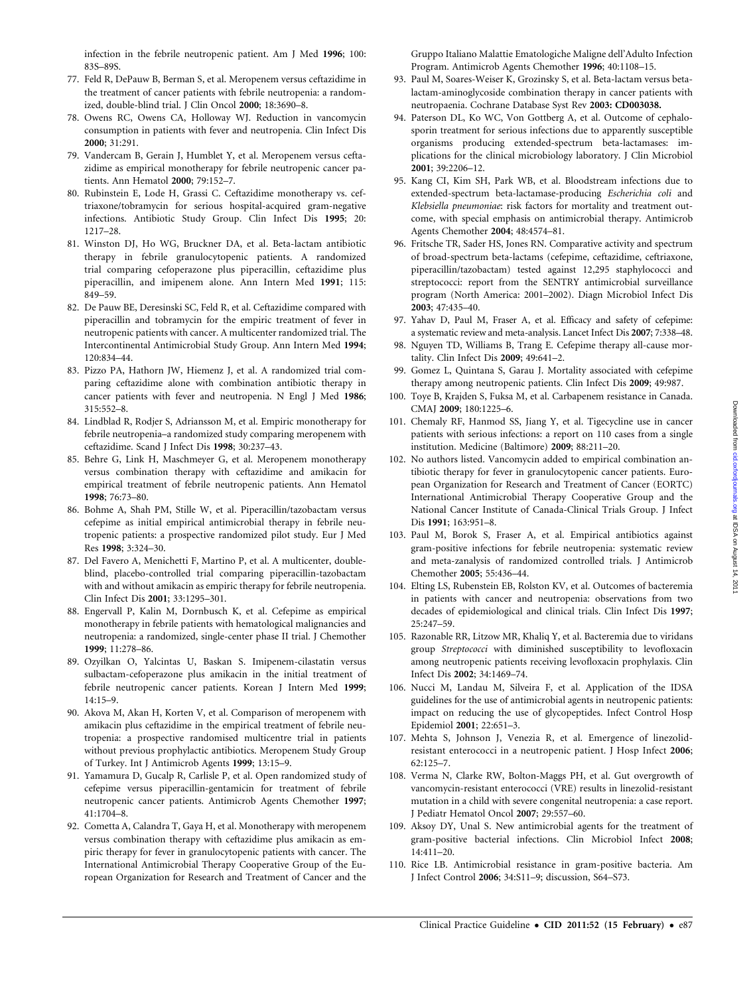infection in the febrile neutropenic patient. Am J Med 1996; 100: 83S–89S.

- 77. Feld R, DePauw B, Berman S, et al. Meropenem versus ceftazidime in the treatment of cancer patients with febrile neutropenia: a randomized, double-blind trial. J Clin Oncol 2000; 18:3690–8.
- 78. Owens RC, Owens CA, Holloway WJ. Reduction in vancomycin consumption in patients with fever and neutropenia. Clin Infect Dis 2000; 31:291.
- 79. Vandercam B, Gerain J, Humblet Y, et al. Meropenem versus ceftazidime as empirical monotherapy for febrile neutropenic cancer patients. Ann Hematol 2000; 79:152–7.
- 80. Rubinstein E, Lode H, Grassi C. Ceftazidime monotherapy vs. ceftriaxone/tobramycin for serious hospital-acquired gram-negative infections. Antibiotic Study Group. Clin Infect Dis 1995; 20: 1217–28.
- 81. Winston DJ, Ho WG, Bruckner DA, et al. Beta-lactam antibiotic therapy in febrile granulocytopenic patients. A randomized trial comparing cefoperazone plus piperacillin, ceftazidime plus piperacillin, and imipenem alone. Ann Intern Med 1991; 115: 849–59.
- 82. De Pauw BE, Deresinski SC, Feld R, et al. Ceftazidime compared with piperacillin and tobramycin for the empiric treatment of fever in neutropenic patients with cancer. A multicenter randomized trial. The Intercontinental Antimicrobial Study Group. Ann Intern Med 1994; 120:834–44.
- 83. Pizzo PA, Hathorn JW, Hiemenz J, et al. A randomized trial comparing ceftazidime alone with combination antibiotic therapy in cancer patients with fever and neutropenia. N Engl J Med 1986; 315:552–8.
- 84. Lindblad R, Rodjer S, Adriansson M, et al. Empiric monotherapy for febrile neutropenia–a randomized study comparing meropenem with ceftazidime. Scand J Infect Dis 1998; 30:237–43.
- 85. Behre G, Link H, Maschmeyer G, et al. Meropenem monotherapy versus combination therapy with ceftazidime and amikacin for empirical treatment of febrile neutropenic patients. Ann Hematol 1998; 76:73–80.
- 86. Bohme A, Shah PM, Stille W, et al. Piperacillin/tazobactam versus cefepime as initial empirical antimicrobial therapy in febrile neutropenic patients: a prospective randomized pilot study. Eur J Med Res 1998; 3:324–30.
- 87. Del Favero A, Menichetti F, Martino P, et al. A multicenter, doubleblind, placebo-controlled trial comparing piperacillin-tazobactam with and without amikacin as empiric therapy for febrile neutropenia. Clin Infect Dis 2001; 33:1295–301.
- 88. Engervall P, Kalin M, Dornbusch K, et al. Cefepime as empirical monotherapy in febrile patients with hematological malignancies and neutropenia: a randomized, single-center phase II trial. J Chemother 1999; 11:278–86.
- 89. Ozyilkan O, Yalcintas U, Baskan S. Imipenem-cilastatin versus sulbactam-cefoperazone plus amikacin in the initial treatment of febrile neutropenic cancer patients. Korean J Intern Med 1999; 14:15–9.
- 90. Akova M, Akan H, Korten V, et al. Comparison of meropenem with amikacin plus ceftazidime in the empirical treatment of febrile neutropenia: a prospective randomised multicentre trial in patients without previous prophylactic antibiotics. Meropenem Study Group of Turkey. Int J Antimicrob Agents 1999; 13:15–9.
- 91. Yamamura D, Gucalp R, Carlisle P, et al. Open randomized study of cefepime versus piperacillin-gentamicin for treatment of febrile neutropenic cancer patients. Antimicrob Agents Chemother 1997;  $41.1704 - 8$
- 92. Cometta A, Calandra T, Gaya H, et al. Monotherapy with meropenem versus combination therapy with ceftazidime plus amikacin as empiric therapy for fever in granulocytopenic patients with cancer. The International Antimicrobial Therapy Cooperative Group of the European Organization for Research and Treatment of Cancer and the

Gruppo Italiano Malattie Ematologiche Maligne dell'Adulto Infection Program. Antimicrob Agents Chemother 1996; 40:1108–15.

- 93. Paul M, Soares-Weiser K, Grozinsky S, et al. Beta-lactam versus betalactam-aminoglycoside combination therapy in cancer patients with neutropaenia. Cochrane Database Syst Rev 2003: CD003038.
- 94. Paterson DL, Ko WC, Von Gottberg A, et al. Outcome of cephalosporin treatment for serious infections due to apparently susceptible organisms producing extended-spectrum beta-lactamases: implications for the clinical microbiology laboratory. J Clin Microbiol 2001; 39:2206–12.
- 95. Kang CI, Kim SH, Park WB, et al. Bloodstream infections due to extended-spectrum beta-lactamase-producing Escherichia coli and Klebsiella pneumoniae: risk factors for mortality and treatment outcome, with special emphasis on antimicrobial therapy. Antimicrob Agents Chemother 2004; 48:4574–81.
- 96. Fritsche TR, Sader HS, Jones RN. Comparative activity and spectrum of broad-spectrum beta-lactams (cefepime, ceftazidime, ceftriaxone, piperacillin/tazobactam) tested against 12,295 staphylococci and streptococci: report from the SENTRY antimicrobial surveillance program (North America: 2001–2002). Diagn Microbiol Infect Dis 2003; 47:435–40.
- 97. Yahav D, Paul M, Fraser A, et al. Efficacy and safety of cefepime: a systematic review and meta-analysis. Lancet Infect Dis 2007; 7:338–48.
- 98. Nguyen TD, Williams B, Trang E. Cefepime therapy all-cause mortality. Clin Infect Dis 2009; 49:641–2.
- 99. Gomez L, Quintana S, Garau J. Mortality associated with cefepime therapy among neutropenic patients. Clin Infect Dis 2009; 49:987.
- 100. Toye B, Krajden S, Fuksa M, et al. Carbapenem resistance in Canada. CMAJ 2009; 180:1225–6.
- 101. Chemaly RF, Hanmod SS, Jiang Y, et al. Tigecycline use in cancer patients with serious infections: a report on 110 cases from a single institution. Medicine (Baltimore) 2009; 88:211–20.
- 102. No authors listed. Vancomycin added to empirical combination antibiotic therapy for fever in granulocytopenic cancer patients. European Organization for Research and Treatment of Cancer (EORTC) International Antimicrobial Therapy Cooperative Group and the National Cancer Institute of Canada-Clinical Trials Group. J Infect Dis 1991; 163:951–8.
- 103. Paul M, Borok S, Fraser A, et al. Empirical antibiotics against gram-positive infections for febrile neutropenia: systematic review and meta-zanalysis of randomized controlled trials. J Antimicrob Chemother 2005; 55:436–44.
- 104. Elting LS, Rubenstein EB, Rolston KV, et al. Outcomes of bacteremia in patients with cancer and neutropenia: observations from two decades of epidemiological and clinical trials. Clin Infect Dis 1997; 25:247–59.
- 105. Razonable RR, Litzow MR, Khaliq Y, et al. Bacteremia due to viridans group Streptococci with diminished susceptibility to levofloxacin among neutropenic patients receiving levofloxacin prophylaxis. Clin Infect Dis 2002; 34:1469–74.
- 106. Nucci M, Landau M, Silveira F, et al. Application of the IDSA guidelines for the use of antimicrobial agents in neutropenic patients: impact on reducing the use of glycopeptides. Infect Control Hosp Epidemiol 2001; 22:651–3.
- 107. Mehta S, Johnson J, Venezia R, et al. Emergence of linezolidresistant enterococci in a neutropenic patient. J Hosp Infect 2006; 62:125–7.
- 108. Verma N, Clarke RW, Bolton-Maggs PH, et al. Gut overgrowth of vancomycin-resistant enterococci (VRE) results in linezolid-resistant mutation in a child with severe congenital neutropenia: a case report. J Pediatr Hematol Oncol 2007; 29:557–60.
- 109. Aksoy DY, Unal S. New antimicrobial agents for the treatment of gram-positive bacterial infections. Clin Microbiol Infect 2008; 14:411–20.
- 110. Rice LB. Antimicrobial resistance in gram-positive bacteria. Am J Infect Control 2006; 34:S11–9; discussion, S64–S73.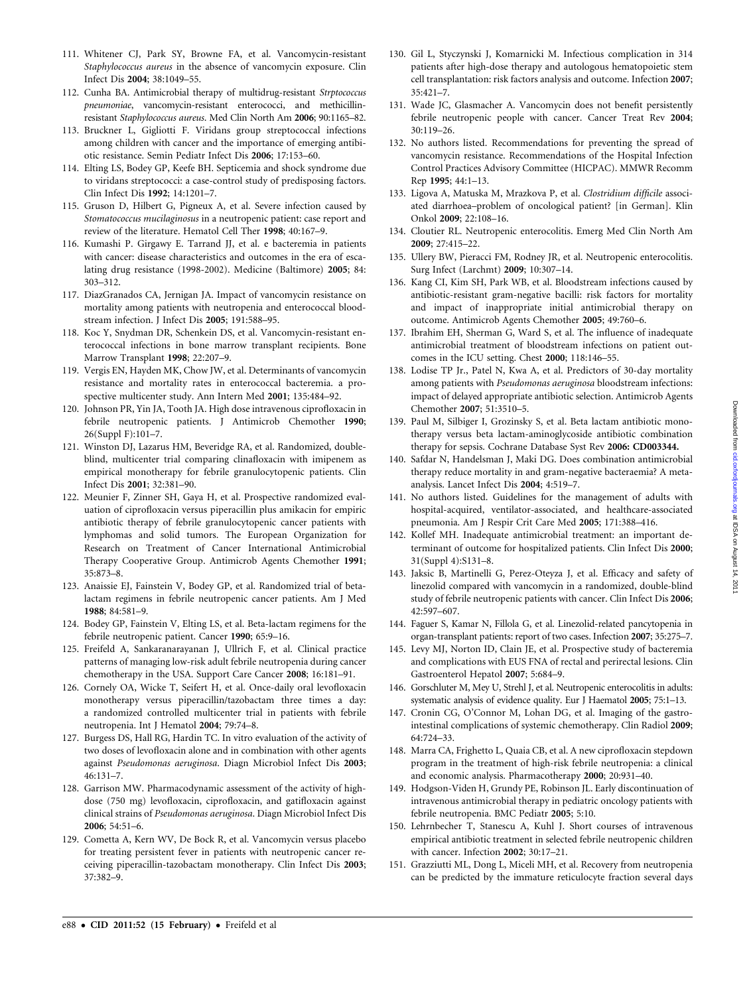- 111. Whitener CJ, Park SY, Browne FA, et al. Vancomycin-resistant Staphylococcus aureus in the absence of vancomycin exposure. Clin Infect Dis 2004; 38:1049–55.
- 112. Cunha BA. Antimicrobial therapy of multidrug-resistant Strptococcus pneumoniae, vancomycin-resistant enterococci, and methicillinresistant Staphylococcus aureus. Med Clin North Am 2006; 90:1165–82.
- 113. Bruckner L, Gigliotti F. Viridans group streptococcal infections among children with cancer and the importance of emerging antibiotic resistance. Semin Pediatr Infect Dis 2006; 17:153–60.
- 114. Elting LS, Bodey GP, Keefe BH. Septicemia and shock syndrome due to viridans streptococci: a case-control study of predisposing factors. Clin Infect Dis 1992; 14:1201–7.
- 115. Gruson D, Hilbert G, Pigneux A, et al. Severe infection caused by Stomatococcus mucilaginosus in a neutropenic patient: case report and review of the literature. Hematol Cell Ther 1998; 40:167–9.
- 116. Kumashi P. Girgawy E. Tarrand JJ, et al. e bacteremia in patients with cancer: disease characteristics and outcomes in the era of escalating drug resistance (1998-2002). Medicine (Baltimore) 2005; 84: 303–312.
- 117. DiazGranados CA, Jernigan JA. Impact of vancomycin resistance on mortality among patients with neutropenia and enterococcal bloodstream infection. J Infect Dis 2005; 191:588–95.
- 118. Koc Y, Snydman DR, Schenkein DS, et al. Vancomycin-resistant enterococcal infections in bone marrow transplant recipients. Bone Marrow Transplant 1998; 22:207–9.
- 119. Vergis EN, Hayden MK, Chow JW, et al. Determinants of vancomycin resistance and mortality rates in enterococcal bacteremia. a prospective multicenter study. Ann Intern Med 2001; 135:484–92.
- 120. Johnson PR, Yin JA, Tooth JA. High dose intravenous ciprofloxacin in febrile neutropenic patients. J Antimicrob Chemother 1990; 26(Suppl F):101–7.
- 121. Winston DJ, Lazarus HM, Beveridge RA, et al. Randomized, doubleblind, multicenter trial comparing clinafloxacin with imipenem as empirical monotherapy for febrile granulocytopenic patients. Clin Infect Dis 2001; 32:381–90.
- 122. Meunier F, Zinner SH, Gaya H, et al. Prospective randomized evaluation of ciprofloxacin versus piperacillin plus amikacin for empiric antibiotic therapy of febrile granulocytopenic cancer patients with lymphomas and solid tumors. The European Organization for Research on Treatment of Cancer International Antimicrobial Therapy Cooperative Group. Antimicrob Agents Chemother 1991; 35:873–8.
- 123. Anaissie EJ, Fainstein V, Bodey GP, et al. Randomized trial of betalactam regimens in febrile neutropenic cancer patients. Am J Med 1988; 84:581–9.
- 124. Bodey GP, Fainstein V, Elting LS, et al. Beta-lactam regimens for the febrile neutropenic patient. Cancer 1990; 65:9–16.
- 125. Freifeld A, Sankaranarayanan J, Ullrich F, et al. Clinical practice patterns of managing low-risk adult febrile neutropenia during cancer chemotherapy in the USA. Support Care Cancer 2008; 16:181–91.
- 126. Cornely OA, Wicke T, Seifert H, et al. Once-daily oral levofloxacin monotherapy versus piperacillin/tazobactam three times a day: a randomized controlled multicenter trial in patients with febrile neutropenia. Int J Hematol 2004; 79:74–8.
- 127. Burgess DS, Hall RG, Hardin TC. In vitro evaluation of the activity of two doses of levofloxacin alone and in combination with other agents against Pseudomonas aeruginosa. Diagn Microbiol Infect Dis 2003; 46:131–7.
- 128. Garrison MW. Pharmacodynamic assessment of the activity of highdose (750 mg) levofloxacin, ciprofloxacin, and gatifloxacin against clinical strains of Pseudomonas aeruginosa. Diagn Microbiol Infect Dis 2006; 54:51–6.
- 129. Cometta A, Kern WV, De Bock R, et al. Vancomycin versus placebo for treating persistent fever in patients with neutropenic cancer receiving piperacillin-tazobactam monotherapy. Clin Infect Dis 2003; 37:382–9.
- 130. Gil L, Styczynski J, Komarnicki M. Infectious complication in 314 patients after high-dose therapy and autologous hematopoietic stem cell transplantation: risk factors analysis and outcome. Infection 2007; 35:421–7.
- 131. Wade JC, Glasmacher A. Vancomycin does not benefit persistently febrile neutropenic people with cancer. Cancer Treat Rev 2004; 30:119–26.
- 132. No authors listed. Recommendations for preventing the spread of vancomycin resistance. Recommendations of the Hospital Infection Control Practices Advisory Committee (HICPAC). MMWR Recomm Rep 1995; 44:1–13.
- 133. Ligova A, Matuska M, Mrazkova P, et al. Clostridium difficile associated diarrhoea–problem of oncological patient? [in German]. Klin Onkol 2009; 22:108–16.
- 134. Cloutier RL. Neutropenic enterocolitis. Emerg Med Clin North Am 2009; 27:415–22.
- 135. Ullery BW, Pieracci FM, Rodney JR, et al. Neutropenic enterocolitis. Surg Infect (Larchmt) 2009; 10:307–14.
- 136. Kang CI, Kim SH, Park WB, et al. Bloodstream infections caused by antibiotic-resistant gram-negative bacilli: risk factors for mortality and impact of inappropriate initial antimicrobial therapy on outcome. Antimicrob Agents Chemother 2005; 49:760–6.
- 137. Ibrahim EH, Sherman G, Ward S, et al. The influence of inadequate antimicrobial treatment of bloodstream infections on patient outcomes in the ICU setting. Chest 2000; 118:146–55.
- 138. Lodise TP Jr., Patel N, Kwa A, et al. Predictors of 30-day mortality among patients with Pseudomonas aeruginosa bloodstream infections: impact of delayed appropriate antibiotic selection. Antimicrob Agents Chemother 2007; 51:3510–5.
- 139. Paul M, Silbiger I, Grozinsky S, et al. Beta lactam antibiotic monotherapy versus beta lactam-aminoglycoside antibiotic combination therapy for sepsis. Cochrane Database Syst Rev 2006: CD003344.
- 140. Safdar N, Handelsman J, Maki DG. Does combination antimicrobial therapy reduce mortality in and gram-negative bacteraemia? A metaanalysis. Lancet Infect Dis 2004; 4:519–7.
- 141. No authors listed. Guidelines for the management of adults with hospital-acquired, ventilator-associated, and healthcare-associated pneumonia. Am J Respir Crit Care Med 2005; 171:388–416.
- 142. Kollef MH. Inadequate antimicrobial treatment: an important determinant of outcome for hospitalized patients. Clin Infect Dis 2000; 31(Suppl 4):S131–8.
- 143. Jaksic B, Martinelli G, Perez-Oteyza J, et al. Efficacy and safety of linezolid compared with vancomycin in a randomized, double-blind study of febrile neutropenic patients with cancer. Clin Infect Dis 2006; 42:597–607.
- 144. Faguer S, Kamar N, Fillola G, et al. Linezolid-related pancytopenia in organ-transplant patients: report of two cases. Infection 2007; 35:275–7.
- 145. Levy MJ, Norton ID, Clain JE, et al. Prospective study of bacteremia and complications with EUS FNA of rectal and perirectal lesions. Clin Gastroenterol Hepatol 2007; 5:684–9.
- 146. Gorschluter M, Mey U, Strehl J, et al. Neutropenic enterocolitis in adults: systematic analysis of evidence quality. Eur J Haematol 2005; 75:1–13.
- 147. Cronin CG, O'Connor M, Lohan DG, et al. Imaging of the gastrointestinal complications of systemic chemotherapy. Clin Radiol 2009; 64:724–33.
- 148. Marra CA, Frighetto L, Quaia CB, et al. A new ciprofloxacin stepdown program in the treatment of high-risk febrile neutropenia: a clinical and economic analysis. Pharmacotherapy 2000; 20:931–40.
- 149. Hodgson-Viden H, Grundy PE, Robinson JL. Early discontinuation of intravenous antimicrobial therapy in pediatric oncology patients with febrile neutropenia. BMC Pediatr 2005; 5:10.
- 150. Lehrnbecher T, Stanescu A, Kuhl J. Short courses of intravenous empirical antibiotic treatment in selected febrile neutropenic children with cancer. Infection 2002; 30:17–21.
- 151. Grazziutti ML, Dong L, Miceli MH, et al. Recovery from neutropenia can be predicted by the immature reticulocyte fraction several days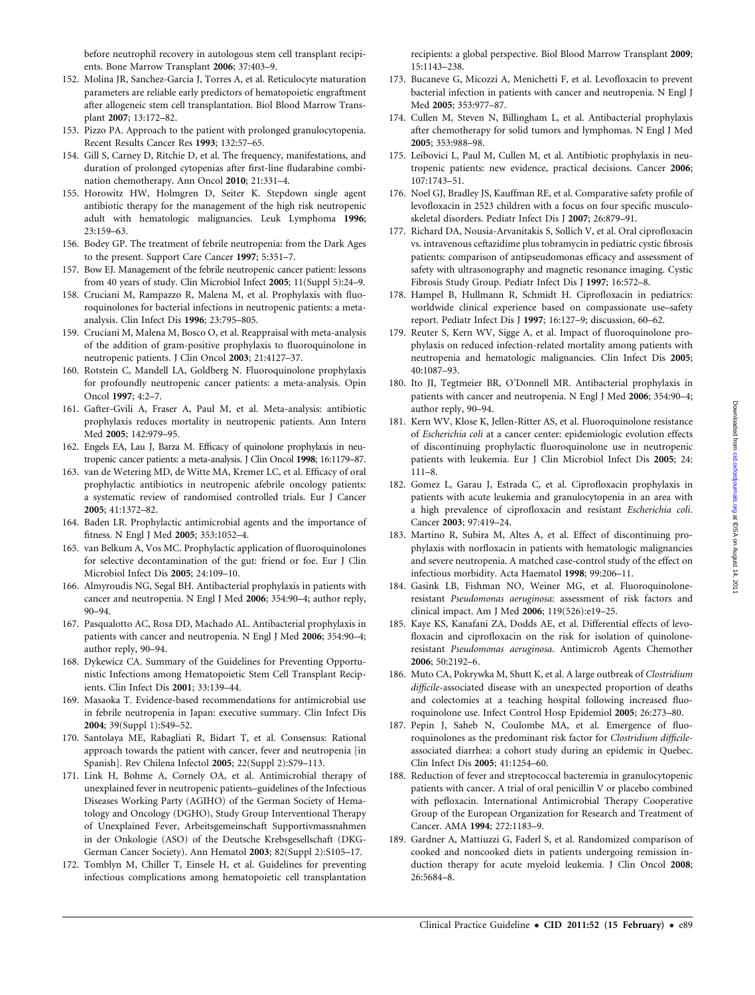before neutrophil recovery in autologous stem cell transplant recipients. Bone Marrow Transplant 2006; 37:403–9.

- 152. Molina JR, Sanchez-Garcia J, Torres A, et al. Reticulocyte maturation parameters are reliable early predictors of hematopoietic engraftment after allogeneic stem cell transplantation. Biol Blood Marrow Transplant 2007; 13:172–82.
- 153. Pizzo PA. Approach to the patient with prolonged granulocytopenia. Recent Results Cancer Res 1993; 132:57–65.
- 154. Gill S, Carney D, Ritchie D, et al. The frequency, manifestations, and duration of prolonged cytopenias after first-line fludarabine combination chemotherapy. Ann Oncol 2010; 21:331–4.
- 155. Horowitz HW, Holmgren D, Seiter K. Stepdown single agent antibiotic therapy for the management of the high risk neutropenic adult with hematologic malignancies. Leuk Lymphoma 1996; 23:159–63.
- 156. Bodey GP. The treatment of febrile neutropenia: from the Dark Ages to the present. Support Care Cancer 1997; 5:351–7.
- 157. Bow EJ. Management of the febrile neutropenic cancer patient: lessons from 40 years of study. Clin Microbiol Infect 2005; 11(Suppl 5):24–9.
- 158. Cruciani M, Rampazzo R, Malena M, et al. Prophylaxis with fluoroquinolones for bacterial infections in neutropenic patients: a metaanalysis. Clin Infect Dis 1996; 23:795–805.
- 159. Cruciani M, Malena M, Bosco O, et al. Reappraisal with meta-analysis of the addition of gram-positive prophylaxis to fluoroquinolone in neutropenic patients. J Clin Oncol 2003; 21:4127–37.
- 160. Rotstein C, Mandell LA, Goldberg N. Fluoroquinolone prophylaxis for profoundly neutropenic cancer patients: a meta-analysis. Opin Oncol 1997; 4:2–7.
- 161. Gafter-Gvili A, Fraser A, Paul M, et al. Meta-analysis: antibiotic prophylaxis reduces mortality in neutropenic patients. Ann Intern Med 2005; 142:979–95.
- 162. Engels EA, Lau J, Barza M. Efficacy of quinolone prophylaxis in neutropenic cancer patients: a meta-analysis. J Clin Oncol 1998; 16:1179–87.
- 163. van de Wetering MD, de Witte MA, Kremer LC, et al. Efficacy of oral prophylactic antibiotics in neutropenic afebrile oncology patients: a systematic review of randomised controlled trials. Eur J Cancer 2005; 41:1372–82.
- 164. Baden LR. Prophylactic antimicrobial agents and the importance of fitness. N Engl J Med 2005; 353:1052–4.
- 165. van Belkum A, Vos MC. Prophylactic application of fluoroquinolones for selective decontamination of the gut: friend or foe. Eur J Clin Microbiol Infect Dis 2005; 24:109–10.
- 166. Almyroudis NG, Segal BH. Antibacterial prophylaxis in patients with cancer and neutropenia. N Engl J Med 2006; 354:90–4; author reply, 90–94.
- 167. Pasqualotto AC, Rosa DD, Machado AL. Antibacterial prophylaxis in patients with cancer and neutropenia. N Engl J Med 2006; 354:90–4; author reply, 90–94.
- 168. Dykewicz CA. Summary of the Guidelines for Preventing Opportunistic Infections among Hematopoietic Stem Cell Transplant Recipients. Clin Infect Dis 2001; 33:139–44.
- 169. Masaoka T. Evidence-based recommendations for antimicrobial use in febrile neutropenia in Japan: executive summary. Clin Infect Dis 2004; 39(Suppl 1):S49–52.
- 170. Santolaya ME, Rabagliati R, Bidart T, et al. Consensus: Rational approach towards the patient with cancer, fever and neutropenia [in Spanish]. Rev Chilena Infectol 2005; 22(Suppl 2):S79–113.
- 171. Link H, Bohme A, Cornely OA, et al. Antimicrobial therapy of unexplained fever in neutropenic patients–guidelines of the Infectious Diseases Working Party (AGIHO) of the German Society of Hematology and Oncology (DGHO), Study Group Interventional Therapy of Unexplained Fever, Arbeitsgemeinschaft Supportivmassnahmen in der Onkologie (ASO) of the Deutsche Krebsgesellschaft (DKG-German Cancer Society). Ann Hematol 2003; 82(Suppl 2):S105–17.
- 172. Tomblyn M, Chiller T, Einsele H, et al. Guidelines for preventing infectious complications among hematopoietic cell transplantation

recipients: a global perspective. Biol Blood Marrow Transplant 2009; 15:1143–238.

- 173. Bucaneve G, Micozzi A, Menichetti F, et al. Levofloxacin to prevent bacterial infection in patients with cancer and neutropenia. N Engl J Med 2005; 353:977–87.
- 174. Cullen M, Steven N, Billingham L, et al. Antibacterial prophylaxis after chemotherapy for solid tumors and lymphomas. N Engl J Med 2005; 353:988–98.
- 175. Leibovici L, Paul M, Cullen M, et al. Antibiotic prophylaxis in neutropenic patients: new evidence, practical decisions. Cancer 2006; 107:1743–51.
- 176. Noel GJ, Bradley JS, Kauffman RE, et al. Comparative safety profile of levofloxacin in 2523 children with a focus on four specific musculoskeletal disorders. Pediatr Infect Dis J 2007; 26:879–91.
- 177. Richard DA, Nousia-Arvanitakis S, Sollich V, et al. Oral ciprofloxacin vs. intravenous ceftazidime plus tobramycin in pediatric cystic fibrosis patients: comparison of antipseudomonas efficacy and assessment of safety with ultrasonography and magnetic resonance imaging. Cystic Fibrosis Study Group. Pediatr Infect Dis J 1997; 16:572–8.
- 178. Hampel B, Hullmann R, Schmidt H. Ciprofloxacin in pediatrics: worldwide clinical experience based on compassionate use–safety report. Pediatr Infect Dis J 1997; 16:127–9; discussion, 60–62.
- 179. Reuter S, Kern WV, Sigge A, et al. Impact of fluoroquinolone prophylaxis on reduced infection-related mortality among patients with neutropenia and hematologic malignancies. Clin Infect Dis 2005; 40:1087–93.
- 180. Ito JI, Tegtmeier BR, O'Donnell MR. Antibacterial prophylaxis in patients with cancer and neutropenia. N Engl J Med 2006; 354:90–4; author reply, 90–94.
- 181. Kern WV, Klose K, Jellen-Ritter AS, et al. Fluoroquinolone resistance of Escherichia coli at a cancer center: epidemiologic evolution effects of discontinuing prophylactic fluoroquinolone use in neutropenic patients with leukemia. Eur J Clin Microbiol Infect Dis 2005; 24: 111–8.
- 182. Gomez L, Garau J, Estrada C, et al. Ciprofloxacin prophylaxis in patients with acute leukemia and granulocytopenia in an area with a high prevalence of ciprofloxacin and resistant Escherichia coli. Cancer 2003; 97:419–24.
- 183. Martino R, Subira M, Altes A, et al. Effect of discontinuing prophylaxis with norfloxacin in patients with hematologic malignancies and severe neutropenia. A matched case-control study of the effect on infectious morbidity. Acta Haematol 1998; 99:206–11.
- 184. Gasink LB, Fishman NO, Weiner MG, et al. Fluoroquinoloneresistant Pseudomonas aeruginosa: assessment of risk factors and clinical impact. Am J Med 2006; 119(526):e19–25.
- 185. Kaye KS, Kanafani ZA, Dodds AE, et al. Differential effects of levofloxacin and ciprofloxacin on the risk for isolation of quinoloneresistant Pseudomonas aeruginosa. Antimicrob Agents Chemother 2006; 50:2192–6.
- 186. Muto CA, Pokrywka M, Shutt K, et al. A large outbreak of Clostridium difficile-associated disease with an unexpected proportion of deaths and colectomies at a teaching hospital following increased fluoroquinolone use. Infect Control Hosp Epidemiol 2005; 26:273–80.
- 187. Pepin J, Saheb N, Coulombe MA, et al. Emergence of fluoroquinolones as the predominant risk factor for Clostridium difficileassociated diarrhea: a cohort study during an epidemic in Quebec. Clin Infect Dis 2005; 41:1254–60.
- 188. Reduction of fever and streptococcal bacteremia in granulocytopenic patients with cancer. A trial of oral penicillin V or placebo combined with pefloxacin. International Antimicrobial Therapy Cooperative Group of the European Organization for Research and Treatment of Cancer. AMA 1994; 272:1183–9.
- 189. Gardner A, Mattiuzzi G, Faderl S, et al. Randomized comparison of cooked and noncooked diets in patients undergoing remission induction therapy for acute myeloid leukemia. J Clin Oncol 2008; 26:5684–8.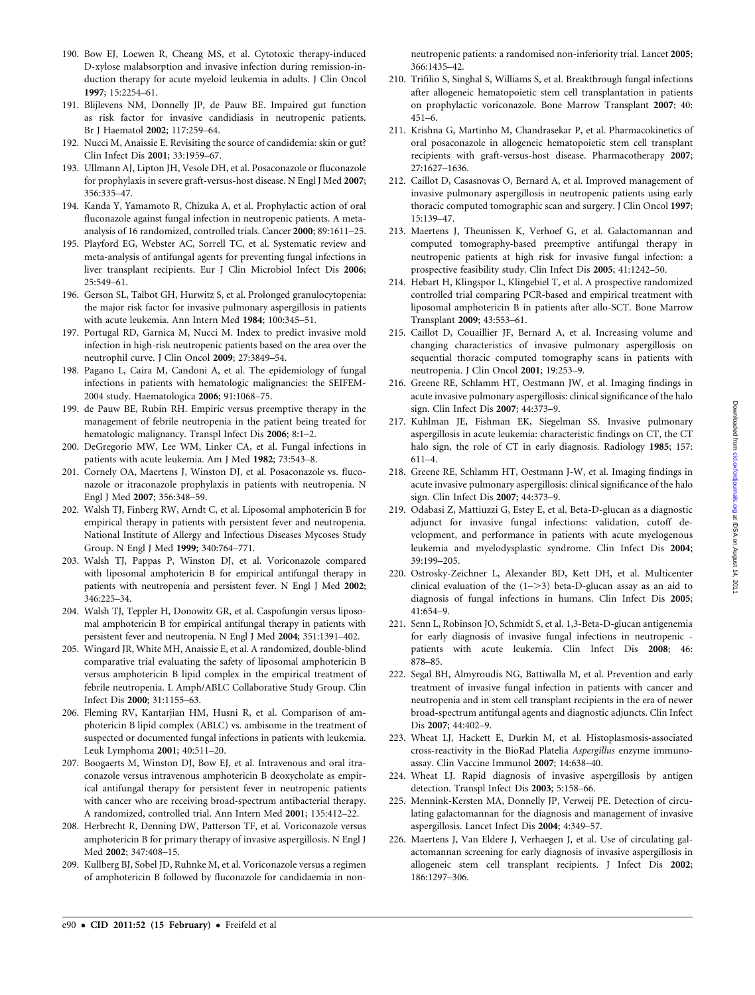- 190. Bow EJ, Loewen R, Cheang MS, et al. Cytotoxic therapy-induced D-xylose malabsorption and invasive infection during remission-induction therapy for acute myeloid leukemia in adults. J Clin Oncol 1997; 15:2254–61.
- 191. Blijlevens NM, Donnelly JP, de Pauw BE. Impaired gut function as risk factor for invasive candidiasis in neutropenic patients. Br J Haematol 2002; 117:259–64.
- 192. Nucci M, Anaissie E. Revisiting the source of candidemia: skin or gut? Clin Infect Dis 2001; 33:1959–67.
- 193. Ullmann AJ, Lipton JH, Vesole DH, et al. Posaconazole or fluconazole for prophylaxis in severe graft-versus-host disease. N Engl J Med 2007; 356:335–47.
- 194. Kanda Y, Yamamoto R, Chizuka A, et al. Prophylactic action of oral fluconazole against fungal infection in neutropenic patients. A metaanalysis of 16 randomized, controlled trials. Cancer 2000; 89:1611–25.
- 195. Playford EG, Webster AC, Sorrell TC, et al. Systematic review and meta-analysis of antifungal agents for preventing fungal infections in liver transplant recipients. Eur J Clin Microbiol Infect Dis 2006; 25:549–61.
- 196. Gerson SL, Talbot GH, Hurwitz S, et al. Prolonged granulocytopenia: the major risk factor for invasive pulmonary aspergillosis in patients with acute leukemia. Ann Intern Med 1984; 100:345–51.
- 197. Portugal RD, Garnica M, Nucci M. Index to predict invasive mold infection in high-risk neutropenic patients based on the area over the neutrophil curve. J Clin Oncol 2009; 27:3849–54.
- 198. Pagano L, Caira M, Candoni A, et al. The epidemiology of fungal infections in patients with hematologic malignancies: the SEIFEM-2004 study. Haematologica 2006; 91:1068–75.
- 199. de Pauw BE, Rubin RH. Empiric versus preemptive therapy in the management of febrile neutropenia in the patient being treated for hematologic malignancy. Transpl Infect Dis 2006; 8:1–2.
- 200. DeGregorio MW, Lee WM, Linker CA, et al. Fungal infections in patients with acute leukemia. Am J Med 1982; 73:543–8.
- 201. Cornely OA, Maertens J, Winston DJ, et al. Posaconazole vs. fluconazole or itraconazole prophylaxis in patients with neutropenia. N Engl J Med 2007; 356:348–59.
- 202. Walsh TJ, Finberg RW, Arndt C, et al. Liposomal amphotericin B for empirical therapy in patients with persistent fever and neutropenia. National Institute of Allergy and Infectious Diseases Mycoses Study Group. N Engl J Med 1999; 340:764–771.
- 203. Walsh TJ, Pappas P, Winston DJ, et al. Voriconazole compared with liposomal amphotericin B for empirical antifungal therapy in patients with neutropenia and persistent fever. N Engl J Med 2002; 346:225–34.
- 204. Walsh TJ, Teppler H, Donowitz GR, et al. Caspofungin versus liposomal amphotericin B for empirical antifungal therapy in patients with persistent fever and neutropenia. N Engl J Med 2004; 351:1391–402.
- 205. Wingard JR, White MH, Anaissie E, et al. A randomized, double-blind comparative trial evaluating the safety of liposomal amphotericin B versus amphotericin B lipid complex in the empirical treatment of febrile neutropenia. L Amph/ABLC Collaborative Study Group. Clin Infect Dis 2000; 31:1155–63.
- 206. Fleming RV, Kantarjian HM, Husni R, et al. Comparison of amphotericin B lipid complex (ABLC) vs. ambisome in the treatment of suspected or documented fungal infections in patients with leukemia. Leuk Lymphoma 2001; 40:511–20.
- 207. Boogaerts M, Winston DJ, Bow EJ, et al. Intravenous and oral itraconazole versus intravenous amphotericin B deoxycholate as empirical antifungal therapy for persistent fever in neutropenic patients with cancer who are receiving broad-spectrum antibacterial therapy. A randomized, controlled trial. Ann Intern Med 2001; 135:412–22.
- 208. Herbrecht R, Denning DW, Patterson TF, et al. Voriconazole versus amphotericin B for primary therapy of invasive aspergillosis. N Engl J Med 2002; 347:408–15.
- 209. Kullberg BJ, Sobel JD, Ruhnke M, et al. Voriconazole versus a regimen of amphotericin B followed by fluconazole for candidaemia in non-

neutropenic patients: a randomised non-inferiority trial. Lancet 2005; 366:1435–42.

- 210. Trifilio S, Singhal S, Williams S, et al. Breakthrough fungal infections after allogeneic hematopoietic stem cell transplantation in patients on prophylactic voriconazole. Bone Marrow Transplant 2007; 40: 451–6.
- 211. Krishna G, Martinho M, Chandrasekar P, et al. Pharmacokinetics of oral posaconazole in allogeneic hematopoietic stem cell transplant recipients with graft-versus-host disease. Pharmacotherapy 2007; 27:1627–1636.
- 212. Caillot D, Casasnovas O, Bernard A, et al. Improved management of invasive pulmonary aspergillosis in neutropenic patients using early thoracic computed tomographic scan and surgery. J Clin Oncol 1997; 15:139–47.
- 213. Maertens J, Theunissen K, Verhoef G, et al. Galactomannan and computed tomography-based preemptive antifungal therapy in neutropenic patients at high risk for invasive fungal infection: a prospective feasibility study. Clin Infect Dis 2005; 41:1242–50.
- 214. Hebart H, Klingspor L, Klingebiel T, et al. A prospective randomized controlled trial comparing PCR-based and empirical treatment with liposomal amphotericin B in patients after allo-SCT. Bone Marrow Transplant 2009; 43:553–61.
- 215. Caillot D, Couaillier JF, Bernard A, et al. Increasing volume and changing characteristics of invasive pulmonary aspergillosis on sequential thoracic computed tomography scans in patients with neutropenia. J Clin Oncol 2001; 19:253–9.
- 216. Greene RE, Schlamm HT, Oestmann JW, et al. Imaging findings in acute invasive pulmonary aspergillosis: clinical significance of the halo sign. Clin Infect Dis 2007; 44:373–9.
- 217. Kuhlman JE, Fishman EK, Siegelman SS. Invasive pulmonary aspergillosis in acute leukemia: characteristic findings on CT, the CT halo sign, the role of CT in early diagnosis. Radiology 1985; 157: 611–4.
- 218. Greene RE, Schlamm HT, Oestmann J-W, et al. Imaging findings in acute invasive pulmonary aspergillosis: clinical significance of the halo sign. Clin Infect Dis 2007; 44:373–9.
- 219. Odabasi Z, Mattiuzzi G, Estey E, et al. Beta-D-glucan as a diagnostic adjunct for invasive fungal infections: validation, cutoff development, and performance in patients with acute myelogenous leukemia and myelodysplastic syndrome. Clin Infect Dis 2004; 39:199–205.
- 220. Ostrosky-Zeichner L, Alexander BD, Kett DH, et al. Multicenter clinical evaluation of the  $(1-3)$  beta-D-glucan assay as an aid to diagnosis of fungal infections in humans. Clin Infect Dis 2005; 41:654–9.
- 221. Senn L, Robinson JO, Schmidt S, et al. 1,3-Beta-D-glucan antigenemia for early diagnosis of invasive fungal infections in neutropenic patients with acute leukemia. Clin Infect Dis 2008; 46: 878–85.
- 222. Segal BH, Almyroudis NG, Battiwalla M, et al. Prevention and early treatment of invasive fungal infection in patients with cancer and neutropenia and in stem cell transplant recipients in the era of newer broad-spectrum antifungal agents and diagnostic adjuncts. Clin Infect Dis 2007; 44:402–9.
- 223. Wheat LJ, Hackett E, Durkin M, et al. Histoplasmosis-associated cross-reactivity in the BioRad Platelia Aspergillus enzyme immunoassay. Clin Vaccine Immunol 2007; 14:638–40.
- 224. Wheat LJ. Rapid diagnosis of invasive aspergillosis by antigen detection. Transpl Infect Dis 2003; 5:158–66.
- 225. Mennink-Kersten MA, Donnelly JP, Verweij PE. Detection of circulating galactomannan for the diagnosis and management of invasive aspergillosis. Lancet Infect Dis 2004; 4:349–57.
- 226. Maertens J, Van Eldere J, Verhaegen J, et al. Use of circulating galactomannan screening for early diagnosis of invasive aspergillosis in allogeneic stem cell transplant recipients. J Infect Dis 2002; 186:1297–306.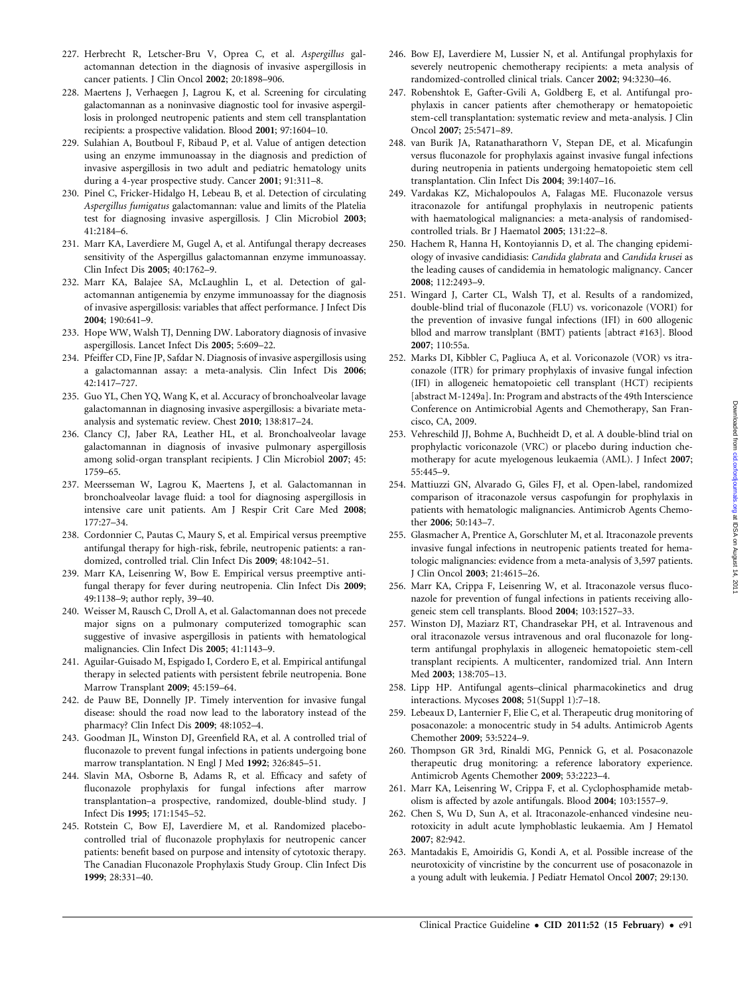- 227. Herbrecht R, Letscher-Bru V, Oprea C, et al. Aspergillus galactomannan detection in the diagnosis of invasive aspergillosis in cancer patients. J Clin Oncol 2002; 20:1898–906.
- 228. Maertens J, Verhaegen J, Lagrou K, et al. Screening for circulating galactomannan as a noninvasive diagnostic tool for invasive aspergillosis in prolonged neutropenic patients and stem cell transplantation recipients: a prospective validation. Blood 2001; 97:1604–10.
- 229. Sulahian A, Boutboul F, Ribaud P, et al. Value of antigen detection using an enzyme immunoassay in the diagnosis and prediction of invasive aspergillosis in two adult and pediatric hematology units during a 4-year prospective study. Cancer 2001; 91:311–8.
- 230. Pinel C, Fricker-Hidalgo H, Lebeau B, et al. Detection of circulating Aspergillus fumigatus galactomannan: value and limits of the Platelia test for diagnosing invasive aspergillosis. J Clin Microbiol 2003; 41:2184–6.
- 231. Marr KA, Laverdiere M, Gugel A, et al. Antifungal therapy decreases sensitivity of the Aspergillus galactomannan enzyme immunoassay. Clin Infect Dis 2005; 40:1762–9.
- 232. Marr KA, Balajee SA, McLaughlin L, et al. Detection of galactomannan antigenemia by enzyme immunoassay for the diagnosis of invasive aspergillosis: variables that affect performance. J Infect Dis 2004; 190:641–9.
- 233. Hope WW, Walsh TJ, Denning DW. Laboratory diagnosis of invasive aspergillosis. Lancet Infect Dis 2005; 5:609–22.
- 234. Pfeiffer CD, Fine JP, Safdar N. Diagnosis of invasive aspergillosis using a galactomannan assay: a meta-analysis. Clin Infect Dis 2006; 42:1417–727.
- 235. Guo YL, Chen YQ, Wang K, et al. Accuracy of bronchoalveolar lavage galactomannan in diagnosing invasive aspergillosis: a bivariate metaanalysis and systematic review. Chest 2010; 138:817–24.
- 236. Clancy CJ, Jaber RA, Leather HL, et al. Bronchoalveolar lavage galactomannan in diagnosis of invasive pulmonary aspergillosis among solid-organ transplant recipients. J Clin Microbiol 2007; 45: 1759–65.
- 237. Meersseman W, Lagrou K, Maertens J, et al. Galactomannan in bronchoalveolar lavage fluid: a tool for diagnosing aspergillosis in intensive care unit patients. Am J Respir Crit Care Med 2008; 177:27–34.
- 238. Cordonnier C, Pautas C, Maury S, et al. Empirical versus preemptive antifungal therapy for high-risk, febrile, neutropenic patients: a randomized, controlled trial. Clin Infect Dis 2009; 48:1042–51.
- 239. Marr KA, Leisenring W, Bow E. Empirical versus preemptive antifungal therapy for fever during neutropenia. Clin Infect Dis 2009; 49:1138–9; author reply, 39–40.
- 240. Weisser M, Rausch C, Droll A, et al. Galactomannan does not precede major signs on a pulmonary computerized tomographic scan suggestive of invasive aspergillosis in patients with hematological malignancies. Clin Infect Dis 2005; 41:1143–9.
- 241. Aguilar-Guisado M, Espigado I, Cordero E, et al. Empirical antifungal therapy in selected patients with persistent febrile neutropenia. Bone Marrow Transplant 2009; 45:159–64.
- 242. de Pauw BE, Donnelly JP. Timely intervention for invasive fungal disease: should the road now lead to the laboratory instead of the pharmacy? Clin Infect Dis 2009; 48:1052–4.
- 243. Goodman JL, Winston DJ, Greenfield RA, et al. A controlled trial of fluconazole to prevent fungal infections in patients undergoing bone marrow transplantation. N Engl J Med 1992; 326:845–51.
- 244. Slavin MA, Osborne B, Adams R, et al. Efficacy and safety of fluconazole prophylaxis for fungal infections after marrow transplantation–a prospective, randomized, double-blind study. J Infect Dis 1995; 171:1545–52.
- 245. Rotstein C, Bow EJ, Laverdiere M, et al. Randomized placebocontrolled trial of fluconazole prophylaxis for neutropenic cancer patients: benefit based on purpose and intensity of cytotoxic therapy. The Canadian Fluconazole Prophylaxis Study Group. Clin Infect Dis 1999; 28:331–40.
- 246. Bow EJ, Laverdiere M, Lussier N, et al. Antifungal prophylaxis for severely neutropenic chemotherapy recipients: a meta analysis of randomized-controlled clinical trials. Cancer 2002; 94:3230–46.
- 247. Robenshtok E, Gafter-Gvili A, Goldberg E, et al. Antifungal prophylaxis in cancer patients after chemotherapy or hematopoietic stem-cell transplantation: systematic review and meta-analysis. J Clin Oncol 2007; 25:5471–89.
- 248. van Burik JA, Ratanatharathorn V, Stepan DE, et al. Micafungin versus fluconazole for prophylaxis against invasive fungal infections during neutropenia in patients undergoing hematopoietic stem cell transplantation. Clin Infect Dis 2004; 39:1407–16.
- 249. Vardakas KZ, Michalopoulos A, Falagas ME. Fluconazole versus itraconazole for antifungal prophylaxis in neutropenic patients with haematological malignancies: a meta-analysis of randomisedcontrolled trials. Br J Haematol 2005; 131:22–8.
- 250. Hachem R, Hanna H, Kontoyiannis D, et al. The changing epidemiology of invasive candidiasis: Candida glabrata and Candida krusei as the leading causes of candidemia in hematologic malignancy. Cancer 2008; 112:2493–9.
- 251. Wingard J, Carter CL, Walsh TJ, et al. Results of a randomized, double-blind trial of fluconazole (FLU) vs. voriconazole (VORI) for the prevention of invasive fungal infections (IFI) in 600 allogenic bllod and marrow translplant (BMT) patients [abtract #163]. Blood 2007; 110:55a.
- 252. Marks DI, Kibbler C, Pagliuca A, et al. Voriconazole (VOR) vs itraconazole (ITR) for primary prophylaxis of invasive fungal infection (IFI) in allogeneic hematopoietic cell transplant (HCT) recipients [abstract M-1249a]. In: Program and abstracts of the 49th Interscience Conference on Antimicrobial Agents and Chemotherapy, San Francisco, CA, 2009.
- 253. Vehreschild JJ, Bohme A, Buchheidt D, et al. A double-blind trial on prophylactic voriconazole (VRC) or placebo during induction chemotherapy for acute myelogenous leukaemia (AML). J Infect 2007; 55:445–9.
- 254. Mattiuzzi GN, Alvarado G, Giles FJ, et al. Open-label, randomized comparison of itraconazole versus caspofungin for prophylaxis in patients with hematologic malignancies. Antimicrob Agents Chemother 2006; 50:143–7.
- 255. Glasmacher A, Prentice A, Gorschluter M, et al. Itraconazole prevents invasive fungal infections in neutropenic patients treated for hematologic malignancies: evidence from a meta-analysis of 3,597 patients. J Clin Oncol 2003; 21:4615–26.
- 256. Marr KA, Crippa F, Leisenring W, et al. Itraconazole versus fluconazole for prevention of fungal infections in patients receiving allogeneic stem cell transplants. Blood 2004; 103:1527–33.
- 257. Winston DJ, Maziarz RT, Chandrasekar PH, et al. Intravenous and oral itraconazole versus intravenous and oral fluconazole for longterm antifungal prophylaxis in allogeneic hematopoietic stem-cell transplant recipients. A multicenter, randomized trial. Ann Intern Med 2003; 138:705–13.
- 258. Lipp HP. Antifungal agents–clinical pharmacokinetics and drug interactions. Mycoses 2008; 51(Suppl 1):7–18.
- 259. Lebeaux D, Lanternier F, Elie C, et al. Therapeutic drug monitoring of posaconazole: a monocentric study in 54 adults. Antimicrob Agents Chemother 2009; 53:5224–9.
- 260. Thompson GR 3rd, Rinaldi MG, Pennick G, et al. Posaconazole therapeutic drug monitoring: a reference laboratory experience. Antimicrob Agents Chemother 2009; 53:2223–4.
- 261. Marr KA, Leisenring W, Crippa F, et al. Cyclophosphamide metabolism is affected by azole antifungals. Blood 2004; 103:1557–9.
- 262. Chen S, Wu D, Sun A, et al. Itraconazole-enhanced vindesine neurotoxicity in adult acute lymphoblastic leukaemia. Am J Hematol 2007; 82:942.
- 263. Mantadakis E, Amoiridis G, Kondi A, et al. Possible increase of the neurotoxicity of vincristine by the concurrent use of posaconazole in a young adult with leukemia. J Pediatr Hematol Oncol 2007; 29:130.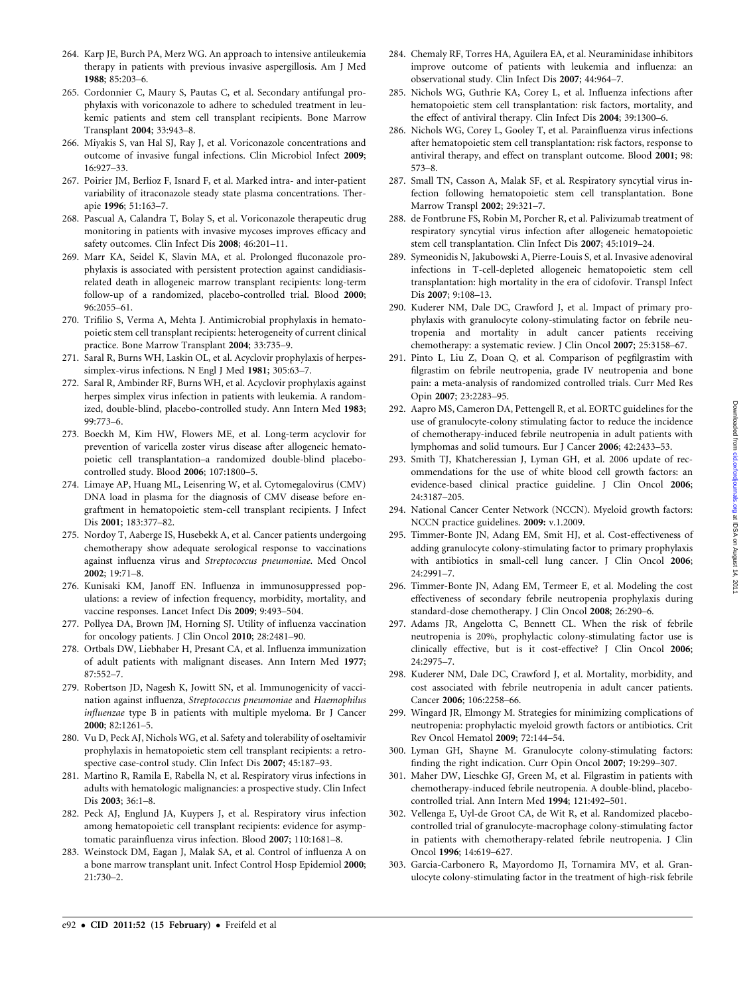- 264. Karp JE, Burch PA, Merz WG. An approach to intensive antileukemia therapy in patients with previous invasive aspergillosis. Am J Med 1988; 85:203–6.
- 265. Cordonnier C, Maury S, Pautas C, et al. Secondary antifungal prophylaxis with voriconazole to adhere to scheduled treatment in leukemic patients and stem cell transplant recipients. Bone Marrow Transplant 2004; 33:943–8.
- 266. Miyakis S, van Hal SJ, Ray J, et al. Voriconazole concentrations and outcome of invasive fungal infections. Clin Microbiol Infect 2009; 16:927–33.
- 267. Poirier JM, Berlioz F, Isnard F, et al. Marked intra- and inter-patient variability of itraconazole steady state plasma concentrations. Therapie 1996; 51:163–7.
- 268. Pascual A, Calandra T, Bolay S, et al. Voriconazole therapeutic drug monitoring in patients with invasive mycoses improves efficacy and safety outcomes. Clin Infect Dis 2008; 46:201–11.
- 269. Marr KA, Seidel K, Slavin MA, et al. Prolonged fluconazole prophylaxis is associated with persistent protection against candidiasisrelated death in allogeneic marrow transplant recipients: long-term follow-up of a randomized, placebo-controlled trial. Blood 2000; 96:2055–61.
- 270. Trifilio S, Verma A, Mehta J. Antimicrobial prophylaxis in hematopoietic stem cell transplant recipients: heterogeneity of current clinical practice. Bone Marrow Transplant 2004; 33:735–9.
- 271. Saral R, Burns WH, Laskin OL, et al. Acyclovir prophylaxis of herpessimplex-virus infections. N Engl J Med 1981; 305:63-7.
- 272. Saral R, Ambinder RF, Burns WH, et al. Acyclovir prophylaxis against herpes simplex virus infection in patients with leukemia. A randomized, double-blind, placebo-controlled study. Ann Intern Med 1983; 99:773–6.
- 273. Boeckh M, Kim HW, Flowers ME, et al. Long-term acyclovir for prevention of varicella zoster virus disease after allogeneic hematopoietic cell transplantation–a randomized double-blind placebocontrolled study. Blood 2006; 107:1800–5.
- 274. Limaye AP, Huang ML, Leisenring W, et al. Cytomegalovirus (CMV) DNA load in plasma for the diagnosis of CMV disease before engraftment in hematopoietic stem-cell transplant recipients. J Infect Dis 2001; 183:377–82.
- 275. Nordoy T, Aaberge IS, Husebekk A, et al. Cancer patients undergoing chemotherapy show adequate serological response to vaccinations against influenza virus and Streptococcus pneumoniae. Med Oncol 2002; 19:71–8.
- 276. Kunisaki KM, Janoff EN. Influenza in immunosuppressed populations: a review of infection frequency, morbidity, mortality, and vaccine responses. Lancet Infect Dis 2009; 9:493–504.
- 277. Pollyea DA, Brown JM, Horning SJ. Utility of influenza vaccination for oncology patients. J Clin Oncol 2010; 28:2481–90.
- 278. Ortbals DW, Liebhaber H, Presant CA, et al. Influenza immunization of adult patients with malignant diseases. Ann Intern Med 1977; 87:552–7.
- 279. Robertson JD, Nagesh K, Jowitt SN, et al. Immunogenicity of vaccination against influenza, Streptococcus pneumoniae and Haemophilus influenzae type B in patients with multiple myeloma. Br J Cancer 2000; 82:1261–5.
- 280. Vu D, Peck AJ, Nichols WG, et al. Safety and tolerability of oseltamivir prophylaxis in hematopoietic stem cell transplant recipients: a retrospective case-control study. Clin Infect Dis 2007; 45:187–93.
- 281. Martino R, Ramila E, Rabella N, et al. Respiratory virus infections in adults with hematologic malignancies: a prospective study. Clin Infect Dis 2003; 36:1–8.
- 282. Peck AJ, Englund JA, Kuypers J, et al. Respiratory virus infection among hematopoietic cell transplant recipients: evidence for asymptomatic parainfluenza virus infection. Blood 2007; 110:1681–8.
- 283. Weinstock DM, Eagan J, Malak SA, et al. Control of influenza A on a bone marrow transplant unit. Infect Control Hosp Epidemiol 2000; 21:730–2.
- 284. Chemaly RF, Torres HA, Aguilera EA, et al. Neuraminidase inhibitors improve outcome of patients with leukemia and influenza: an observational study. Clin Infect Dis 2007; 44:964–7.
- 285. Nichols WG, Guthrie KA, Corey L, et al. Influenza infections after hematopoietic stem cell transplantation: risk factors, mortality, and the effect of antiviral therapy. Clin Infect Dis 2004; 39:1300–6.
- 286. Nichols WG, Corey L, Gooley T, et al. Parainfluenza virus infections after hematopoietic stem cell transplantation: risk factors, response to antiviral therapy, and effect on transplant outcome. Blood 2001; 98: 573–8.
- 287. Small TN, Casson A, Malak SF, et al. Respiratory syncytial virus infection following hematopoietic stem cell transplantation. Bone Marrow Transpl 2002; 29:321–7.
- 288. de Fontbrune FS, Robin M, Porcher R, et al. Palivizumab treatment of respiratory syncytial virus infection after allogeneic hematopoietic stem cell transplantation. Clin Infect Dis 2007; 45:1019–24.
- 289. Symeonidis N, Jakubowski A, Pierre-Louis S, et al. Invasive adenoviral infections in T-cell-depleted allogeneic hematopoietic stem cell transplantation: high mortality in the era of cidofovir. Transpl Infect Dis 2007; 9:108–13.
- 290. Kuderer NM, Dale DC, Crawford J, et al. Impact of primary prophylaxis with granulocyte colony-stimulating factor on febrile neutropenia and mortality in adult cancer patients receiving chemotherapy: a systematic review. J Clin Oncol 2007; 25:3158–67.
- 291. Pinto L, Liu Z, Doan Q, et al. Comparison of pegfilgrastim with filgrastim on febrile neutropenia, grade IV neutropenia and bone pain: a meta-analysis of randomized controlled trials. Curr Med Res Opin 2007; 23:2283–95.
- 292. Aapro MS, Cameron DA, Pettengell R, et al. EORTC guidelines for the use of granulocyte-colony stimulating factor to reduce the incidence of chemotherapy-induced febrile neutropenia in adult patients with lymphomas and solid tumours. Eur J Cancer 2006; 42:2433–53.
- 293. Smith TJ, Khatcheressian J, Lyman GH, et al. 2006 update of recommendations for the use of white blood cell growth factors: an evidence-based clinical practice guideline. J Clin Oncol 2006; 24:3187–205.
- 294. National Cancer Center Network (NCCN). Myeloid growth factors: NCCN practice guidelines. 2009: v.1.2009.
- 295. Timmer-Bonte JN, Adang EM, Smit HJ, et al. Cost-effectiveness of adding granulocyte colony-stimulating factor to primary prophylaxis with antibiotics in small-cell lung cancer. J Clin Oncol 2006; 24:2991–7.
- 296. Timmer-Bonte JN, Adang EM, Termeer E, et al. Modeling the cost effectiveness of secondary febrile neutropenia prophylaxis during standard-dose chemotherapy. J Clin Oncol 2008; 26:290–6.
- 297. Adams JR, Angelotta C, Bennett CL. When the risk of febrile neutropenia is 20%, prophylactic colony-stimulating factor use is clinically effective, but is it cost-effective? J Clin Oncol 2006; 24:2975–7.
- 298. Kuderer NM, Dale DC, Crawford J, et al. Mortality, morbidity, and cost associated with febrile neutropenia in adult cancer patients. Cancer 2006; 106:2258–66.
- 299. Wingard JR, Elmongy M. Strategies for minimizing complications of neutropenia: prophylactic myeloid growth factors or antibiotics. Crit Rev Oncol Hematol 2009; 72:144–54.
- 300. Lyman GH, Shayne M. Granulocyte colony-stimulating factors: finding the right indication. Curr Opin Oncol 2007; 19:299–307.
- 301. Maher DW, Lieschke GJ, Green M, et al. Filgrastim in patients with chemotherapy-induced febrile neutropenia. A double-blind, placebocontrolled trial. Ann Intern Med 1994; 121:492–501.
- 302. Vellenga E, Uyl-de Groot CA, de Wit R, et al. Randomized placebocontrolled trial of granulocyte-macrophage colony-stimulating factor in patients with chemotherapy-related febrile neutropenia. J Clin Oncol 1996; 14:619–627.
- 303. Garcia-Carbonero R, Mayordomo JI, Tornamira MV, et al. Granulocyte colony-stimulating factor in the treatment of high-risk febrile